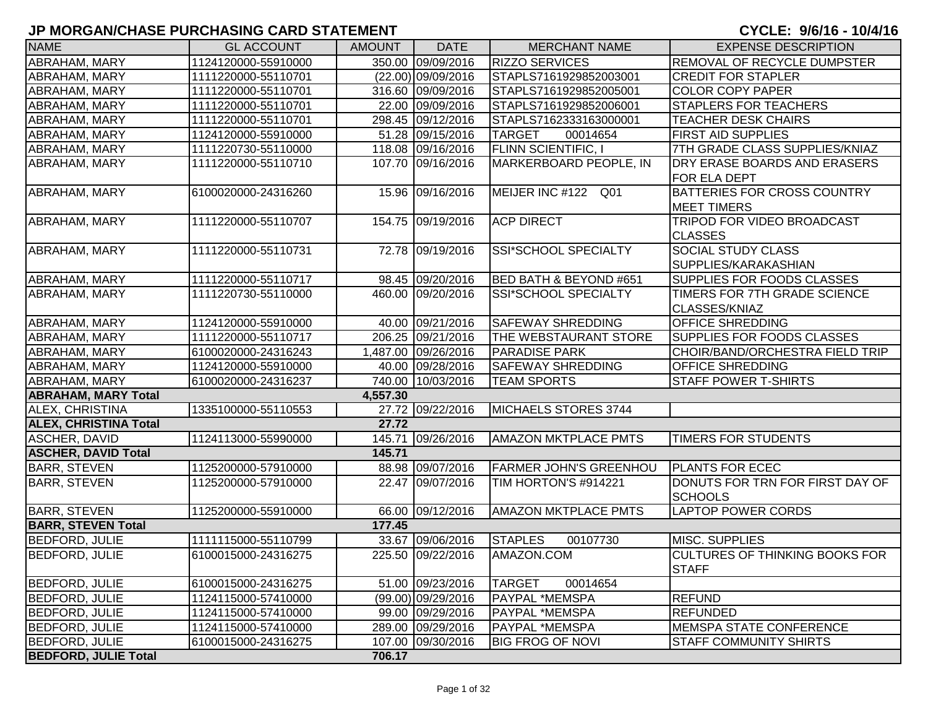| <b>NAME</b>                  | <b>GL ACCOUNT</b>   | <b>AMOUNT</b> | <b>DATE</b>          | <b>MERCHANT NAME</b>              | <b>EXPENSE DESCRIPTION</b>                            |
|------------------------------|---------------------|---------------|----------------------|-----------------------------------|-------------------------------------------------------|
| ABRAHAM, MARY                | 1124120000-55910000 |               | 350.00 09/09/2016    | <b>RIZZO SERVICES</b>             | REMOVAL OF RECYCLE DUMPSTER                           |
| <b>ABRAHAM, MARY</b>         | 1111220000-55110701 |               | $(22.00)$ 09/09/2016 | STAPLS7161929852003001            | <b>CREDIT FOR STAPLER</b>                             |
| ABRAHAM, MARY                | 1111220000-55110701 |               | 316.60 09/09/2016    | STAPLS7161929852005001            | <b>COLOR COPY PAPER</b>                               |
| ABRAHAM, MARY                | 1111220000-55110701 |               | 22.00 09/09/2016     | STAPLS7161929852006001            | <b>STAPLERS FOR TEACHERS</b>                          |
| ABRAHAM, MARY                | 1111220000-55110701 |               | 298.45 09/12/2016    | STAPLS7162333163000001            | <b>TEACHER DESK CHAIRS</b>                            |
| ABRAHAM, MARY                | 1124120000-55910000 |               | 51.28 09/15/2016     | <b>TARGET</b><br>00014654         | <b>FIRST AID SUPPLIES</b>                             |
| ABRAHAM, MARY                | 1111220730-55110000 |               | 118.08 09/16/2016    | <b>FLINN SCIENTIFIC, I</b>        | 7TH GRADE CLASS SUPPLIES/KNIAZ                        |
| ABRAHAM, MARY                | 1111220000-55110710 |               | 107.70 09/16/2016    | MARKERBOARD PEOPLE, IN            | DRY ERASE BOARDS AND ERASERS<br>FOR ELA DEPT          |
| <b>ABRAHAM, MARY</b>         | 6100020000-24316260 |               | 15.96 09/16/2016     | MEIJER INC #122 Q01               | BATTERIES FOR CROSS COUNTRY<br><b>MEET TIMERS</b>     |
| ABRAHAM, MARY                | 1111220000-55110707 |               | 154.75 09/19/2016    | <b>ACP DIRECT</b>                 | TRIPOD FOR VIDEO BROADCAST<br><b>CLASSES</b>          |
| ABRAHAM, MARY                | 1111220000-55110731 |               | 72.78 09/19/2016     | SSI*SCHOOL SPECIALTY              | <b>SOCIAL STUDY CLASS</b><br>SUPPLIES/KARAKASHIAN     |
| <b>ABRAHAM, MARY</b>         | 1111220000-55110717 |               | 98.45 09/20/2016     | <b>BED BATH &amp; BEYOND #651</b> | SUPPLIES FOR FOODS CLASSES                            |
| <b>ABRAHAM, MARY</b>         | 1111220730-55110000 |               | 460.00 09/20/2016    | <b>SSI*SCHOOL SPECIALTY</b>       | TIMERS FOR 7TH GRADE SCIENCE<br>CLASSES/KNIAZ         |
| ABRAHAM, MARY                | 1124120000-55910000 |               | 40.00 09/21/2016     | <b>SAFEWAY SHREDDING</b>          | <b>OFFICE SHREDDING</b>                               |
| ABRAHAM, MARY                | 1111220000-55110717 |               | 206.25 09/21/2016    | THE WEBSTAURANT STORE             | SUPPLIES FOR FOODS CLASSES                            |
| ABRAHAM, MARY                | 6100020000-24316243 |               | 1,487.00 09/26/2016  | <b>PARADISE PARK</b>              | CHOIR/BAND/ORCHESTRA FIELD TRIP                       |
| ABRAHAM, MARY                | 1124120000-55910000 |               | 40.00 09/28/2016     | <b>SAFEWAY SHREDDING</b>          | <b>OFFICE SHREDDING</b>                               |
| <b>ABRAHAM, MARY</b>         | 6100020000-24316237 |               | 740.00 10/03/2016    | <b>TEAM SPORTS</b>                | <b>STAFF POWER T-SHIRTS</b>                           |
| <b>ABRAHAM, MARY Total</b>   |                     | 4,557.30      |                      |                                   |                                                       |
| <b>ALEX, CHRISTINA</b>       | 1335100000-55110553 |               | 27.72 09/22/2016     | MICHAELS STORES 3744              |                                                       |
| <b>ALEX, CHRISTINA Total</b> |                     | 27.72         |                      |                                   |                                                       |
| ASCHER, DAVID                | 1124113000-55990000 |               | 145.71 09/26/2016    | <b>AMAZON MKTPLACE PMTS</b>       | <b>TIMERS FOR STUDENTS</b>                            |
| <b>ASCHER, DAVID Total</b>   |                     | 145.71        |                      |                                   |                                                       |
| <b>BARR, STEVEN</b>          | 1125200000-57910000 |               | 88.98 09/07/2016     | <b>FARMER JOHN'S GREENHOU</b>     | <b>PLANTS FOR ECEC</b>                                |
| <b>BARR, STEVEN</b>          | 1125200000-57910000 |               | 22.47 09/07/2016     | TIM HORTON'S #914221              | DONUTS FOR TRN FOR FIRST DAY OF<br><b>SCHOOLS</b>     |
| <b>BARR, STEVEN</b>          | 1125200000-55910000 |               | 66.00 09/12/2016     | <b>AMAZON MKTPLACE PMTS</b>       | <b>LAPTOP POWER CORDS</b>                             |
| <b>BARR, STEVEN Total</b>    |                     | 177.45        |                      |                                   |                                                       |
| <b>BEDFORD, JULIE</b>        | 1111115000-55110799 |               | 33.67 09/06/2016     | <b>STAPLES</b><br>00107730        | MISC. SUPPLIES                                        |
| <b>BEDFORD, JULIE</b>        | 6100015000-24316275 |               | 225.50 09/22/2016    | AMAZON.COM                        | <b>CULTURES OF THINKING BOOKS FOR</b><br><b>STAFF</b> |
| <b>BEDFORD, JULIE</b>        | 6100015000-24316275 |               | 51.00 09/23/2016     | <b>TARGET</b><br>00014654         |                                                       |
| <b>BEDFORD, JULIE</b>        | 1124115000-57410000 |               | (99.00) 09/29/2016   | <b>PAYPAL *MEMSPA</b>             | <b>REFUND</b>                                         |
| <b>BEDFORD, JULIE</b>        | 1124115000-57410000 |               | 99.00 09/29/2016     | <b>PAYPAL *MEMSPA</b>             | <b>REFUNDED</b>                                       |
| <b>BEDFORD, JULIE</b>        | 1124115000-57410000 |               | 289.00 09/29/2016    | PAYPAL *MEMSPA                    | <b>MEMSPA STATE CONFERENCE</b>                        |
| <b>BEDFORD, JULIE</b>        | 6100015000-24316275 |               | 107.00 09/30/2016    | <b>BIG FROG OF NOVI</b>           | <b>STAFF COMMUNITY SHIRTS</b>                         |
| <b>BEDFORD, JULIE Total</b>  |                     | 706.17        |                      |                                   |                                                       |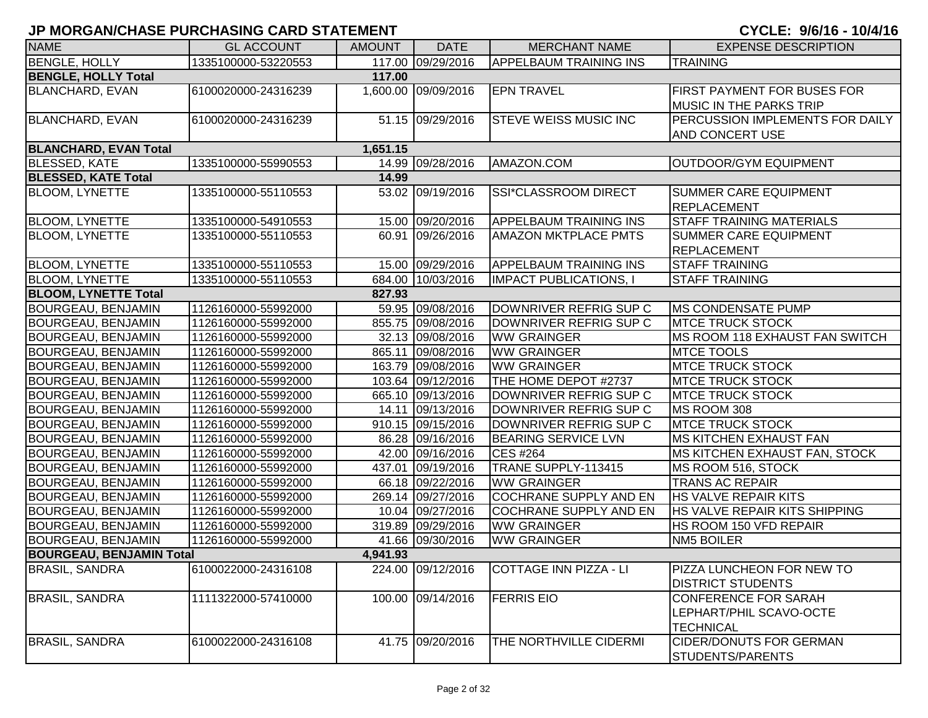| <b>NAME</b>                     | <b>GL ACCOUNT</b>   | <b>AMOUNT</b> | <b>DATE</b>         | <b>MERCHANT NAME</b>          | <b>EXPENSE DESCRIPTION</b>                                                 |
|---------------------------------|---------------------|---------------|---------------------|-------------------------------|----------------------------------------------------------------------------|
| <b>BENGLE, HOLLY</b>            | 1335100000-53220553 |               | 117.00 09/29/2016   | <b>APPELBAUM TRAINING INS</b> | <b>TRAINING</b>                                                            |
| <b>BENGLE, HOLLY Total</b>      |                     | 117.00        |                     |                               |                                                                            |
| <b>BLANCHARD, EVAN</b>          | 6100020000-24316239 |               | 1,600.00 09/09/2016 | <b>EPN TRAVEL</b>             | <b>FIRST PAYMENT FOR BUSES FOR</b><br><b>MUSIC IN THE PARKS TRIP</b>       |
| <b>BLANCHARD, EVAN</b>          | 6100020000-24316239 |               | 51.15 09/29/2016    | <b>STEVE WEISS MUSIC INC</b>  | PERCUSSION IMPLEMENTS FOR DAILY<br><b>AND CONCERT USE</b>                  |
| <b>BLANCHARD, EVAN Total</b>    |                     | 1,651.15      |                     |                               |                                                                            |
| <b>BLESSED, KATE</b>            | 1335100000-55990553 |               | 14.99 09/28/2016    | AMAZON.COM                    | <b>OUTDOOR/GYM EQUIPMENT</b>                                               |
| <b>BLESSED, KATE Total</b>      |                     | 14.99         |                     |                               |                                                                            |
| <b>BLOOM, LYNETTE</b>           | 1335100000-55110553 |               | 53.02 09/19/2016    | SSI*CLASSROOM DIRECT          | <b>SUMMER CARE EQUIPMENT</b><br><b>REPLACEMENT</b>                         |
| <b>BLOOM, LYNETTE</b>           | 1335100000-54910553 |               | 15.00 09/20/2016    | <b>APPELBAUM TRAINING INS</b> | <b>STAFF TRAINING MATERIALS</b>                                            |
| <b>BLOOM, LYNETTE</b>           | 1335100000-55110553 |               | 60.91 09/26/2016    | <b>AMAZON MKTPLACE PMTS</b>   | <b>SUMMER CARE EQUIPMENT</b><br>REPLACEMENT                                |
| <b>BLOOM, LYNETTE</b>           | 1335100000-55110553 |               | 15.00 09/29/2016    | <b>APPELBAUM TRAINING INS</b> | <b>STAFF TRAINING</b>                                                      |
| <b>BLOOM, LYNETTE</b>           | 1335100000-55110553 |               | 684.00 10/03/2016   | <b>IMPACT PUBLICATIONS, I</b> | <b>STAFF TRAINING</b>                                                      |
| <b>BLOOM, LYNETTE Total</b>     |                     | 827.93        |                     |                               |                                                                            |
| <b>BOURGEAU, BENJAMIN</b>       | 1126160000-55992000 |               | 59.95 09/08/2016    | DOWNRIVER REFRIG SUP C        | <b>IMS CONDENSATE PUMP</b>                                                 |
| <b>BOURGEAU, BENJAMIN</b>       | 1126160000-55992000 |               | 855.75 09/08/2016   | DOWNRIVER REFRIG SUP C        | <b>MTCE TRUCK STOCK</b>                                                    |
| <b>BOURGEAU, BENJAMIN</b>       | 1126160000-55992000 |               | 32.13 09/08/2016    | <b>WW GRAINGER</b>            | MS ROOM 118 EXHAUST FAN SWITCH                                             |
| <b>BOURGEAU, BENJAMIN</b>       | 1126160000-55992000 |               | 865.11 09/08/2016   | <b>WW GRAINGER</b>            | <b>MTCE TOOLS</b>                                                          |
| <b>BOURGEAU, BENJAMIN</b>       | 1126160000-55992000 |               | 163.79 09/08/2016   | <b>WW GRAINGER</b>            | <b>MTCE TRUCK STOCK</b>                                                    |
| <b>BOURGEAU, BENJAMIN</b>       | 1126160000-55992000 |               | 103.64 09/12/2016   | THE HOME DEPOT #2737          | <b>MTCE TRUCK STOCK</b>                                                    |
| <b>BOURGEAU, BENJAMIN</b>       | 1126160000-55992000 |               | 665.10 09/13/2016   | DOWNRIVER REFRIG SUP C        | <b>MTCE TRUCK STOCK</b>                                                    |
| <b>BOURGEAU, BENJAMIN</b>       | 1126160000-55992000 |               | 14.11 09/13/2016    | DOWNRIVER REFRIG SUP C        | MS ROOM 308                                                                |
| <b>BOURGEAU, BENJAMIN</b>       | 1126160000-55992000 |               | 910.15 09/15/2016   | DOWNRIVER REFRIG SUP C        | <b>MTCE TRUCK STOCK</b>                                                    |
| <b>BOURGEAU, BENJAMIN</b>       | 1126160000-55992000 |               | 86.28 09/16/2016    | <b>BEARING SERVICE LVN</b>    | <b>MS KITCHEN EXHAUST FAN</b>                                              |
| <b>BOURGEAU, BENJAMIN</b>       | 1126160000-55992000 |               | 42.00 09/16/2016    | <b>CES #264</b>               | MS KITCHEN EXHAUST FAN, STOCK                                              |
| <b>BOURGEAU, BENJAMIN</b>       | 1126160000-55992000 |               | 437.01 09/19/2016   | TRANE SUPPLY-113415           | MS ROOM 516, STOCK                                                         |
| <b>BOURGEAU, BENJAMIN</b>       | 1126160000-55992000 |               | 66.18 09/22/2016    | <b>WW GRAINGER</b>            | <b>TRANS AC REPAIR</b>                                                     |
| <b>BOURGEAU, BENJAMIN</b>       | 1126160000-55992000 |               | 269.14 09/27/2016   | <b>COCHRANE SUPPLY AND EN</b> | <b>HS VALVE REPAIR KITS</b>                                                |
| <b>BOURGEAU, BENJAMIN</b>       | 1126160000-55992000 |               | 10.04 09/27/2016    | COCHRANE SUPPLY AND EN        | HS VALVE REPAIR KITS SHIPPING                                              |
| <b>BOURGEAU, BENJAMIN</b>       | 1126160000-55992000 |               | 319.89 09/29/2016   | <b>WW GRAINGER</b>            | HS ROOM 150 VFD REPAIR                                                     |
| <b>BOURGEAU, BENJAMIN</b>       | 1126160000-55992000 |               | 41.66 09/30/2016    | <b>WW GRAINGER</b>            | <b>NM5 BOILER</b>                                                          |
| <b>BOURGEAU, BENJAMIN Total</b> |                     | 4,941.93      |                     |                               |                                                                            |
| <b>BRASIL, SANDRA</b>           | 6100022000-24316108 |               | 224.00 09/12/2016   | COTTAGE INN PIZZA - LI        | PIZZA LUNCHEON FOR NEW TO<br><b>DISTRICT STUDENTS</b>                      |
| <b>BRASIL, SANDRA</b>           | 1111322000-57410000 |               | 100.00 09/14/2016   | <b>FERRIS EIO</b>             | <b>CONFERENCE FOR SARAH</b><br>LEPHART/PHIL SCAVO-OCTE<br><b>TECHNICAL</b> |
| <b>BRASIL, SANDRA</b>           | 6100022000-24316108 |               | 41.75 09/20/2016    | THE NORTHVILLE CIDERMI        | <b>CIDER/DONUTS FOR GERMAN</b><br>STUDENTS/PARENTS                         |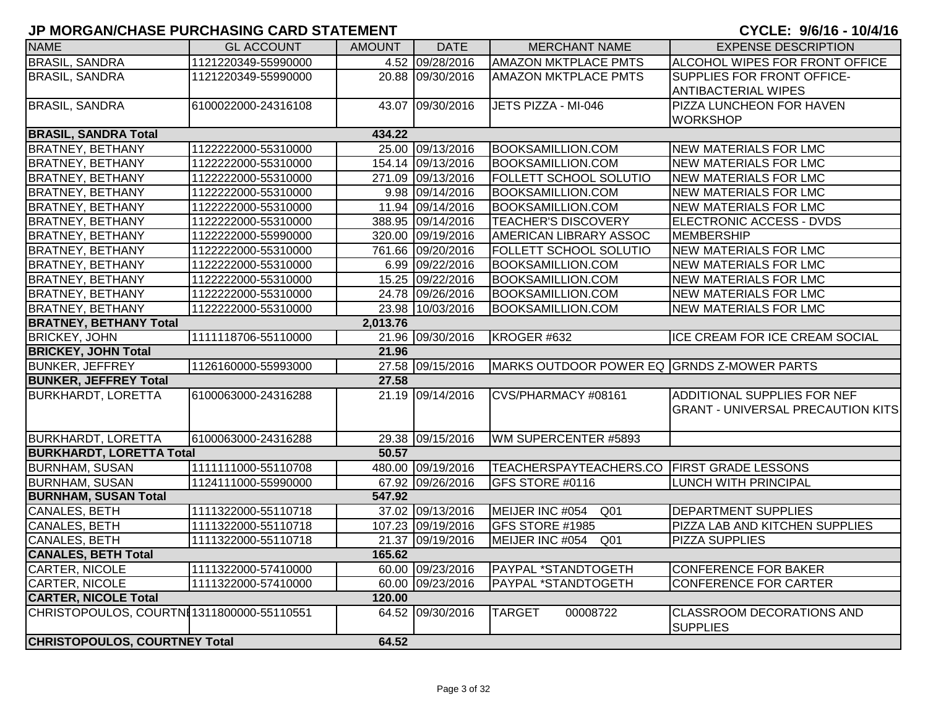| <b>NAME</b>                                | <b>GL ACCOUNT</b>   | <b>AMOUNT</b> | <b>DATE</b>       | <b>MERCHANT NAME</b>                       | <b>EXPENSE DESCRIPTION</b>                          |  |  |  |
|--------------------------------------------|---------------------|---------------|-------------------|--------------------------------------------|-----------------------------------------------------|--|--|--|
| <b>BRASIL, SANDRA</b>                      | 1121220349-55990000 |               | 4.52 09/28/2016   | <b>AMAZON MKTPLACE PMTS</b>                | ALCOHOL WIPES FOR FRONT OFFICE                      |  |  |  |
| <b>BRASIL, SANDRA</b>                      | 1121220349-55990000 |               | 20.88 09/30/2016  | <b>AMAZON MKTPLACE PMTS</b>                | SUPPLIES FOR FRONT OFFICE-                          |  |  |  |
|                                            |                     |               |                   |                                            | <b>ANTIBACTERIAL WIPES</b>                          |  |  |  |
| <b>BRASIL, SANDRA</b>                      | 6100022000-24316108 |               | 43.07 09/30/2016  | JETS PIZZA - MI-046                        | <b>PIZZA LUNCHEON FOR HAVEN</b>                     |  |  |  |
|                                            |                     |               |                   |                                            | <b>WORKSHOP</b>                                     |  |  |  |
| <b>BRASIL, SANDRA Total</b>                |                     | 434.22        |                   |                                            |                                                     |  |  |  |
| <b>BRATNEY, BETHANY</b>                    | 1122222000-55310000 |               | 25.00 09/13/2016  | <b>BOOKSAMILLION.COM</b>                   | NEW MATERIALS FOR LMC                               |  |  |  |
| <b>BRATNEY, BETHANY</b>                    | 1122222000-55310000 |               | 154.14 09/13/2016 | <b>BOOKSAMILLION.COM</b>                   | <b>NEW MATERIALS FOR LMC</b>                        |  |  |  |
| <b>BRATNEY, BETHANY</b>                    | 1122222000-55310000 |               | 271.09 09/13/2016 | <b>FOLLETT SCHOOL SOLUTIO</b>              | NEW MATERIALS FOR LMC                               |  |  |  |
| <b>BRATNEY, BETHANY</b>                    | 1122222000-55310000 |               | 9.98 09/14/2016   | <b>BOOKSAMILLION.COM</b>                   | <b>NEW MATERIALS FOR LMC</b>                        |  |  |  |
| <b>BRATNEY, BETHANY</b>                    | 1122222000-55310000 |               | 11.94 09/14/2016  | <b>BOOKSAMILLION.COM</b>                   | <b>NEW MATERIALS FOR LMC</b>                        |  |  |  |
| <b>BRATNEY, BETHANY</b>                    | 1122222000-55310000 |               | 388.95 09/14/2016 | <b>TEACHER'S DISCOVERY</b>                 | ELECTRONIC ACCESS - DVDS                            |  |  |  |
| <b>BRATNEY, BETHANY</b>                    | 1122222000-55990000 |               | 320.00 09/19/2016 | AMERICAN LIBRARY ASSOC                     | MEMBERSHIP                                          |  |  |  |
| <b>BRATNEY, BETHANY</b>                    | 1122222000-55310000 |               | 761.66 09/20/2016 | FOLLETT SCHOOL SOLUTIO                     | NEW MATERIALS FOR LMC                               |  |  |  |
| <b>BRATNEY, BETHANY</b>                    | 1122222000-55310000 |               | 6.99 09/22/2016   | <b>BOOKSAMILLION.COM</b>                   | <b>NEW MATERIALS FOR LMC</b>                        |  |  |  |
| <b>BRATNEY, BETHANY</b>                    | 1122222000-55310000 |               | 15.25 09/22/2016  | <b>BOOKSAMILLION.COM</b>                   | NEW MATERIALS FOR LMC                               |  |  |  |
| <b>BRATNEY, BETHANY</b>                    | 1122222000-55310000 |               | 24.78 09/26/2016  | <b>BOOKSAMILLION.COM</b>                   | <b>NEW MATERIALS FOR LMC</b>                        |  |  |  |
| <b>BRATNEY, BETHANY</b>                    | 1122222000-55310000 |               | 23.98 10/03/2016  | <b>BOOKSAMILLION.COM</b>                   | <b>NEW MATERIALS FOR LMC</b>                        |  |  |  |
| <b>BRATNEY, BETHANY Total</b>              | 2,013.76            |               |                   |                                            |                                                     |  |  |  |
| <b>BRICKEY, JOHN</b>                       | 1111118706-55110000 |               | 21.96 09/30/2016  | KROGER #632                                | ICE CREAM FOR ICE CREAM SOCIAL                      |  |  |  |
| <b>BRICKEY, JOHN Total</b>                 |                     | 21.96         |                   |                                            |                                                     |  |  |  |
| <b>BUNKER, JEFFREY</b>                     | 1126160000-55993000 |               | 27.58 09/15/2016  | MARKS OUTDOOR POWER EQ GRNDS Z-MOWER PARTS |                                                     |  |  |  |
| <b>BUNKER, JEFFREY Total</b>               |                     | 27.58         |                   |                                            |                                                     |  |  |  |
| <b>BURKHARDT, LORETTA</b>                  | 6100063000-24316288 |               | 21.19 09/14/2016  | CVS/PHARMACY #08161                        | <b>ADDITIONAL SUPPLIES FOR NEF</b>                  |  |  |  |
|                                            |                     |               |                   |                                            | <b>GRANT - UNIVERSAL PRECAUTION KITS</b>            |  |  |  |
|                                            |                     |               |                   |                                            |                                                     |  |  |  |
| <b>BURKHARDT, LORETTA</b>                  | 6100063000-24316288 |               | 29.38 09/15/2016  | WM SUPERCENTER #5893                       |                                                     |  |  |  |
| <b>BURKHARDT, LORETTA Total</b>            |                     | 50.57         |                   |                                            |                                                     |  |  |  |
| <b>BURNHAM, SUSAN</b>                      | 1111111000-55110708 |               | 480.00 09/19/2016 | TEACHERSPAYTEACHERS.CO FIRST GRADE LESSONS |                                                     |  |  |  |
| <b>BURNHAM, SUSAN</b>                      | 1124111000-55990000 |               | 67.92 09/26/2016  | GFS STORE #0116                            | <b>LUNCH WITH PRINCIPAL</b>                         |  |  |  |
| <b>BURNHAM, SUSAN Total</b>                |                     | 547.92        |                   |                                            |                                                     |  |  |  |
| CANALES, BETH                              | 1111322000-55110718 |               | 37.02 09/13/2016  | MEIJER INC #054<br>Q01                     | <b>DEPARTMENT SUPPLIES</b>                          |  |  |  |
| CANALES, BETH                              | 1111322000-55110718 |               | 107.23 09/19/2016 | GFS STORE #1985                            | PIZZA LAB AND KITCHEN SUPPLIES                      |  |  |  |
| CANALES, BETH                              | 1111322000-55110718 |               | 21.37 09/19/2016  | MEIJER INC #054<br>Q <sub>01</sub>         | <b>PIZZA SUPPLIES</b>                               |  |  |  |
| <b>CANALES, BETH Total</b>                 |                     | 165.62        |                   |                                            |                                                     |  |  |  |
| CARTER, NICOLE                             | 1111322000-57410000 |               | 60.00 09/23/2016  | PAYPAL *STANDTOGETH                        | CONFERENCE FOR BAKER                                |  |  |  |
| CARTER, NICOLE                             | 1111322000-57410000 |               | 60.00 09/23/2016  | PAYPAL *STANDTOGETH                        | <b>CONFERENCE FOR CARTER</b>                        |  |  |  |
| <b>CARTER, NICOLE Total</b>                |                     | 120.00        |                   |                                            |                                                     |  |  |  |
| CHRISTOPOULOS, COURTNI 1311800000-55110551 |                     |               | 64.52 09/30/2016  | <b>TARGET</b><br>00008722                  | <b>CLASSROOM DECORATIONS AND</b><br><b>SUPPLIES</b> |  |  |  |
| <b>CHRISTOPOULOS, COURTNEY Total</b>       |                     | 64.52         |                   |                                            |                                                     |  |  |  |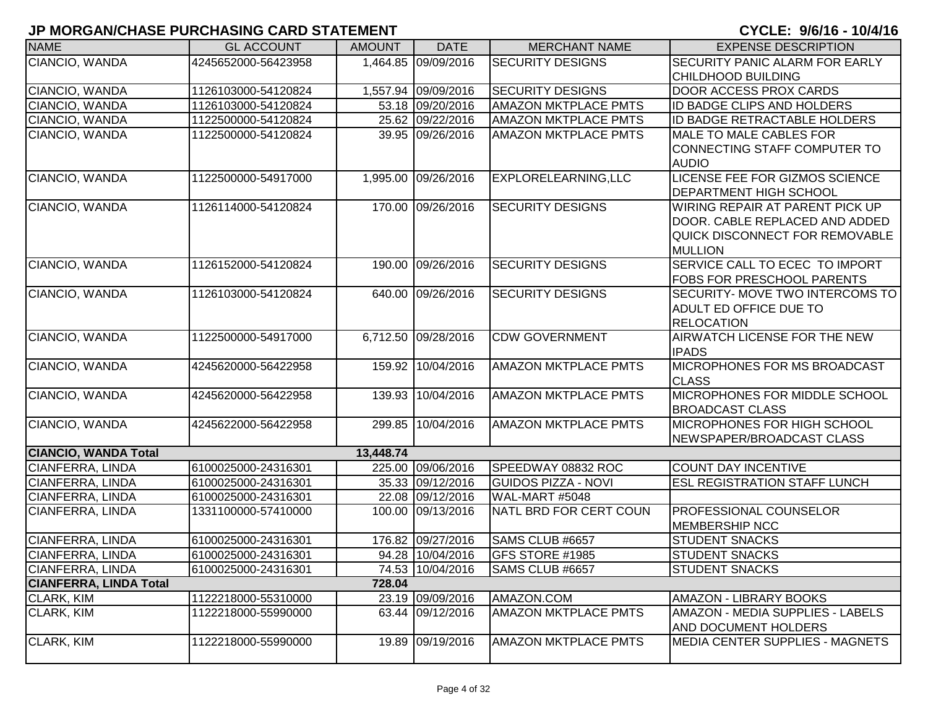| <b>NAME</b>                   | <b>GL ACCOUNT</b>   | <b>AMOUNT</b> | <b>DATE</b>         | <b>MERCHANT NAME</b>        | <b>EXPENSE DESCRIPTION</b>                                      |
|-------------------------------|---------------------|---------------|---------------------|-----------------------------|-----------------------------------------------------------------|
| CIANCIO, WANDA                | 4245652000-56423958 |               | 1,464.85 09/09/2016 | <b>SECURITY DESIGNS</b>     | SECURITY PANIC ALARM FOR EARLY                                  |
|                               |                     |               |                     |                             | CHILDHOOD BUILDING                                              |
| CIANCIO, WANDA                | 1126103000-54120824 |               | 1,557.94 09/09/2016 | <b>SECURITY DESIGNS</b>     | <b>DOOR ACCESS PROX CARDS</b>                                   |
| CIANCIO, WANDA                | 1126103000-54120824 |               | 53.18 09/20/2016    | <b>AMAZON MKTPLACE PMTS</b> | ID BADGE CLIPS AND HOLDERS                                      |
| CIANCIO, WANDA                | 1122500000-54120824 |               | 25.62 09/22/2016    | <b>AMAZON MKTPLACE PMTS</b> | ID BADGE RETRACTABLE HOLDERS                                    |
| CIANCIO, WANDA                | 1122500000-54120824 |               | 39.95 09/26/2016    | <b>AMAZON MKTPLACE PMTS</b> | <b>MALE TO MALE CABLES FOR</b>                                  |
|                               |                     |               |                     |                             | CONNECTING STAFF COMPUTER TO<br><b>AUDIO</b>                    |
| CIANCIO, WANDA                | 1122500000-54917000 |               | 1,995.00 09/26/2016 | EXPLORELEARNING, LLC        | LICENSE FEE FOR GIZMOS SCIENCE<br><b>DEPARTMENT HIGH SCHOOL</b> |
| CIANCIO, WANDA                | 1126114000-54120824 |               | 170.00 09/26/2016   | <b>SECURITY DESIGNS</b>     | WIRING REPAIR AT PARENT PICK UP                                 |
|                               |                     |               |                     |                             | DOOR. CABLE REPLACED AND ADDED                                  |
|                               |                     |               |                     |                             | QUICK DISCONNECT FOR REMOVABLE                                  |
|                               |                     |               |                     | <b>SECURITY DESIGNS</b>     | <b>MULLION</b>                                                  |
| CIANCIO, WANDA                | 1126152000-54120824 |               | 190.00 09/26/2016   |                             | SERVICE CALL TO ECEC TO IMPORT<br>FOBS FOR PRESCHOOL PARENTS    |
| CIANCIO, WANDA                | 1126103000-54120824 |               | 640.00 09/26/2016   | <b>SECURITY DESIGNS</b>     | SECURITY- MOVE TWO INTERCOMS TO                                 |
|                               |                     |               |                     |                             | <b>ADULT ED OFFICE DUE TO</b>                                   |
|                               |                     |               |                     |                             | <b>RELOCATION</b>                                               |
| CIANCIO, WANDA                | 1122500000-54917000 |               | 6,712.50 09/28/2016 | <b>CDW GOVERNMENT</b>       | <b>AIRWATCH LICENSE FOR THE NEW</b>                             |
|                               |                     |               |                     |                             | <b>IPADS</b>                                                    |
| CIANCIO, WANDA                | 4245620000-56422958 |               | 159.92 10/04/2016   | <b>AMAZON MKTPLACE PMTS</b> | MICROPHONES FOR MS BROADCAST                                    |
|                               |                     |               |                     |                             | <b>CLASS</b>                                                    |
| CIANCIO, WANDA                | 4245620000-56422958 |               | 139.93 10/04/2016   | <b>AMAZON MKTPLACE PMTS</b> | MICROPHONES FOR MIDDLE SCHOOL                                   |
|                               |                     |               |                     |                             | <b>BROADCAST CLASS</b>                                          |
| CIANCIO, WANDA                | 4245622000-56422958 |               | 299.85 10/04/2016   | <b>AMAZON MKTPLACE PMTS</b> | <b>MICROPHONES FOR HIGH SCHOOL</b>                              |
|                               |                     |               |                     |                             | NEWSPAPER/BROADCAST CLASS                                       |
| <b>CIANCIO, WANDA Total</b>   |                     | 13,448.74     |                     |                             |                                                                 |
| <b>CIANFERRA, LINDA</b>       | 6100025000-24316301 |               | 225.00 09/06/2016   | SPEEDWAY 08832 ROC          | <b>COUNT DAY INCENTIVE</b>                                      |
| CIANFERRA, LINDA              | 6100025000-24316301 |               | 35.33 09/12/2016    | <b>GUIDOS PIZZA - NOVI</b>  | <b>ESL REGISTRATION STAFF LUNCH</b>                             |
| CIANFERRA, LINDA              | 6100025000-24316301 |               | 22.08 09/12/2016    | WAL-MART #5048              |                                                                 |
| CIANFERRA, LINDA              | 1331100000-57410000 |               | 100.00 09/13/2016   | NATL BRD FOR CERT COUN      | PROFESSIONAL COUNSELOR<br><b>MEMBERSHIP NCC</b>                 |
| CIANFERRA, LINDA              | 6100025000-24316301 |               | 176.82 09/27/2016   | SAMS CLUB #6657             | <b>STUDENT SNACKS</b>                                           |
| <b>CIANFERRA, LINDA</b>       | 6100025000-24316301 |               | 94.28 10/04/2016    | <b>GFS STORE #1985</b>      | <b>STUDENT SNACKS</b>                                           |
| <b>CIANFERRA, LINDA</b>       | 6100025000-24316301 |               | 74.53 10/04/2016    | SAMS CLUB #6657             | <b>STUDENT SNACKS</b>                                           |
| <b>CIANFERRA, LINDA Total</b> |                     | 728.04        |                     |                             |                                                                 |
| CLARK, KIM                    | 1122218000-55310000 |               | 23.19 09/09/2016    | AMAZON.COM                  | AMAZON - LIBRARY BOOKS                                          |
| CLARK, KIM                    | 1122218000-55990000 |               | 63.44 09/12/2016    | <b>AMAZON MKTPLACE PMTS</b> | AMAZON - MEDIA SUPPLIES - LABELS                                |
|                               |                     |               |                     | <b>AMAZON MKTPLACE PMTS</b> | <b>AND DOCUMENT HOLDERS</b>                                     |
| CLARK, KIM                    | 1122218000-55990000 |               | 19.89 09/19/2016    |                             | <b>MEDIA CENTER SUPPLIES - MAGNETS</b>                          |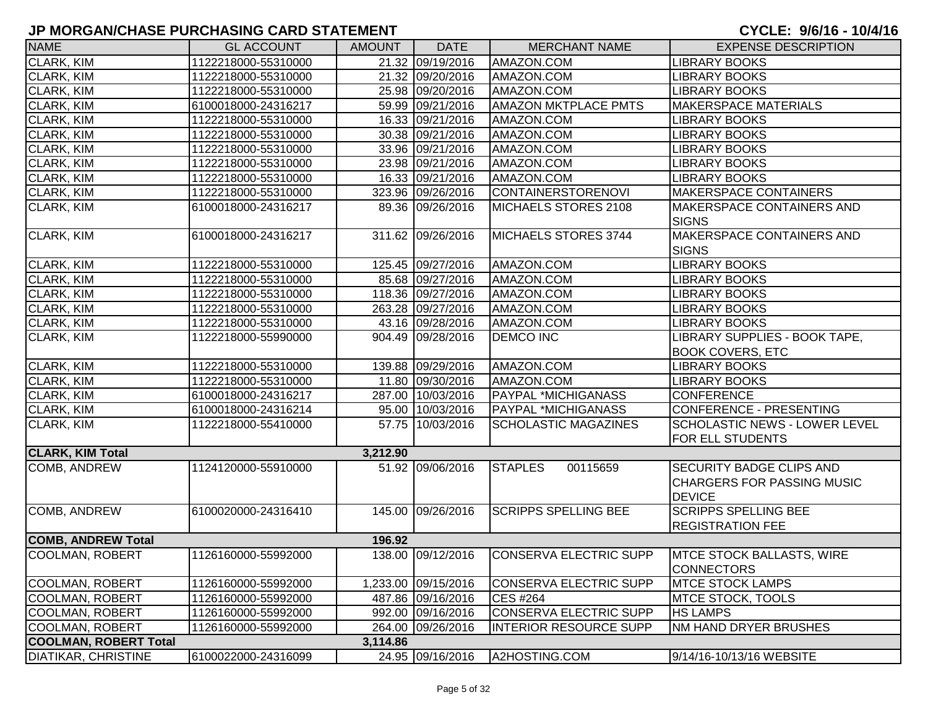| <b>NAME</b>                  | <b>GL ACCOUNT</b>   | <b>AMOUNT</b> | <b>DATE</b>         | <b>MERCHANT NAME</b>          | <b>EXPENSE DESCRIPTION</b>                                                            |
|------------------------------|---------------------|---------------|---------------------|-------------------------------|---------------------------------------------------------------------------------------|
| <b>CLARK, KIM</b>            | 1122218000-55310000 |               | 21.32 09/19/2016    | AMAZON.COM                    | <b>LIBRARY BOOKS</b>                                                                  |
| CLARK, KIM                   | 1122218000-55310000 |               | 21.32 09/20/2016    | AMAZON.COM                    | <b>LIBRARY BOOKS</b>                                                                  |
| CLARK, KIM                   | 1122218000-55310000 |               | 25.98 09/20/2016    | AMAZON.COM                    | LIBRARY BOOKS                                                                         |
| CLARK, KIM                   | 6100018000-24316217 |               | 59.99 09/21/2016    | <b>AMAZON MKTPLACE PMTS</b>   | <b>MAKERSPACE MATERIALS</b>                                                           |
| CLARK, KIM                   | 1122218000-55310000 |               | 16.33 09/21/2016    | AMAZON.COM                    | <b>LIBRARY BOOKS</b>                                                                  |
| CLARK, KIM                   | 1122218000-55310000 |               | 30.38 09/21/2016    | AMAZON.COM                    | <b>LIBRARY BOOKS</b>                                                                  |
| CLARK, KIM                   | 1122218000-55310000 |               | 33.96 09/21/2016    | AMAZON.COM                    | LIBRARY BOOKS                                                                         |
| CLARK, KIM                   | 1122218000-55310000 |               | 23.98 09/21/2016    | AMAZON.COM                    | <b>LIBRARY BOOKS</b>                                                                  |
| CLARK, KIM                   | 1122218000-55310000 |               | 16.33 09/21/2016    | AMAZON.COM                    | <b>LIBRARY BOOKS</b>                                                                  |
| <b>CLARK, KIM</b>            | 1122218000-55310000 |               | 323.96 09/26/2016   | <b>CONTAINERSTORENOVI</b>     | <b>MAKERSPACE CONTAINERS</b>                                                          |
| <b>CLARK, KIM</b>            | 6100018000-24316217 |               | 89.36 09/26/2016    | MICHAELS STORES 2108          | MAKERSPACE CONTAINERS AND<br><b>SIGNS</b>                                             |
| CLARK, KIM                   | 6100018000-24316217 |               | 311.62 09/26/2016   | MICHAELS STORES 3744          | MAKERSPACE CONTAINERS AND<br><b>SIGNS</b>                                             |
| CLARK, KIM                   | 1122218000-55310000 |               | 125.45 09/27/2016   | AMAZON.COM                    | <b>LIBRARY BOOKS</b>                                                                  |
| CLARK, KIM                   | 1122218000-55310000 |               | 85.68 09/27/2016    | AMAZON.COM                    | <b>LIBRARY BOOKS</b>                                                                  |
| CLARK, KIM                   | 1122218000-55310000 |               | 118.36 09/27/2016   | AMAZON.COM                    | <b>LIBRARY BOOKS</b>                                                                  |
| CLARK, KIM                   | 1122218000-55310000 |               | 263.28 09/27/2016   | AMAZON.COM                    | <b>LIBRARY BOOKS</b>                                                                  |
| CLARK, KIM                   | 1122218000-55310000 |               | 43.16 09/28/2016    | AMAZON.COM                    | <b>LIBRARY BOOKS</b>                                                                  |
| CLARK, KIM                   | 1122218000-55990000 |               | 904.49 09/28/2016   | <b>DEMCO INC</b>              | LIBRARY SUPPLIES - BOOK TAPE,<br><b>BOOK COVERS, ETC</b>                              |
| CLARK, KIM                   | 1122218000-55310000 |               | 139.88 09/29/2016   | AMAZON.COM                    | <b>LIBRARY BOOKS</b>                                                                  |
| CLARK, KIM                   | 1122218000-55310000 |               | 11.80 09/30/2016    | AMAZON.COM                    | <b>LIBRARY BOOKS</b>                                                                  |
| CLARK, KIM                   | 6100018000-24316217 |               | 287.00 10/03/2016   | <b>PAYPAL *MICHIGANASS</b>    | <b>CONFERENCE</b>                                                                     |
| CLARK, KIM                   | 6100018000-24316214 |               | 95.00 10/03/2016    | <b>PAYPAL *MICHIGANASS</b>    | CONFERENCE - PRESENTING                                                               |
| CLARK, KIM                   | 1122218000-55410000 |               | 57.75 10/03/2016    | <b>SCHOLASTIC MAGAZINES</b>   | <b>SCHOLASTIC NEWS - LOWER LEVEL</b><br>FOR ELL STUDENTS                              |
| <b>CLARK, KIM Total</b>      |                     | 3,212.90      |                     |                               |                                                                                       |
| COMB, ANDREW                 | 1124120000-55910000 |               | 51.92 09/06/2016    | <b>STAPLES</b><br>00115659    | <b>SECURITY BADGE CLIPS AND</b><br><b>CHARGERS FOR PASSING MUSIC</b><br><b>DEVICE</b> |
| COMB, ANDREW                 | 6100020000-24316410 |               | 145.00 09/26/2016   | <b>SCRIPPS SPELLING BEE</b>   | <b>SCRIPPS SPELLING BEE</b><br><b>REGISTRATION FEE</b>                                |
| <b>COMB, ANDREW Total</b>    |                     | 196.92        |                     |                               |                                                                                       |
| COOLMAN, ROBERT              | 1126160000-55992000 |               | 138.00 09/12/2016   | CONSERVA ELECTRIC SUPP        | MTCE STOCK BALLASTS, WIRE<br><b>CONNECTORS</b>                                        |
| <b>COOLMAN, ROBERT</b>       | 1126160000-55992000 |               | 1,233.00 09/15/2016 | <b>CONSERVA ELECTRIC SUPP</b> | <b>MTCE STOCK LAMPS</b>                                                               |
| <b>COOLMAN, ROBERT</b>       | 1126160000-55992000 |               | 487.86 09/16/2016   | <b>CES #264</b>               | <b>MTCE STOCK, TOOLS</b>                                                              |
| COOLMAN, ROBERT              | 1126160000-55992000 |               | 992.00 09/16/2016   | <b>CONSERVA ELECTRIC SUPP</b> | <b>HS LAMPS</b>                                                                       |
| <b>COOLMAN, ROBERT</b>       | 1126160000-55992000 |               | 264.00 09/26/2016   | <b>INTERIOR RESOURCE SUPP</b> | <b>NM HAND DRYER BRUSHES</b>                                                          |
| <b>COOLMAN, ROBERT Total</b> |                     | 3,114.86      |                     |                               |                                                                                       |
| <b>DIATIKAR, CHRISTINE</b>   | 6100022000-24316099 |               | 24.95 09/16/2016    | A2HOSTING.COM                 | 9/14/16-10/13/16 WEBSITE                                                              |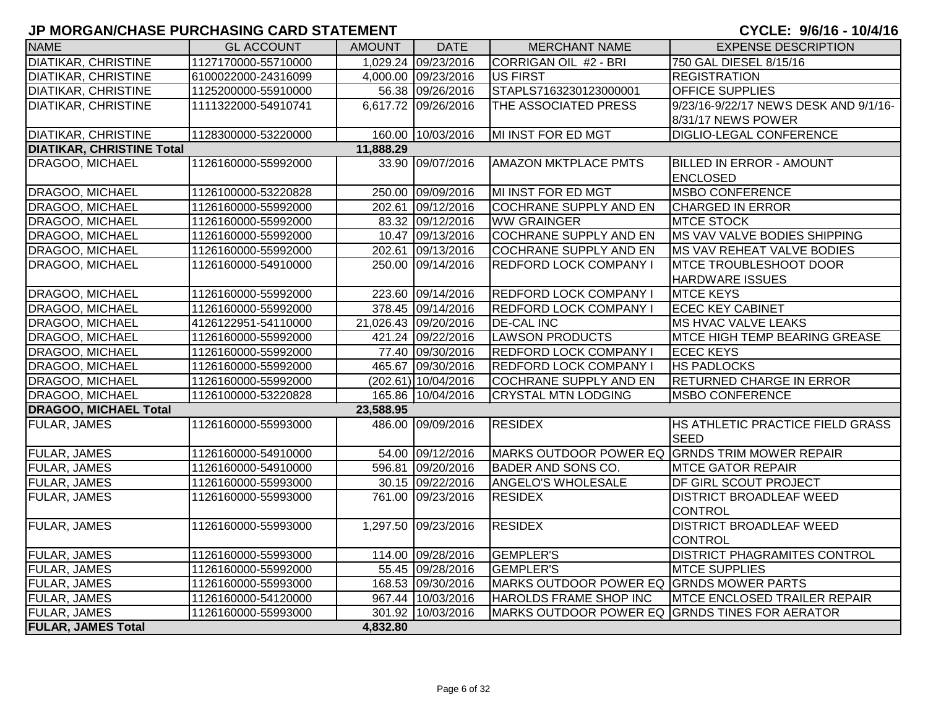| <b>NAME</b>                      | <b>GL ACCOUNT</b>   | <b>AMOUNT</b> | <b>DATE</b>           | <b>MERCHANT NAME</b>                           | <b>EXPENSE DESCRIPTION</b>            |
|----------------------------------|---------------------|---------------|-----------------------|------------------------------------------------|---------------------------------------|
| <b>DIATIKAR, CHRISTINE</b>       | 1127170000-55710000 |               | 1,029.24 09/23/2016   | CORRIGAN OIL #2 - BRI                          | 750 GAL DIESEL 8/15/16                |
| <b>DIATIKAR, CHRISTINE</b>       | 6100022000-24316099 |               | 4,000.00 09/23/2016   | US FIRST                                       | <b>REGISTRATION</b>                   |
| <b>DIATIKAR, CHRISTINE</b>       | 1125200000-55910000 |               | 56.38 09/26/2016      | STAPLS7163230123000001                         | <b>OFFICE SUPPLIES</b>                |
| <b>DIATIKAR, CHRISTINE</b>       | 1111322000-54910741 |               | 6,617.72 09/26/2016   | THE ASSOCIATED PRESS                           | 9/23/16-9/22/17 NEWS DESK AND 9/1/16- |
|                                  |                     |               |                       |                                                | 8/31/17 NEWS POWER                    |
| <b>DIATIKAR, CHRISTINE</b>       | 1128300000-53220000 |               | 160.00 10/03/2016     | MI INST FOR ED MGT                             | <b>DIGLIO-LEGAL CONFERENCE</b>        |
| <b>DIATIKAR, CHRISTINE Total</b> |                     | 11,888.29     |                       |                                                |                                       |
| DRAGOO, MICHAEL                  | 1126160000-55992000 |               | 33.90 09/07/2016      | <b>AMAZON MKTPLACE PMTS</b>                    | <b>BILLED IN ERROR - AMOUNT</b>       |
|                                  |                     |               |                       |                                                | <b>ENCLOSED</b>                       |
| DRAGOO, MICHAEL                  | 1126100000-53220828 |               | 250.00 09/09/2016     | MI INST FOR ED MGT                             | <b>MSBO CONFERENCE</b>                |
| DRAGOO, MICHAEL                  | 1126160000-55992000 |               | 202.61 09/12/2016     | <b>COCHRANE SUPPLY AND EN</b>                  | <b>CHARGED IN ERROR</b>               |
| DRAGOO, MICHAEL                  | 1126160000-55992000 |               | 83.32 09/12/2016      | <b>WW GRAINGER</b>                             | <b>MTCE STOCK</b>                     |
| DRAGOO, MICHAEL                  | 1126160000-55992000 |               | 10.47 09/13/2016      | <b>COCHRANE SUPPLY AND EN</b>                  | MS VAV VALVE BODIES SHIPPING          |
| DRAGOO, MICHAEL                  | 1126160000-55992000 |               | 202.61 09/13/2016     | <b>COCHRANE SUPPLY AND EN</b>                  | MS VAV REHEAT VALVE BODIES            |
| DRAGOO, MICHAEL                  | 1126160000-54910000 |               | 250.00 09/14/2016     | <b>REDFORD LOCK COMPANY I</b>                  | <b>IMTCE TROUBLESHOOT DOOR</b>        |
|                                  |                     |               |                       |                                                | <b>HARDWARE ISSUES</b>                |
| DRAGOO, MICHAEL                  | 1126160000-55992000 |               | 223.60 09/14/2016     | <b>REDFORD LOCK COMPANY I</b>                  | <b>MTCE KEYS</b>                      |
| DRAGOO, MICHAEL                  | 1126160000-55992000 |               | 378.45 09/14/2016     | <b>REDFORD LOCK COMPANY I</b>                  | <b>ECEC KEY CABINET</b>               |
| DRAGOO, MICHAEL                  | 4126122951-54110000 |               | 21,026.43 09/20/2016  | <b>DE-CAL INC</b>                              | MS HVAC VALVE LEAKS                   |
| DRAGOO, MICHAEL                  | 1126160000-55992000 |               | 421.24 09/22/2016     | <b>LAWSON PRODUCTS</b>                         | <b>MTCE HIGH TEMP BEARING GREASE</b>  |
| DRAGOO, MICHAEL                  | 1126160000-55992000 |               | 77.40 09/30/2016      | <b>REDFORD LOCK COMPANY I</b>                  | <b>ECEC KEYS</b>                      |
| DRAGOO, MICHAEL                  | 1126160000-55992000 |               | 465.67 09/30/2016     | <b>REDFORD LOCK COMPANY I</b>                  | <b>HS PADLOCKS</b>                    |
| DRAGOO, MICHAEL                  | 1126160000-55992000 |               | $(202.61)$ 10/04/2016 | <b>COCHRANE SUPPLY AND EN</b>                  | <b>RETURNED CHARGE IN ERROR</b>       |
| DRAGOO, MICHAEL                  | 1126100000-53220828 |               | 165.86 10/04/2016     | <b>CRYSTAL MTN LODGING</b>                     | <b>MSBO CONFERENCE</b>                |
| <b>DRAGOO, MICHAEL Total</b>     |                     | 23,588.95     |                       |                                                |                                       |
| <b>FULAR, JAMES</b>              | 1126160000-55993000 |               | 486.00 09/09/2016     | <b>RESIDEX</b>                                 | HS ATHLETIC PRACTICE FIELD GRASS      |
|                                  |                     |               |                       |                                                | <b>SEED</b>                           |
| <b>FULAR, JAMES</b>              | 1126160000-54910000 |               | 54.00 09/12/2016      | MARKS OUTDOOR POWER EQ GRNDS TRIM MOWER REPAIR |                                       |
| FULAR, JAMES                     | 1126160000-54910000 |               | 596.81 09/20/2016     | <b>BADER AND SONS CO.</b>                      | <b>MTCE GATOR REPAIR</b>              |
| <b>FULAR, JAMES</b>              | 1126160000-55993000 |               | 30.15 09/22/2016      | <b>ANGELO'S WHOLESALE</b>                      | DF GIRL SCOUT PROJECT                 |
| <b>FULAR, JAMES</b>              | 1126160000-55993000 |               | 761.00 09/23/2016     | <b>RESIDEX</b>                                 | <b>DISTRICT BROADLEAF WEED</b>        |
|                                  |                     |               |                       |                                                | <b>CONTROL</b>                        |
| <b>FULAR, JAMES</b>              | 1126160000-55993000 |               | 1,297.50 09/23/2016   | <b>RESIDEX</b>                                 | <b>DISTRICT BROADLEAF WEED</b>        |
|                                  |                     |               |                       |                                                | <b>CONTROL</b>                        |
| <b>FULAR, JAMES</b>              | 1126160000-55993000 |               | 114.00 09/28/2016     | <b>GEMPLER'S</b>                               | DISTRICT PHAGRAMITES CONTROL          |
| <b>FULAR, JAMES</b>              | 1126160000-55992000 |               | 55.45 09/28/2016      | <b>GEMPLER'S</b>                               | <b>MTCE SUPPLIES</b>                  |
| <b>FULAR, JAMES</b>              | 1126160000-55993000 |               | 168.53 09/30/2016     | MARKS OUTDOOR POWER EQ GRNDS MOWER PARTS       |                                       |
| <b>FULAR, JAMES</b>              | 1126160000-54120000 |               | 967.44 10/03/2016     | HAROLDS FRAME SHOP INC                         | <b>IMTCE ENCLOSED TRAILER REPAIR</b>  |
| <b>FULAR, JAMES</b>              | 1126160000-55993000 |               | 301.92 10/03/2016     | MARKS OUTDOOR POWER EQ GRNDS TINES FOR AERATOR |                                       |
| <b>FULAR, JAMES Total</b>        |                     | 4,832.80      |                       |                                                |                                       |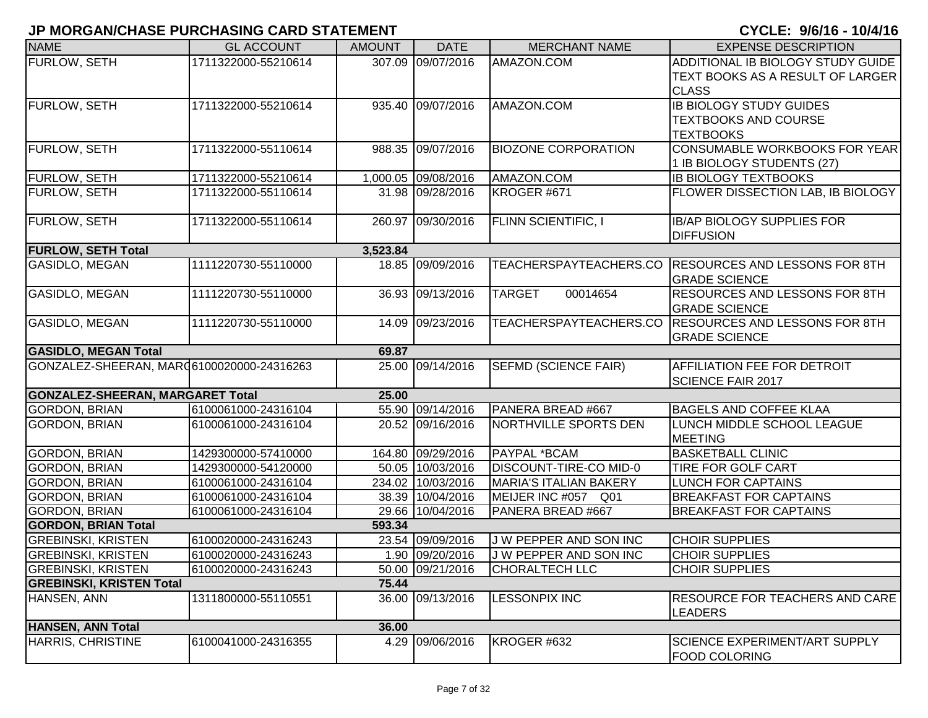| <b>NAME</b>                                | <b>GL ACCOUNT</b>   | <b>AMOUNT</b> | <b>DATE</b>         | <b>MERCHANT NAME</b>          | <b>EXPENSE DESCRIPTION</b>                           |
|--------------------------------------------|---------------------|---------------|---------------------|-------------------------------|------------------------------------------------------|
| <b>FURLOW, SETH</b>                        | 1711322000-55210614 |               | 307.09 09/07/2016   | AMAZON.COM                    | ADDITIONAL IB BIOLOGY STUDY GUIDE                    |
|                                            |                     |               |                     |                               | TEXT BOOKS AS A RESULT OF LARGER                     |
|                                            |                     |               |                     |                               | <b>CLASS</b>                                         |
| <b>FURLOW, SETH</b>                        | 1711322000-55210614 |               | 935.40 09/07/2016   | AMAZON.COM                    | <b>IB BIOLOGY STUDY GUIDES</b>                       |
|                                            |                     |               |                     |                               | <b>TEXTBOOKS AND COURSE</b>                          |
|                                            |                     |               |                     |                               | <b>TEXTBOOKS</b>                                     |
| <b>FURLOW, SETH</b>                        | 1711322000-55110614 |               | 988.35 09/07/2016   | <b>BIOZONE CORPORATION</b>    | CONSUMABLE WORKBOOKS FOR YEAR                        |
|                                            |                     |               |                     |                               | 1 IB BIOLOGY STUDENTS (27)                           |
| <b>FURLOW, SETH</b>                        | 1711322000-55210614 |               | 1,000.05 09/08/2016 | AMAZON.COM                    | <b>IB BIOLOGY TEXTBOOKS</b>                          |
| <b>FURLOW, SETH</b>                        | 1711322000-55110614 |               | 31.98 09/28/2016    | KROGER #671                   | FLOWER DISSECTION LAB, IB BIOLOGY                    |
|                                            |                     |               |                     |                               |                                                      |
| <b>FURLOW, SETH</b>                        | 1711322000-55110614 | 260.97        | 09/30/2016          | <b>FLINN SCIENTIFIC, I</b>    | <b>IB/AP BIOLOGY SUPPLIES FOR</b>                    |
|                                            |                     |               |                     |                               | <b>DIFFUSION</b>                                     |
| <b>FURLOW, SETH Total</b>                  |                     | 3,523.84      |                     |                               |                                                      |
| <b>GASIDLO, MEGAN</b>                      | 1111220730-55110000 |               | 18.85 09/09/2016    |                               | TEACHERSPAYTEACHERS.CO RESOURCES AND LESSONS FOR 8TH |
|                                            |                     |               |                     |                               | <b>GRADE SCIENCE</b>                                 |
| <b>GASIDLO, MEGAN</b>                      | 1111220730-55110000 | 36.93         | 09/13/2016          | <b>TARGET</b><br>00014654     | <b>RESOURCES AND LESSONS FOR 8TH</b>                 |
|                                            |                     |               |                     |                               | <b>GRADE SCIENCE</b>                                 |
| <b>GASIDLO, MEGAN</b>                      | 1111220730-55110000 | 14.09         | 09/23/2016          |                               | TEACHERSPAYTEACHERS.CO RESOURCES AND LESSONS FOR 8TH |
|                                            |                     |               |                     |                               | <b>GRADE SCIENCE</b>                                 |
| <b>GASIDLO, MEGAN Total</b>                |                     | 69.87         |                     |                               |                                                      |
| GONZALEZ-SHEERAN, MAR (6100020000-24316263 |                     |               | 25.00 09/14/2016    | <b>SEFMD (SCIENCE FAIR)</b>   | <b>AFFILIATION FEE FOR DETROIT</b>                   |
|                                            |                     |               |                     |                               | <b>SCIENCE FAIR 2017</b>                             |
| <b>GONZALEZ-SHEERAN, MARGARET Total</b>    |                     | 25.00         |                     |                               |                                                      |
| <b>GORDON, BRIAN</b>                       | 6100061000-24316104 |               | 55.90 09/14/2016    | PANERA BREAD #667             | <b>BAGELS AND COFFEE KLAA</b>                        |
| <b>GORDON, BRIAN</b>                       | 6100061000-24316104 |               | 20.52 09/16/2016    | NORTHVILLE SPORTS DEN         | LUNCH MIDDLE SCHOOL LEAGUE                           |
|                                            |                     |               |                     |                               | <b>MEETING</b>                                       |
| <b>GORDON, BRIAN</b>                       | 1429300000-57410000 |               | 164.80 09/29/2016   | PAYPAL *BCAM                  | <b>BASKETBALL CLINIC</b>                             |
| <b>GORDON, BRIAN</b>                       | 1429300000-54120000 |               | 50.05 10/03/2016    | DISCOUNT-TIRE-CO MID-0        | <b>TIRE FOR GOLF CART</b>                            |
| <b>GORDON, BRIAN</b>                       | 6100061000-24316104 |               | 234.02 10/03/2016   | <b>MARIA'S ITALIAN BAKERY</b> | <b>LUNCH FOR CAPTAINS</b>                            |
| <b>GORDON, BRIAN</b>                       | 6100061000-24316104 |               | 38.39 10/04/2016    | MEIJER INC #057<br>Q01        | <b>BREAKFAST FOR CAPTAINS</b>                        |
| <b>GORDON, BRIAN</b>                       | 6100061000-24316104 |               | 29.66 10/04/2016    | PANERA BREAD #667             | <b>BREAKFAST FOR CAPTAINS</b>                        |
| <b>GORDON, BRIAN Total</b>                 |                     | 593.34        |                     |                               |                                                      |
| <b>GREBINSKI, KRISTEN</b>                  | 6100020000-24316243 |               | 23.54 09/09/2016    | J W PEPPER AND SON INC        | <b>CHOIR SUPPLIES</b>                                |
| <b>GREBINSKI, KRISTEN</b>                  | 6100020000-24316243 |               | 1.90 09/20/2016     | J W PEPPER AND SON INC        | <b>CHOIR SUPPLIES</b>                                |
| <b>GREBINSKI, KRISTEN</b>                  | 6100020000-24316243 |               | 50.00 09/21/2016    | <b>CHORALTECH LLC</b>         | <b>CHOIR SUPPLIES</b>                                |
| <b>GREBINSKI, KRISTEN Total</b>            |                     | 75.44         |                     |                               |                                                      |
| HANSEN, ANN                                | 1311800000-55110551 |               | 36.00 09/13/2016    | <b>LESSONPIX INC</b>          | RESOURCE FOR TEACHERS AND CARE                       |
|                                            |                     |               |                     |                               | <b>LEADERS</b>                                       |
| <b>HANSEN, ANN Total</b>                   |                     | 36.00         |                     |                               |                                                      |
| <b>HARRIS, CHRISTINE</b>                   | 6100041000-24316355 |               | 4.29 09/06/2016     | KROGER #632                   | SCIENCE EXPERIMENT/ART SUPPLY                        |
|                                            |                     |               |                     |                               | <b>FOOD COLORING</b>                                 |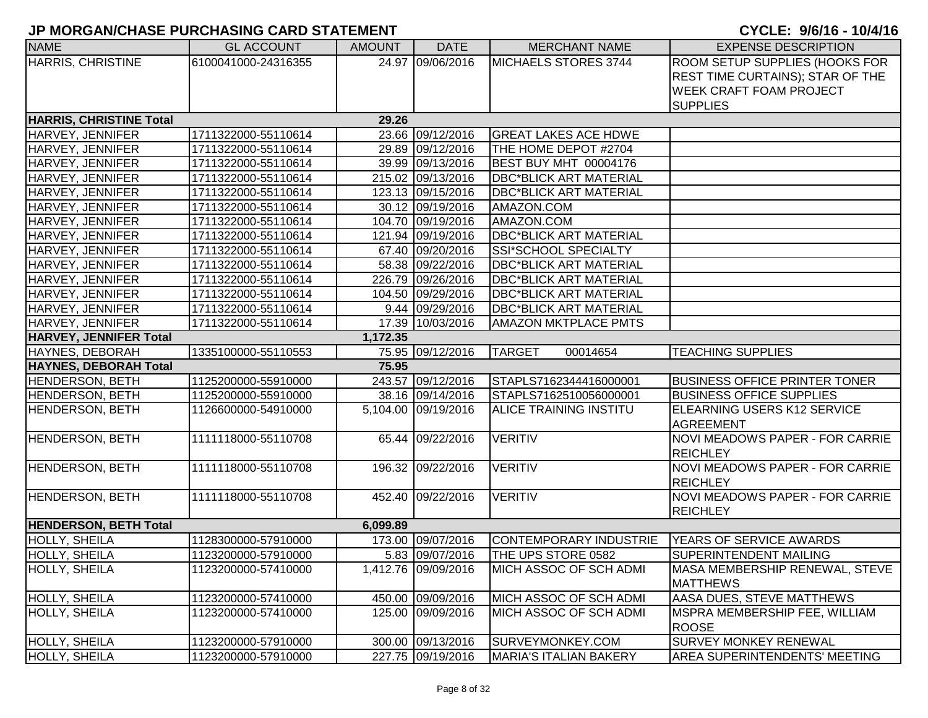| <b>NAME</b>                    | <b>GL ACCOUNT</b>   | <b>AMOUNT</b> | <b>DATE</b>         | <b>MERCHANT NAME</b>          | <b>EXPENSE DESCRIPTION</b>                        |
|--------------------------------|---------------------|---------------|---------------------|-------------------------------|---------------------------------------------------|
| <b>HARRIS, CHRISTINE</b>       | 6100041000-24316355 |               | 24.97 09/06/2016    | MICHAELS STORES 3744          | ROOM SETUP SUPPLIES (HOOKS FOR                    |
|                                |                     |               |                     |                               | <b>REST TIME CURTAINS); STAR OF THE</b>           |
|                                |                     |               |                     |                               | <b>WEEK CRAFT FOAM PROJECT</b>                    |
|                                |                     |               |                     |                               | <b>SUPPLIES</b>                                   |
| <b>HARRIS, CHRISTINE Total</b> |                     | 29.26         |                     |                               |                                                   |
| HARVEY, JENNIFER               | 1711322000-55110614 |               | 23.66 09/12/2016    | <b>GREAT LAKES ACE HDWE</b>   |                                                   |
| HARVEY, JENNIFER               | 1711322000-55110614 |               | 29.89 09/12/2016    | THE HOME DEPOT #2704          |                                                   |
| HARVEY, JENNIFER               | 1711322000-55110614 |               | 39.99 09/13/2016    | <b>BEST BUY MHT 00004176</b>  |                                                   |
| HARVEY, JENNIFER               | 1711322000-55110614 |               | 215.02 09/13/2016   | <b>DBC*BLICK ART MATERIAL</b> |                                                   |
| HARVEY, JENNIFER               | 1711322000-55110614 |               | 123.13 09/15/2016   | <b>DBC*BLICK ART MATERIAL</b> |                                                   |
| HARVEY, JENNIFER               | 1711322000-55110614 |               | 30.12 09/19/2016    | AMAZON.COM                    |                                                   |
| HARVEY, JENNIFER               | 1711322000-55110614 |               | 104.70 09/19/2016   | AMAZON.COM                    |                                                   |
| HARVEY, JENNIFER               | 1711322000-55110614 |               | 121.94 09/19/2016   | <b>DBC*BLICK ART MATERIAL</b> |                                                   |
| <b>HARVEY, JENNIFER</b>        | 1711322000-55110614 |               | 67.40 09/20/2016    | SSI*SCHOOL SPECIALTY          |                                                   |
| HARVEY, JENNIFER               | 1711322000-55110614 |               | 58.38 09/22/2016    | <b>DBC*BLICK ART MATERIAL</b> |                                                   |
| HARVEY, JENNIFER               | 1711322000-55110614 |               | 226.79 09/26/2016   | <b>DBC*BLICK ART MATERIAL</b> |                                                   |
| HARVEY, JENNIFER               | 1711322000-55110614 |               | 104.50 09/29/2016   | <b>DBC*BLICK ART MATERIAL</b> |                                                   |
| HARVEY, JENNIFER               | 1711322000-55110614 |               | 9.44 09/29/2016     | <b>DBC*BLICK ART MATERIAL</b> |                                                   |
| HARVEY, JENNIFER               | 1711322000-55110614 |               | 17.39 10/03/2016    | <b>AMAZON MKTPLACE PMTS</b>   |                                                   |
| <b>HARVEY, JENNIFER Total</b>  |                     | 1,172.35      |                     |                               |                                                   |
| HAYNES, DEBORAH                | 1335100000-55110553 |               | 75.95 09/12/2016    | <b>TARGET</b><br>00014654     | <b>TEACHING SUPPLIES</b>                          |
| <b>HAYNES, DEBORAH Total</b>   |                     | 75.95         |                     |                               |                                                   |
| HENDERSON, BETH                | 1125200000-55910000 |               | 243.57 09/12/2016   | STAPLS7162344416000001        | <b>BUSINESS OFFICE PRINTER TONER</b>              |
| HENDERSON, BETH                | 1125200000-55910000 |               | 38.16 09/14/2016    | STAPLS7162510056000001        | <b>BUSINESS OFFICE SUPPLIES</b>                   |
| HENDERSON, BETH                | 1126600000-54910000 |               | 5,104.00 09/19/2016 | ALICE TRAINING INSTITU        | ELEARNING USERS K12 SERVICE<br><b>AGREEMENT</b>   |
| <b>HENDERSON, BETH</b>         | 1111118000-55110708 |               | 65.44 09/22/2016    | <b>VERITIV</b>                | <b>NOVI MEADOWS PAPER - FOR CARRIE</b>            |
|                                |                     |               |                     |                               | <b>REICHLEY</b>                                   |
| HENDERSON, BETH                | 1111118000-55110708 |               | 196.32 09/22/2016   | <b>VERITIV</b>                | NOVI MEADOWS PAPER - FOR CARRIE                   |
|                                |                     |               |                     |                               | <b>REICHLEY</b>                                   |
| <b>HENDERSON, BETH</b>         | 1111118000-55110708 |               | 452.40 09/22/2016   | <b>VERITIV</b>                | <b>NOVI MEADOWS PAPER - FOR CARRIE</b>            |
|                                |                     |               |                     |                               | <b>REICHLEY</b>                                   |
| <b>HENDERSON, BETH Total</b>   |                     | 6,099.89      |                     |                               |                                                   |
| HOLLY, SHEILA                  | 1128300000-57910000 |               | 173.00 09/07/2016   | CONTEMPORARY INDUSTRIE        | <b>YEARS OF SERVICE AWARDS</b>                    |
| HOLLY, SHEILA                  | 1123200000-57910000 |               | 5.83 09/07/2016     | THE UPS STORE 0582            | <b>SUPERINTENDENT MAILING</b>                     |
| HOLLY, SHEILA                  | 1123200000-57410000 |               | 1,412.76 09/09/2016 | MICH ASSOC OF SCH ADMI        | MASA MEMBERSHIP RENEWAL, STEVE<br><b>MATTHEWS</b> |
| <b>HOLLY, SHEILA</b>           | 1123200000-57410000 |               | 450.00 09/09/2016   | MICH ASSOC OF SCH ADMI        | <b>AASA DUES, STEVE MATTHEWS</b>                  |
| HOLLY, SHEILA                  | 1123200000-57410000 |               | 125.00 09/09/2016   | MICH ASSOC OF SCH ADMI        | MSPRA MEMBERSHIP FEE, WILLIAM                     |
|                                |                     |               |                     |                               | <b>ROOSE</b>                                      |
| HOLLY, SHEILA                  | 1123200000-57910000 |               | 300.00 09/13/2016   | SURVEYMONKEY.COM              | SURVEY MONKEY RENEWAL                             |
| HOLLY, SHEILA                  | 1123200000-57910000 |               | 227.75 09/19/2016   | MARIA'S ITALIAN BAKERY        | <b>AREA SUPERINTENDENTS' MEETING</b>              |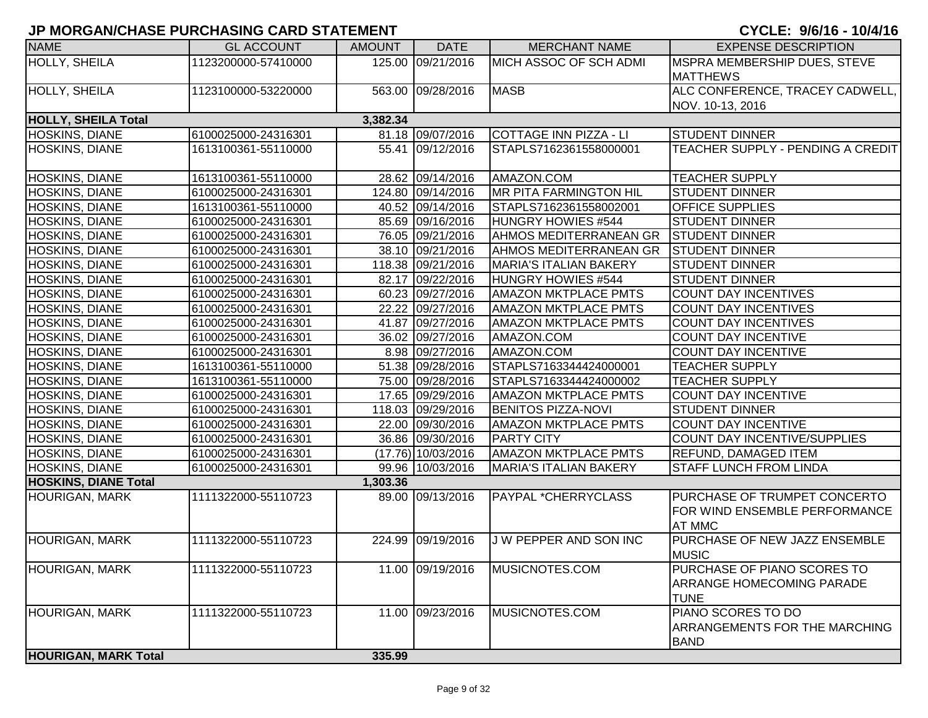| <b>NAME</b>                 | <b>GL ACCOUNT</b>   | <b>AMOUNT</b> | <b>DATE</b>          | <b>MERCHANT NAME</b>          | <b>EXPENSE DESCRIPTION</b>                                                     |
|-----------------------------|---------------------|---------------|----------------------|-------------------------------|--------------------------------------------------------------------------------|
| <b>HOLLY, SHEILA</b>        | 1123200000-57410000 |               | 125.00 09/21/2016    | MICH ASSOC OF SCH ADMI        | MSPRA MEMBERSHIP DUES, STEVE<br><b>MATTHEWS</b>                                |
| HOLLY, SHEILA               | 1123100000-53220000 |               | 563.00 09/28/2016    | <b>MASB</b>                   | ALC CONFERENCE, TRACEY CADWELL,<br>NOV. 10-13, 2016                            |
| <b>HOLLY, SHEILA Total</b>  |                     | 3,382.34      |                      |                               |                                                                                |
| <b>HOSKINS, DIANE</b>       | 6100025000-24316301 |               | 81.18 09/07/2016     | COTTAGE INN PIZZA - LI        | <b>STUDENT DINNER</b>                                                          |
| <b>HOSKINS, DIANE</b>       | 1613100361-55110000 |               | 55.41 09/12/2016     | STAPLS7162361558000001        | TEACHER SUPPLY - PENDING A CREDIT                                              |
| HOSKINS, DIANE              | 1613100361-55110000 |               | 28.62 09/14/2016     | AMAZON.COM                    | <b>TEACHER SUPPLY</b>                                                          |
| <b>HOSKINS, DIANE</b>       | 6100025000-24316301 |               | 124.80 09/14/2016    | <b>MR PITA FARMINGTON HIL</b> | <b>STUDENT DINNER</b>                                                          |
| <b>HOSKINS, DIANE</b>       | 1613100361-55110000 |               | 40.52 09/14/2016     | STAPLS7162361558002001        | <b>OFFICE SUPPLIES</b>                                                         |
| <b>HOSKINS, DIANE</b>       | 6100025000-24316301 |               | 85.69 09/16/2016     | HUNGRY HOWIES #544            | <b>STUDENT DINNER</b>                                                          |
| <b>HOSKINS, DIANE</b>       | 6100025000-24316301 |               | 76.05 09/21/2016     | AHMOS MEDITERRANEAN GR        | <b>STUDENT DINNER</b>                                                          |
| <b>HOSKINS, DIANE</b>       | 6100025000-24316301 |               | 38.10 09/21/2016     | <b>AHMOS MEDITERRANEAN GR</b> | <b>STUDENT DINNER</b>                                                          |
| <b>HOSKINS, DIANE</b>       | 6100025000-24316301 |               | 118.38 09/21/2016    | <b>MARIA'S ITALIAN BAKERY</b> | <b>STUDENT DINNER</b>                                                          |
| <b>HOSKINS, DIANE</b>       | 6100025000-24316301 |               | 82.17 09/22/2016     | <b>HUNGRY HOWIES #544</b>     | <b>STUDENT DINNER</b>                                                          |
| HOSKINS, DIANE              | 6100025000-24316301 |               | 60.23 09/27/2016     | <b>AMAZON MKTPLACE PMTS</b>   | <b>COUNT DAY INCENTIVES</b>                                                    |
| <b>HOSKINS, DIANE</b>       | 6100025000-24316301 |               | 22.22 09/27/2016     | <b>AMAZON MKTPLACE PMTS</b>   | <b>COUNT DAY INCENTIVES</b>                                                    |
| <b>HOSKINS, DIANE</b>       | 6100025000-24316301 |               | 41.87 09/27/2016     | <b>AMAZON MKTPLACE PMTS</b>   | <b>COUNT DAY INCENTIVES</b>                                                    |
| <b>HOSKINS, DIANE</b>       | 6100025000-24316301 |               | 36.02 09/27/2016     | AMAZON.COM                    | <b>COUNT DAY INCENTIVE</b>                                                     |
| <b>HOSKINS, DIANE</b>       | 6100025000-24316301 |               | 8.98 09/27/2016      | AMAZON.COM                    | <b>COUNT DAY INCENTIVE</b>                                                     |
| <b>HOSKINS, DIANE</b>       | 1613100361-55110000 |               | 51.38 09/28/2016     | STAPLS7163344424000001        | <b>TEACHER SUPPLY</b>                                                          |
| <b>HOSKINS, DIANE</b>       | 1613100361-55110000 |               | 75.00 09/28/2016     | STAPLS7163344424000002        | <b>TEACHER SUPPLY</b>                                                          |
| <b>HOSKINS, DIANE</b>       | 6100025000-24316301 |               | 17.65 09/29/2016     | <b>AMAZON MKTPLACE PMTS</b>   | <b>COUNT DAY INCENTIVE</b>                                                     |
| <b>HOSKINS, DIANE</b>       | 6100025000-24316301 |               | 118.03 09/29/2016    | <b>BENITOS PIZZA-NOVI</b>     | <b>STUDENT DINNER</b>                                                          |
| <b>HOSKINS, DIANE</b>       | 6100025000-24316301 |               | 22.00 09/30/2016     | <b>AMAZON MKTPLACE PMTS</b>   | <b>COUNT DAY INCENTIVE</b>                                                     |
| <b>HOSKINS, DIANE</b>       | 6100025000-24316301 |               | 36.86 09/30/2016     | <b>PARTY CITY</b>             | COUNT DAY INCENTIVE/SUPPLIES                                                   |
| <b>HOSKINS, DIANE</b>       | 6100025000-24316301 |               | $(17.76)$ 10/03/2016 | <b>AMAZON MKTPLACE PMTS</b>   | <b>REFUND, DAMAGED ITEM</b>                                                    |
| <b>HOSKINS, DIANE</b>       | 6100025000-24316301 |               | 99.96 10/03/2016     | <b>MARIA'S ITALIAN BAKERY</b> | <b>STAFF LUNCH FROM LINDA</b>                                                  |
| <b>HOSKINS, DIANE Total</b> |                     | 1,303.36      |                      |                               |                                                                                |
| <b>HOURIGAN, MARK</b>       | 1111322000-55110723 |               | 89.00 09/13/2016     | PAYPAL *CHERRYCLASS           | PURCHASE OF TRUMPET CONCERTO<br>FOR WIND ENSEMBLE PERFORMANCE<br><b>AT MMC</b> |
| <b>HOURIGAN, MARK</b>       | 1111322000-55110723 |               | 224.99 09/19/2016    | J W PEPPER AND SON INC        | PURCHASE OF NEW JAZZ ENSEMBLE<br><b>MUSIC</b>                                  |
| <b>HOURIGAN, MARK</b>       | 1111322000-55110723 |               | 11.00 09/19/2016     | MUSICNOTES.COM                | PURCHASE OF PIANO SCORES TO<br>ARRANGE HOMECOMING PARADE<br><b>TUNE</b>        |
| <b>HOURIGAN, MARK</b>       | 1111322000-55110723 |               | 11.00 09/23/2016     | MUSICNOTES.COM                | PIANO SCORES TO DO<br><b>ARRANGEMENTS FOR THE MARCHING</b><br><b>BAND</b>      |
| <b>HOURIGAN, MARK Total</b> |                     | 335.99        |                      |                               |                                                                                |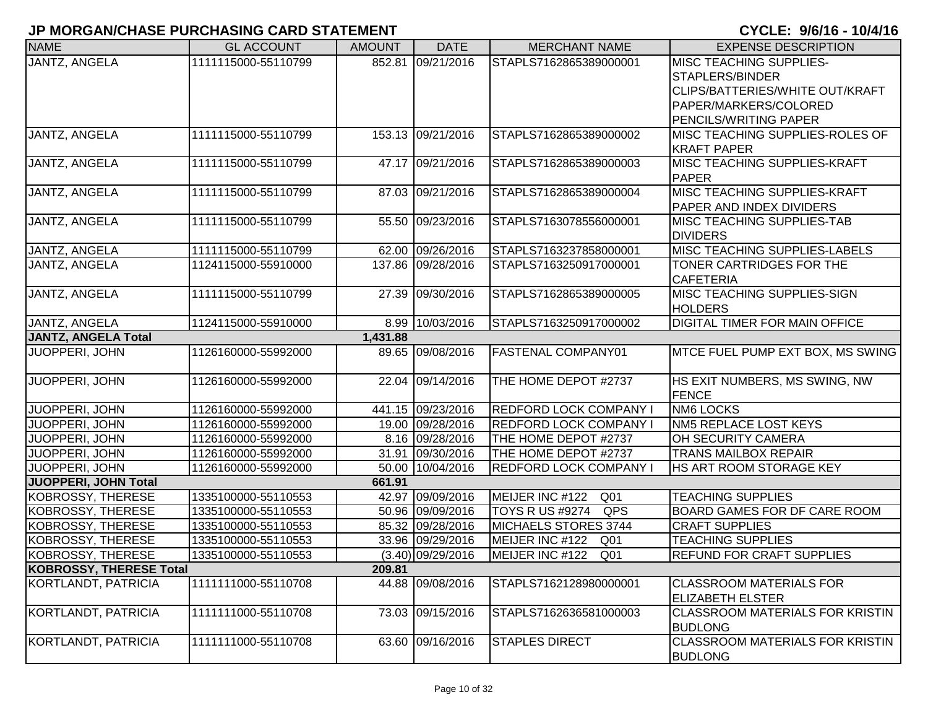| <b>NAME</b>                    | <b>GL ACCOUNT</b>   | <b>AMOUNT</b> | <b>DATE</b>         | <b>MERCHANT NAME</b>               | <b>EXPENSE DESCRIPTION</b>                                                                                                             |
|--------------------------------|---------------------|---------------|---------------------|------------------------------------|----------------------------------------------------------------------------------------------------------------------------------------|
| JANTZ, ANGELA                  | 1111115000-55110799 |               | 852.81 09/21/2016   | STAPLS7162865389000001             | <b>MISC TEACHING SUPPLIES-</b><br>STAPLERS/BINDER<br>CLIPS/BATTERIES/WHITE OUT/KRAFT<br>PAPER/MARKERS/COLORED<br>PENCILS/WRITING PAPER |
| JANTZ, ANGELA                  | 1111115000-55110799 |               | 153.13 09/21/2016   | STAPLS7162865389000002             | MISC TEACHING SUPPLIES-ROLES OF<br><b>KRAFT PAPER</b>                                                                                  |
| JANTZ, ANGELA                  | 1111115000-55110799 |               | 47.17 09/21/2016    | STAPLS7162865389000003             | <b>MISC TEACHING SUPPLIES-KRAFT</b><br><b>PAPER</b>                                                                                    |
| JANTZ, ANGELA                  | 1111115000-55110799 |               | 87.03 09/21/2016    | STAPLS7162865389000004             | <b>MISC TEACHING SUPPLIES-KRAFT</b><br>PAPER AND INDEX DIVIDERS                                                                        |
| JANTZ, ANGELA                  | 1111115000-55110799 |               | 55.50 09/23/2016    | STAPLS7163078556000001             | <b>MISC TEACHING SUPPLIES-TAB</b><br><b>DIVIDERS</b>                                                                                   |
| JANTZ, ANGELA                  | 1111115000-55110799 |               | 62.00 09/26/2016    | STAPLS7163237858000001             | <b>MISC TEACHING SUPPLIES-LABELS</b>                                                                                                   |
| JANTZ, ANGELA                  | 1124115000-55910000 |               | 137.86 09/28/2016   | STAPLS7163250917000001             | TONER CARTRIDGES FOR THE<br><b>CAFETERIA</b>                                                                                           |
| JANTZ, ANGELA                  | 1111115000-55110799 |               | 27.39 09/30/2016    | STAPLS7162865389000005             | MISC TEACHING SUPPLIES-SIGN<br><b>HOLDERS</b>                                                                                          |
| <b>JANTZ, ANGELA</b>           | 1124115000-55910000 | 8.99          | 10/03/2016          | STAPLS7163250917000002             | <b>DIGITAL TIMER FOR MAIN OFFICE</b>                                                                                                   |
| <b>JANTZ, ANGELA Total</b>     |                     | 1,431.88      |                     |                                    |                                                                                                                                        |
| JUOPPERI, JOHN                 | 1126160000-55992000 |               | 89.65 09/08/2016    | <b>FASTENAL COMPANY01</b>          | MTCE FUEL PUMP EXT BOX, MS SWING                                                                                                       |
| JUOPPERI, JOHN                 | 1126160000-55992000 |               | 22.04 09/14/2016    | THE HOME DEPOT #2737               | HS EXIT NUMBERS, MS SWING, NW<br><b>FENCE</b>                                                                                          |
| JUOPPERI, JOHN                 | 1126160000-55992000 |               | 441.15 09/23/2016   | <b>REDFORD LOCK COMPANY I</b>      | <b>NM6 LOCKS</b>                                                                                                                       |
| JUOPPERI, JOHN                 | 1126160000-55992000 |               | 19.00 09/28/2016    | <b>REDFORD LOCK COMPANY I</b>      | <b>NM5 REPLACE LOST KEYS</b>                                                                                                           |
| JUOPPERI, JOHN                 | 1126160000-55992000 |               | 8.16 09/28/2016     | THE HOME DEPOT #2737               | OH SECURITY CAMERA                                                                                                                     |
| JUOPPERI, JOHN                 | 1126160000-55992000 |               | 31.91 09/30/2016    | THE HOME DEPOT #2737               | <b>TRANS MAILBOX REPAIR</b>                                                                                                            |
| JUOPPERI, JOHN                 | 1126160000-55992000 |               | 50.00 10/04/2016    | REDFORD LOCK COMPANY I             | <b>HS ART ROOM STORAGE KEY</b>                                                                                                         |
| <b>JUOPPERI, JOHN Total</b>    |                     | 661.91        |                     |                                    |                                                                                                                                        |
| <b>KOBROSSY, THERESE</b>       | 1335100000-55110553 | 42.97         | 09/09/2016          | MEIJER INC #122<br>Q <sub>01</sub> | <b>TEACHING SUPPLIES</b>                                                                                                               |
| <b>KOBROSSY, THERESE</b>       | 1335100000-55110553 |               | 50.96 09/09/2016    | QPS<br><b>TOYS R US #9274</b>      | <b>BOARD GAMES FOR DF CARE ROOM</b>                                                                                                    |
| <b>KOBROSSY, THERESE</b>       | 1335100000-55110553 |               | 85.32 09/28/2016    | MICHAELS STORES 3744               | <b>CRAFT SUPPLIES</b>                                                                                                                  |
| <b>KOBROSSY, THERESE</b>       | 1335100000-55110553 |               | 33.96 09/29/2016    | MEIJER INC #122<br>Q01             | <b>TEACHING SUPPLIES</b>                                                                                                               |
| <b>KOBROSSY, THERESE</b>       | 1335100000-55110553 |               | $(3.40)$ 09/29/2016 | MEIJER INC #122<br>Q01             | <b>REFUND FOR CRAFT SUPPLIES</b>                                                                                                       |
| <b>KOBROSSY, THERESE Total</b> |                     | 209.81        |                     |                                    |                                                                                                                                        |
| KORTLANDT, PATRICIA            | 1111111000-55110708 |               | 44.88 09/08/2016    | STAPLS7162128980000001             | <b>CLASSROOM MATERIALS FOR</b><br><b>ELIZABETH ELSTER</b>                                                                              |
| KORTLANDT, PATRICIA            | 1111111000-55110708 | 73.03         | 09/15/2016          | STAPLS7162636581000003             | CLASSROOM MATERIALS FOR KRISTIN<br><b>BUDLONG</b>                                                                                      |
| KORTLANDT, PATRICIA            | 1111111000-55110708 |               | 63.60 09/16/2016    | <b>STAPLES DIRECT</b>              | <b>CLASSROOM MATERIALS FOR KRISTIN</b><br><b>BUDLONG</b>                                                                               |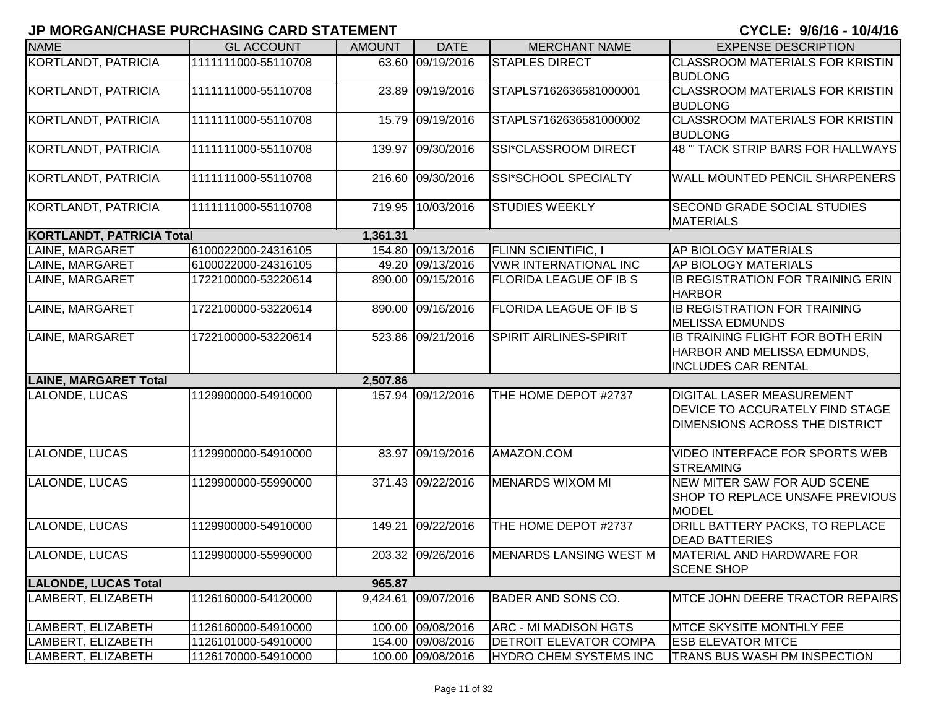| <b>NAME</b>                      | <b>GL ACCOUNT</b>   | <b>AMOUNT</b> | <b>DATE</b>         | <b>MERCHANT NAME</b>           | <b>EXPENSE DESCRIPTION</b>              |
|----------------------------------|---------------------|---------------|---------------------|--------------------------------|-----------------------------------------|
| KORTLANDT, PATRICIA              | 1111111000-55110708 |               | 63.60 09/19/2016    | <b>STAPLES DIRECT</b>          | <b>CLASSROOM MATERIALS FOR KRISTIN</b>  |
|                                  |                     |               |                     |                                | <b>BUDLONG</b>                          |
| KORTLANDT, PATRICIA              | 1111111000-55110708 |               | 23.89 09/19/2016    | STAPLS7162636581000001         | CLASSROOM MATERIALS FOR KRISTIN         |
|                                  |                     |               |                     |                                | <b>BUDLONG</b>                          |
| KORTLANDT, PATRICIA              | 1111111000-55110708 |               | 15.79 09/19/2016    | STAPLS7162636581000002         | <b>CLASSROOM MATERIALS FOR KRISTIN</b>  |
|                                  |                     |               |                     |                                | <b>BUDLONG</b>                          |
| KORTLANDT, PATRICIA              | 1111111000-55110708 | 139.97        | 09/30/2016          | SSI*CLASSROOM DIRECT           | 48 " TACK STRIP BARS FOR HALLWAYS       |
|                                  |                     |               |                     |                                |                                         |
| <b>KORTLANDT, PATRICIA</b>       | 1111111000-55110708 |               | 216.60 09/30/2016   | SSI*SCHOOL SPECIALTY           | WALL MOUNTED PENCIL SHARPENERS          |
| KORTLANDT, PATRICIA              | 1111111000-55110708 |               | 719.95 10/03/2016   | <b>STUDIES WEEKLY</b>          | SECOND GRADE SOCIAL STUDIES             |
|                                  |                     |               |                     |                                | <b>MATERIALS</b>                        |
| <b>KORTLANDT, PATRICIA Total</b> |                     | 1,361.31      |                     |                                |                                         |
| LAINE, MARGARET                  | 6100022000-24316105 |               | 154.80 09/13/2016   | <b>FLINN SCIENTIFIC, I</b>     | AP BIOLOGY MATERIALS                    |
| LAINE, MARGARET                  | 6100022000-24316105 |               | 49.20 09/13/2016    | <b>VWR INTERNATIONAL INC</b>   | AP BIOLOGY MATERIALS                    |
| LAINE, MARGARET                  | 1722100000-53220614 |               | 890.00 09/15/2016   | <b>FLORIDA LEAGUE OF IB S</b>  | IB REGISTRATION FOR TRAINING ERIN       |
|                                  |                     |               |                     |                                | <b>HARBOR</b>                           |
| LAINE, MARGARET                  | 1722100000-53220614 |               | 890.00 09/16/2016   | <b>FLORIDA LEAGUE OF IB S</b>  | <b>IB REGISTRATION FOR TRAINING</b>     |
|                                  |                     |               |                     |                                | <b>MELISSA EDMUNDS</b>                  |
| LAINE, MARGARET                  | 1722100000-53220614 |               | 523.86 09/21/2016   | <b>SPIRIT AIRLINES-SPIRIT</b>  | <b>IB TRAINING FLIGHT FOR BOTH ERIN</b> |
|                                  |                     |               |                     |                                | HARBOR AND MELISSA EDMUNDS,             |
|                                  |                     |               |                     |                                | <b>INCLUDES CAR RENTAL</b>              |
| <b>LAINE, MARGARET Total</b>     |                     | 2,507.86      |                     |                                |                                         |
| LALONDE, LUCAS                   | 1129900000-54910000 |               | 157.94 09/12/2016   | THE HOME DEPOT #2737           | DIGITAL LASER MEASUREMENT               |
|                                  |                     |               |                     |                                | DEVICE TO ACCURATELY FIND STAGE         |
|                                  |                     |               |                     |                                | DIMENSIONS ACROSS THE DISTRICT          |
| <b>LALONDE, LUCAS</b>            | 1129900000-54910000 |               | 83.97 09/19/2016    | AMAZON.COM                     | VIDEO INTERFACE FOR SPORTS WEB          |
|                                  |                     |               |                     |                                | <b>STREAMING</b>                        |
| LALONDE, LUCAS                   | 1129900000-55990000 |               | 371.43 09/22/2016   | <b>MENARDS WIXOM MI</b>        | NEW MITER SAW FOR AUD SCENE             |
|                                  |                     |               |                     |                                | SHOP TO REPLACE UNSAFE PREVIOUS         |
|                                  |                     |               |                     |                                | <b>MODEL</b>                            |
| LALONDE, LUCAS                   | 1129900000-54910000 | 149.21        | 09/22/2016          | THE HOME DEPOT #2737           | DRILL BATTERY PACKS, TO REPLACE         |
|                                  |                     |               |                     |                                | <b>DEAD BATTERIES</b>                   |
| LALONDE, LUCAS                   | 1129900000-55990000 |               | 203.32 09/26/2016   | <b>IMENARDS LANSING WEST M</b> | MATERIAL AND HARDWARE FOR               |
|                                  |                     |               |                     |                                | <b>SCENE SHOP</b>                       |
| <b>LALONDE, LUCAS Total</b>      |                     | 965.87        |                     |                                |                                         |
| LAMBERT, ELIZABETH               | 1126160000-54120000 |               | 9,424.61 09/07/2016 | <b>BADER AND SONS CO.</b>      | MTCE JOHN DEERE TRACTOR REPAIRS         |
|                                  |                     |               |                     |                                |                                         |
| LAMBERT, ELIZABETH               | 1126160000-54910000 |               | 100.00 09/08/2016   | <b>ARC - MI MADISON HGTS</b>   | <b>MTCE SKYSITE MONTHLY FEE</b>         |
| LAMBERT, ELIZABETH               | 1126101000-54910000 |               | 154.00 09/08/2016   | <b>DETROIT ELEVATOR COMPA</b>  | <b>ESB ELEVATOR MTCE</b>                |
| LAMBERT, ELIZABETH               | 1126170000-54910000 |               | 100.00 09/08/2016   | <b>HYDRO CHEM SYSTEMS INC</b>  | TRANS BUS WASH PM INSPECTION            |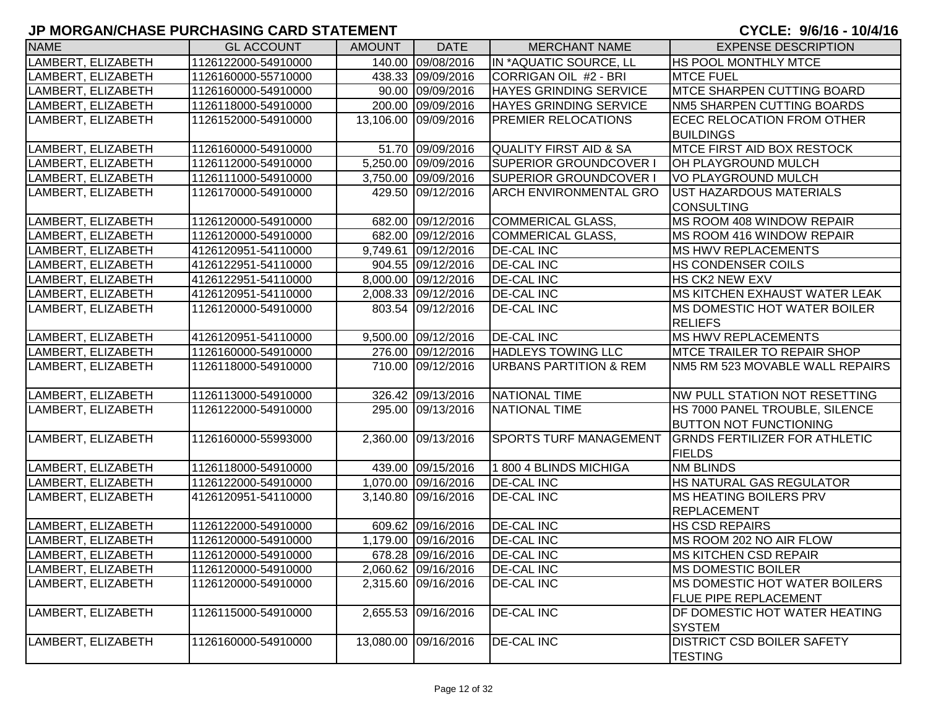| <b>NAME</b>        | <b>GL ACCOUNT</b>   | <b>AMOUNT</b> | <b>DATE</b>          | <b>MERCHANT NAME</b>              | <b>EXPENSE DESCRIPTION</b>              |
|--------------------|---------------------|---------------|----------------------|-----------------------------------|-----------------------------------------|
| LAMBERT, ELIZABETH | 1126122000-54910000 |               | 140.00 09/08/2016    | IN *AQUATIC SOURCE, LL            | <b>HS POOL MONTHLY MTCE</b>             |
| LAMBERT, ELIZABETH | 1126160000-55710000 |               | 438.33 09/09/2016    | CORRIGAN OIL #2 - BRI             | <b>MTCE FUEL</b>                        |
| LAMBERT, ELIZABETH | 1126160000-54910000 |               | 90.00 09/09/2016     | <b>HAYES GRINDING SERVICE</b>     | <b>MTCE SHARPEN CUTTING BOARD</b>       |
| LAMBERT, ELIZABETH | 1126118000-54910000 |               | 200.00 09/09/2016    | <b>HAYES GRINDING SERVICE</b>     | NM5 SHARPEN CUTTING BOARDS              |
| LAMBERT, ELIZABETH | 1126152000-54910000 |               | 13,106.00 09/09/2016 | <b>PREMIER RELOCATIONS</b>        | <b>ECEC RELOCATION FROM OTHER</b>       |
|                    |                     |               |                      |                                   | <b>BUILDINGS</b>                        |
| LAMBERT, ELIZABETH | 1126160000-54910000 |               | 51.70 09/09/2016     | <b>QUALITY FIRST AID &amp; SA</b> | <b>MTCE FIRST AID BOX RESTOCK</b>       |
| LAMBERT, ELIZABETH | 1126112000-54910000 |               | 5,250.00 09/09/2016  | SUPERIOR GROUNDCOVER I            | <b>OH PLAYGROUND MULCH</b>              |
| LAMBERT, ELIZABETH | 1126111000-54910000 |               | 3,750.00 09/09/2016  | <b>SUPERIOR GROUNDCOVER I</b>     | VO PLAYGROUND MULCH                     |
| LAMBERT, ELIZABETH | 1126170000-54910000 |               | 429.50 09/12/2016    | <b>ARCH ENVIRONMENTAL GRO</b>     | <b>UST HAZARDOUS MATERIALS</b>          |
|                    |                     |               |                      |                                   | <b>CONSULTING</b>                       |
| LAMBERT, ELIZABETH | 1126120000-54910000 |               | 682.00 09/12/2016    | <b>COMMERICAL GLASS,</b>          | MS ROOM 408 WINDOW REPAIR               |
| LAMBERT, ELIZABETH | 1126120000-54910000 |               | 682.00 09/12/2016    | <b>COMMERICAL GLASS,</b>          | MS ROOM 416 WINDOW REPAIR               |
| LAMBERT, ELIZABETH | 4126120951-54110000 |               | 9,749.61 09/12/2016  | <b>DE-CAL INC</b>                 | <b>MS HWV REPLACEMENTS</b>              |
| LAMBERT, ELIZABETH | 4126122951-54110000 |               | 904.55 09/12/2016    | <b>DE-CAL INC</b>                 | <b>HS CONDENSER COILS</b>               |
| LAMBERT, ELIZABETH | 4126122951-54110000 |               | 8,000.00 09/12/2016  | <b>DE-CAL INC</b>                 | <b>HS CK2 NEW EXV</b>                   |
| LAMBERT, ELIZABETH | 4126120951-54110000 |               | 2,008.33 09/12/2016  | <b>DE-CAL INC</b>                 | <b>IMS KITCHEN EXHAUST WATER LEAK</b>   |
| LAMBERT, ELIZABETH | 1126120000-54910000 |               | 803.54 09/12/2016    | <b>DE-CAL INC</b>                 | <b>IMS DOMESTIC HOT WATER BOILER</b>    |
|                    |                     |               |                      |                                   | <b>RELIEFS</b>                          |
| LAMBERT, ELIZABETH | 4126120951-54110000 |               | 9,500.00 09/12/2016  | <b>DE-CAL INC</b>                 | MS HWV REPLACEMENTS                     |
| LAMBERT, ELIZABETH | 1126160000-54910000 |               | 276.00 09/12/2016    | <b>HADLEYS TOWING LLC</b>         | <b>IMTCE TRAILER TO REPAIR SHOP</b>     |
| LAMBERT, ELIZABETH | 1126118000-54910000 |               | 710.00 09/12/2016    | <b>URBANS PARTITION &amp; REM</b> | <b>INM5 RM 523 MOVABLE WALL REPAIRS</b> |
|                    |                     |               |                      |                                   |                                         |
| LAMBERT, ELIZABETH | 1126113000-54910000 |               | 326.42 09/13/2016    | NATIONAL TIME                     | NW PULL STATION NOT RESETTING           |
| LAMBERT, ELIZABETH | 1126122000-54910000 |               | 295.00 09/13/2016    | <b>NATIONAL TIME</b>              | HS 7000 PANEL TROUBLE, SILENCE          |
|                    |                     |               |                      |                                   | <b>BUTTON NOT FUNCTIONING</b>           |
| LAMBERT, ELIZABETH | 1126160000-55993000 |               | 2,360.00 09/13/2016  | SPORTS TURF MANAGEMENT            | <b>GRNDS FERTILIZER FOR ATHLETIC</b>    |
|                    |                     |               |                      |                                   | <b>FIELDS</b>                           |
| LAMBERT, ELIZABETH | 1126118000-54910000 |               | 439.00 09/15/2016    | 1 800 4 BLINDS MICHIGA            | <b>NM BLINDS</b>                        |
| LAMBERT, ELIZABETH | 1126122000-54910000 |               | 1,070.00 09/16/2016  | <b>DE-CAL INC</b>                 | HS NATURAL GAS REGULATOR                |
| LAMBERT, ELIZABETH | 4126120951-54110000 |               | 3,140.80 09/16/2016  | <b>DE-CAL INC</b>                 | <b>IMS HEATING BOILERS PRV</b>          |
|                    |                     |               |                      |                                   | REPLACEMENT                             |
| LAMBERT, ELIZABETH | 1126122000-54910000 |               | 609.62 09/16/2016    | <b>DE-CAL INC</b>                 | <b>HS CSD REPAIRS</b>                   |
| LAMBERT, ELIZABETH | 1126120000-54910000 |               | 1,179.00 09/16/2016  | <b>DE-CAL INC</b>                 | MS ROOM 202 NO AIR FLOW                 |
| LAMBERT, ELIZABETH | 1126120000-54910000 |               | 678.28 09/16/2016    | <b>DE-CAL INC</b>                 | <b>MS KITCHEN CSD REPAIR</b>            |
| LAMBERT, ELIZABETH | 1126120000-54910000 |               | 2,060.62 09/16/2016  | <b>DE-CAL INC</b>                 | MS DOMESTIC BOILER                      |
| LAMBERT, ELIZABETH | 1126120000-54910000 |               | 2,315.60 09/16/2016  | <b>DE-CAL INC</b>                 | <b>IMS DOMESTIC HOT WATER BOILERS</b>   |
|                    |                     |               |                      |                                   | <b>FLUE PIPE REPLACEMENT</b>            |
| LAMBERT, ELIZABETH | 1126115000-54910000 |               | 2,655.53 09/16/2016  | <b>DE-CAL INC</b>                 | DF DOMESTIC HOT WATER HEATING           |
|                    |                     |               |                      |                                   | <b>SYSTEM</b>                           |
| LAMBERT, ELIZABETH | 1126160000-54910000 |               | 13,080.00 09/16/2016 | <b>DE-CAL INC</b>                 | <b>DISTRICT CSD BOILER SAFETY</b>       |
|                    |                     |               |                      |                                   | <b>TESTING</b>                          |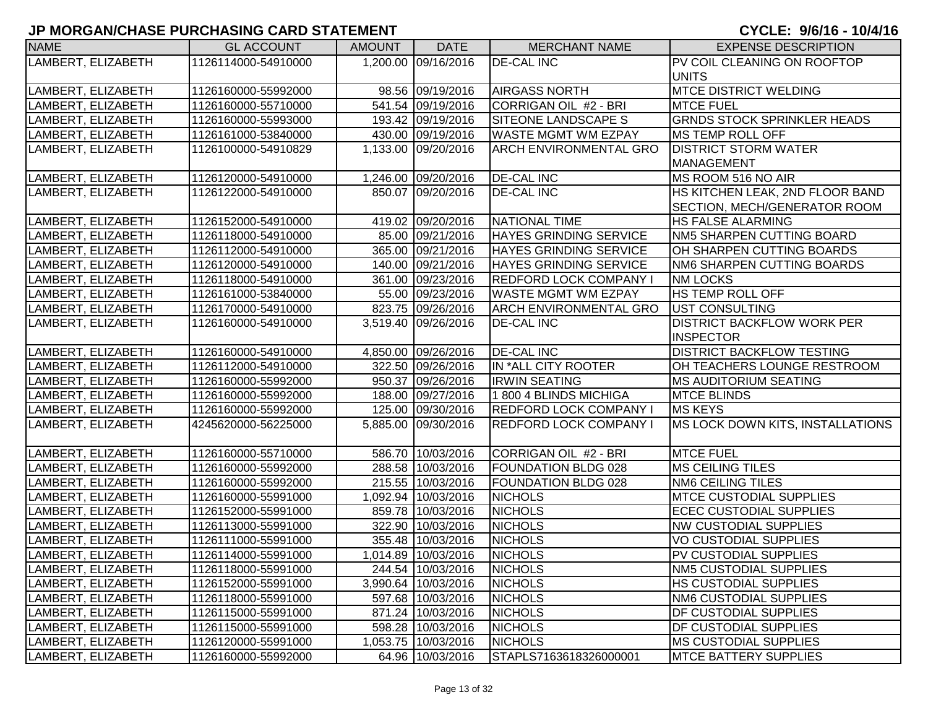| <b>NAME</b>        | <b>GL ACCOUNT</b>   | <b>AMOUNT</b> | <b>DATE</b>         | <b>MERCHANT NAME</b>          | <b>EXPENSE DESCRIPTION</b>         |
|--------------------|---------------------|---------------|---------------------|-------------------------------|------------------------------------|
| LAMBERT, ELIZABETH | 1126114000-54910000 |               | 1,200.00 09/16/2016 | <b>DE-CAL INC</b>             | PV COIL CLEANING ON ROOFTOP        |
|                    |                     |               |                     |                               | <b>UNITS</b>                       |
| LAMBERT, ELIZABETH | 1126160000-55992000 |               | 98.56 09/19/2016    | <b>AIRGASS NORTH</b>          | <b>MTCE DISTRICT WELDING</b>       |
| LAMBERT, ELIZABETH | 1126160000-55710000 |               | 541.54 09/19/2016   | CORRIGAN OIL #2 - BRI         | <b>MTCE FUEL</b>                   |
| LAMBERT, ELIZABETH | 1126160000-55993000 |               | 193.42 09/19/2016   | SITEONE LANDSCAPE S           | <b>GRNDS STOCK SPRINKLER HEADS</b> |
| LAMBERT, ELIZABETH | 1126161000-53840000 |               | 430.00 09/19/2016   | <b>WASTE MGMT WM EZPAY</b>    | <b>MS TEMP ROLL OFF</b>            |
| LAMBERT, ELIZABETH | 1126100000-54910829 |               | 1,133.00 09/20/2016 | <b>ARCH ENVIRONMENTAL GRO</b> | <b>DISTRICT STORM WATER</b>        |
|                    |                     |               |                     |                               | <b>MANAGEMENT</b>                  |
| LAMBERT, ELIZABETH | 1126120000-54910000 |               | 1,246.00 09/20/2016 | <b>DE-CAL INC</b>             | MS ROOM 516 NO AIR                 |
| LAMBERT, ELIZABETH | 1126122000-54910000 |               | 850.07 09/20/2016   | <b>DE-CAL INC</b>             | HS KITCHEN LEAK, 2ND FLOOR BAND    |
|                    |                     |               |                     |                               | SECTION, MECH/GENERATOR ROOM       |
| LAMBERT, ELIZABETH | 1126152000-54910000 |               | 419.02 09/20/2016   | NATIONAL TIME                 | <b>HS FALSE ALARMING</b>           |
| LAMBERT, ELIZABETH | 1126118000-54910000 |               | 85.00 09/21/2016    | <b>HAYES GRINDING SERVICE</b> | NM5 SHARPEN CUTTING BOARD          |
| LAMBERT, ELIZABETH | 1126112000-54910000 |               | 365.00 09/21/2016   | <b>HAYES GRINDING SERVICE</b> | OH SHARPEN CUTTING BOARDS          |
| LAMBERT, ELIZABETH | 1126120000-54910000 |               | 140.00 09/21/2016   | <b>HAYES GRINDING SERVICE</b> | <b>NM6 SHARPEN CUTTING BOARDS</b>  |
| LAMBERT, ELIZABETH | 1126118000-54910000 |               | 361.00 09/23/2016   | <b>REDFORD LOCK COMPANY I</b> | <b>NM LOCKS</b>                    |
| LAMBERT, ELIZABETH | 1126161000-53840000 |               | 55.00 09/23/2016    | <b>WASTE MGMT WM EZPAY</b>    | <b>HS TEMP ROLL OFF</b>            |
| LAMBERT, ELIZABETH | 1126170000-54910000 |               | 823.75 09/26/2016   | <b>ARCH ENVIRONMENTAL GRO</b> | UST CONSULTING                     |
| LAMBERT, ELIZABETH | 1126160000-54910000 |               | 3,519.40 09/26/2016 | <b>DE-CAL INC</b>             | <b>DISTRICT BACKFLOW WORK PER</b>  |
|                    |                     |               |                     |                               | <b>INSPECTOR</b>                   |
| LAMBERT, ELIZABETH | 1126160000-54910000 |               | 4,850.00 09/26/2016 | <b>DE-CAL INC</b>             | <b>DISTRICT BACKFLOW TESTING</b>   |
| LAMBERT, ELIZABETH | 1126112000-54910000 |               | 322.50 09/26/2016   | IN *ALL CITY ROOTER           | OH TEACHERS LOUNGE RESTROOM        |
| LAMBERT, ELIZABETH | 1126160000-55992000 |               | 950.37 09/26/2016   | <b>IRWIN SEATING</b>          | <b>MS AUDITORIUM SEATING</b>       |
| LAMBERT, ELIZABETH | 1126160000-55992000 |               | 188.00 09/27/2016   | 1800 4 BLINDS MICHIGA         | <b>MTCE BLINDS</b>                 |
| LAMBERT, ELIZABETH | 1126160000-55992000 |               | 125.00 09/30/2016   | REDFORD LOCK COMPANY I        | <b>MS KEYS</b>                     |
| LAMBERT, ELIZABETH | 4245620000-56225000 |               | 5,885.00 09/30/2016 | REDFORD LOCK COMPANY I        | MS LOCK DOWN KITS, INSTALLATIONS   |
|                    |                     |               |                     |                               |                                    |
| LAMBERT, ELIZABETH | 1126160000-55710000 |               | 586.70 10/03/2016   | CORRIGAN OIL #2 - BRI         | <b>MTCE FUEL</b>                   |
| LAMBERT, ELIZABETH | 1126160000-55992000 |               | 288.58 10/03/2016   | FOUNDATION BLDG 028           | <b>MS CEILING TILES</b>            |
| LAMBERT, ELIZABETH | 1126160000-55992000 |               | 215.55 10/03/2016   | <b>FOUNDATION BLDG 028</b>    | <b>NM6 CEILING TILES</b>           |
| LAMBERT, ELIZABETH | 1126160000-55991000 |               | 1,092.94 10/03/2016 | <b>NICHOLS</b>                | <b>MTCE CUSTODIAL SUPPLIES</b>     |
| LAMBERT, ELIZABETH | 1126152000-55991000 |               | 859.78 10/03/2016   | <b>NICHOLS</b>                | <b>ECEC CUSTODIAL SUPPLIES</b>     |
| LAMBERT, ELIZABETH | 1126113000-55991000 |               | 322.90 10/03/2016   | <b>NICHOLS</b>                | <b>NW CUSTODIAL SUPPLIES</b>       |
| LAMBERT, ELIZABETH | 1126111000-55991000 |               | 355.48 10/03/2016   | <b>NICHOLS</b>                | VO CUSTODIAL SUPPLIES              |
| LAMBERT, ELIZABETH | 1126114000-55991000 |               | 1,014.89 10/03/2016 | <b>NICHOLS</b>                | PV CUSTODIAL SUPPLIES              |
| LAMBERT, ELIZABETH | 1126118000-55991000 |               | 244.54 10/03/2016   | <b>NICHOLS</b>                | NM5 CUSTODIAL SUPPLIES             |
| LAMBERT, ELIZABETH | 1126152000-55991000 |               | 3,990.64 10/03/2016 | <b>NICHOLS</b>                | <b>HS CUSTODIAL SUPPLIES</b>       |
| LAMBERT, ELIZABETH | 1126118000-55991000 |               | 597.68 10/03/2016   | <b>NICHOLS</b>                | <b>NM6 CUSTODIAL SUPPLIES</b>      |
| LAMBERT, ELIZABETH | 1126115000-55991000 |               | 871.24 10/03/2016   | <b>NICHOLS</b>                | <b>DF CUSTODIAL SUPPLIES</b>       |
| LAMBERT, ELIZABETH | 1126115000-55991000 |               | 598.28 10/03/2016   | <b>NICHOLS</b>                | <b>DF CUSTODIAL SUPPLIES</b>       |
| LAMBERT, ELIZABETH | 1126120000-55991000 |               | 1,053.75 10/03/2016 | <b>NICHOLS</b>                | <b>MS CUSTODIAL SUPPLIES</b>       |
| LAMBERT, ELIZABETH | 1126160000-55992000 |               | 64.96 10/03/2016    | STAPLS7163618326000001        | <b>MTCE BATTERY SUPPLIES</b>       |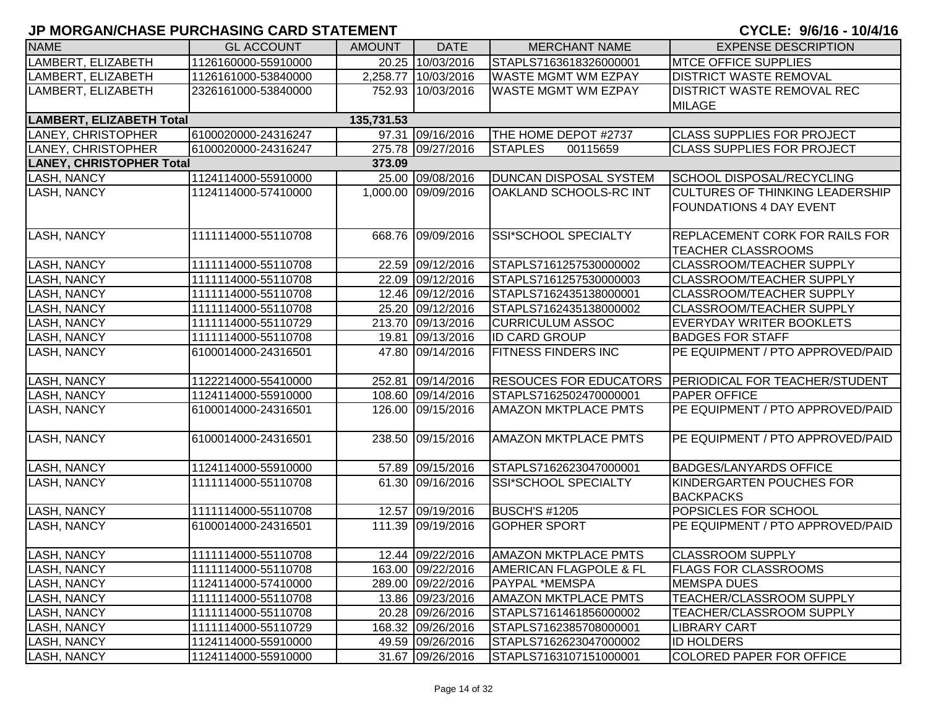| <b>NAME</b>                     | <b>GL ACCOUNT</b>   | <b>AMOUNT</b> | <b>DATE</b>         | <b>MERCHANT NAME</b>              | <b>EXPENSE DESCRIPTION</b>                            |
|---------------------------------|---------------------|---------------|---------------------|-----------------------------------|-------------------------------------------------------|
| LAMBERT, ELIZABETH              | 1126160000-55910000 |               | 20.25 10/03/2016    | STAPLS7163618326000001            | <b>MTCE OFFICE SUPPLIES</b>                           |
| LAMBERT, ELIZABETH              | 1126161000-53840000 |               | 2,258.77 10/03/2016 | <b>WASTE MGMT WM EZPAY</b>        | <b>DISTRICT WASTE REMOVAL</b>                         |
| LAMBERT, ELIZABETH              | 2326161000-53840000 |               | 752.93 10/03/2016   | WASTE MGMT WM EZPAY               | <b>DISTRICT WASTE REMOVAL REC</b>                     |
|                                 |                     |               |                     |                                   | <b>MILAGE</b>                                         |
| <b>LAMBERT, ELIZABETH Total</b> |                     | 135,731.53    |                     |                                   |                                                       |
| LANEY, CHRISTOPHER              | 6100020000-24316247 |               | 97.31 09/16/2016    | THE HOME DEPOT #2737              | <b>CLASS SUPPLIES FOR PROJECT</b>                     |
| <b>LANEY, CHRISTOPHER</b>       | 6100020000-24316247 |               | 275.78 09/27/2016   | <b>STAPLES</b><br>00115659        | <b>CLASS SUPPLIES FOR PROJECT</b>                     |
| <b>LANEY, CHRISTOPHER Total</b> |                     | 373.09        |                     |                                   |                                                       |
| LASH, NANCY                     | 1124114000-55910000 |               | 25.00 09/08/2016    | <b>DUNCAN DISPOSAL SYSTEM</b>     | SCHOOL DISPOSAL/RECYCLING                             |
| LASH, NANCY                     | 1124114000-57410000 |               | 1,000.00 09/09/2016 | OAKLAND SCHOOLS-RC INT            | <b>CULTURES OF THINKING LEADERSHIP</b>                |
|                                 |                     |               |                     |                                   | <b>FOUNDATIONS 4 DAY EVENT</b>                        |
|                                 |                     |               |                     |                                   |                                                       |
| <b>LASH, NANCY</b>              | 1111114000-55110708 |               | 668.76 09/09/2016   | SSI*SCHOOL SPECIALTY              | <b>REPLACEMENT CORK FOR RAILS FOR</b>                 |
|                                 |                     |               |                     |                                   | <b>TEACHER CLASSROOMS</b>                             |
| <b>LASH, NANCY</b>              | 1111114000-55110708 |               | 22.59 09/12/2016    | STAPLS7161257530000002            | <b>CLASSROOM/TEACHER SUPPLY</b>                       |
| <b>LASH, NANCY</b>              | 1111114000-55110708 |               | 22.09 09/12/2016    | STAPLS7161257530000003            | <b>CLASSROOM/TEACHER SUPPLY</b>                       |
| <b>LASH, NANCY</b>              | 1111114000-55110708 |               | 12.46 09/12/2016    | STAPLS7162435138000001            | <b>CLASSROOM/TEACHER SUPPLY</b>                       |
| <b>LASH, NANCY</b>              | 1111114000-55110708 |               | 25.20 09/12/2016    | STAPLS7162435138000002            | <b>CLASSROOM/TEACHER SUPPLY</b>                       |
| <b>LASH, NANCY</b>              | 1111114000-55110729 |               | 213.70 09/13/2016   | <b>CURRICULUM ASSOC</b>           | <b>EVERYDAY WRITER BOOKLETS</b>                       |
| <b>LASH, NANCY</b>              | 1111114000-55110708 |               | 19.81 09/13/2016    | <b>ID CARD GROUP</b>              | <b>BADGES FOR STAFF</b>                               |
| LASH, NANCY                     | 6100014000-24316501 |               | 47.80 09/14/2016    | <b>FITNESS FINDERS INC</b>        | PE EQUIPMENT / PTO APPROVED/PAID                      |
| <b>LASH, NANCY</b>              | 1122214000-55410000 |               | 252.81 09/14/2016   |                                   | RESOUCES FOR EDUCATORS PERIODICAL FOR TEACHER/STUDENT |
| <b>LASH, NANCY</b>              | 1124114000-55910000 |               | 108.60 09/14/2016   | STAPLS7162502470000001            | <b>PAPER OFFICE</b>                                   |
| LASH, NANCY                     | 6100014000-24316501 |               | 126.00 09/15/2016   | <b>AMAZON MKTPLACE PMTS</b>       | PE EQUIPMENT / PTO APPROVED/PAID                      |
| <b>LASH, NANCY</b>              | 6100014000-24316501 |               | 238.50 09/15/2016   | <b>AMAZON MKTPLACE PMTS</b>       | PE EQUIPMENT / PTO APPROVED/PAID                      |
| <b>LASH, NANCY</b>              | 1124114000-55910000 |               | 57.89 09/15/2016    | STAPLS7162623047000001            | <b>BADGES/LANYARDS OFFICE</b>                         |
| LASH, NANCY                     | 1111114000-55110708 |               | 61.30 09/16/2016    | SSI*SCHOOL SPECIALTY              | KINDERGARTEN POUCHES FOR                              |
|                                 |                     |               |                     |                                   | <b>BACKPACKS</b>                                      |
| <b>LASH, NANCY</b>              | 1111114000-55110708 |               | 12.57 09/19/2016    | BUSCH'S #1205                     | POPSICLES FOR SCHOOL                                  |
| <b>LASH, NANCY</b>              | 6100014000-24316501 |               | 111.39 09/19/2016   | <b>GOPHER SPORT</b>               | PE EQUIPMENT / PTO APPROVED/PAID                      |
| <b>LASH, NANCY</b>              | 1111114000-55110708 |               | 12.44 09/22/2016    | <b>AMAZON MKTPLACE PMTS</b>       | <b>CLASSROOM SUPPLY</b>                               |
| <b>LASH, NANCY</b>              | 1111114000-55110708 |               | 163.00 09/22/2016   | <b>AMERICAN FLAGPOLE &amp; FL</b> | <b>FLAGS FOR CLASSROOMS</b>                           |
| <b>LASH, NANCY</b>              | 1124114000-57410000 |               | 289.00 09/22/2016   | PAYPAL *MEMSPA                    | <b>MEMSPA DUES</b>                                    |
| <b>LASH, NANCY</b>              | 1111114000-55110708 |               | 13.86 09/23/2016    | <b>AMAZON MKTPLACE PMTS</b>       | TEACHER/CLASSROOM SUPPLY                              |
| <b>LASH, NANCY</b>              | 1111114000-55110708 |               | 20.28 09/26/2016    | STAPLS7161461856000002            | TEACHER/CLASSROOM SUPPLY                              |
| <b>LASH, NANCY</b>              | 1111114000-55110729 |               | 168.32 09/26/2016   | STAPLS7162385708000001            | <b>LIBRARY CART</b>                                   |
| LASH, NANCY                     | 1124114000-55910000 |               | 49.59 09/26/2016    | STAPLS7162623047000002            | <b>ID HOLDERS</b>                                     |
| <b>LASH, NANCY</b>              | 1124114000-55910000 |               | 31.67 09/26/2016    | STAPLS7163107151000001            | <b>COLORED PAPER FOR OFFICE</b>                       |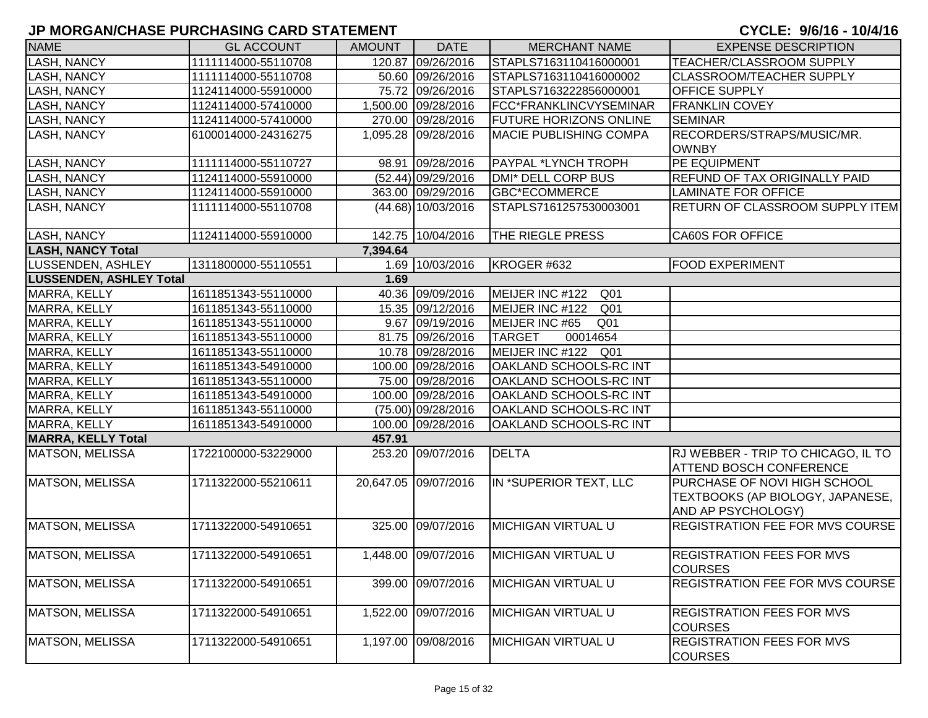| <b>NAME</b>                    | <b>GL ACCOUNT</b>   | <b>AMOUNT</b> | <b>DATE</b>          | <b>MERCHANT NAME</b>               | <b>EXPENSE DESCRIPTION</b>                                       |
|--------------------------------|---------------------|---------------|----------------------|------------------------------------|------------------------------------------------------------------|
| <b>LASH, NANCY</b>             | 1111114000-55110708 |               | 120.87 09/26/2016    | STAPLS7163110416000001             | TEACHER/CLASSROOM SUPPLY                                         |
| <b>LASH, NANCY</b>             | 1111114000-55110708 |               | 50.60 09/26/2016     | STAPLS7163110416000002             | CLASSROOM/TEACHER SUPPLY                                         |
| <b>LASH, NANCY</b>             | 1124114000-55910000 |               | 75.72 09/26/2016     | STAPLS7163222856000001             | OFFICE SUPPLY                                                    |
| <b>LASH, NANCY</b>             | 1124114000-57410000 |               | 1,500.00 09/28/2016  | FCC*FRANKLINCVYSEMINAR             | <b>FRANKLIN COVEY</b>                                            |
| <b>LASH, NANCY</b>             | 1124114000-57410000 |               | 270.00 09/28/2016    | <b>FUTURE HORIZONS ONLINE</b>      | <b>SEMINAR</b>                                                   |
| <b>LASH, NANCY</b>             | 6100014000-24316275 |               | 1,095.28 09/28/2016  | <b>MACIE PUBLISHING COMPA</b>      | RECORDERS/STRAPS/MUSIC/MR.                                       |
|                                |                     |               |                      |                                    | <b>OWNBY</b>                                                     |
| <b>LASH, NANCY</b>             | 1111114000-55110727 |               | 98.91 09/28/2016     | <b>PAYPAL *LYNCH TROPH</b>         | PE EQUIPMENT                                                     |
| <b>LASH, NANCY</b>             | 1124114000-55910000 |               | (52.44) 09/29/2016   | <b>DMI* DELL CORP BUS</b>          | REFUND OF TAX ORIGINALLY PAID                                    |
| <b>LASH, NANCY</b>             | 1124114000-55910000 |               | 363.00 09/29/2016    | <b>GBC*ECOMMERCE</b>               | <b>LAMINATE FOR OFFICE</b>                                       |
| LASH, NANCY                    | 1111114000-55110708 |               | $(44.68)$ 10/03/2016 | STAPLS7161257530003001             | RETURN OF CLASSROOM SUPPLY ITEM                                  |
|                                |                     |               |                      |                                    |                                                                  |
| <b>LASH, NANCY</b>             | 1124114000-55910000 |               | 142.75 10/04/2016    | THE RIEGLE PRESS                   | <b>CA60S FOR OFFICE</b>                                          |
| <b>LASH, NANCY Total</b>       |                     | 7,394.64      |                      |                                    |                                                                  |
| LUSSENDEN, ASHLEY              | 1311800000-55110551 |               | 1.69 10/03/2016      | KROGER #632                        | <b>FOOD EXPERIMENT</b>                                           |
| <b>LUSSENDEN, ASHLEY Total</b> |                     | 1.69          |                      |                                    |                                                                  |
| MARRA, KELLY                   | 1611851343-55110000 |               | 40.36 09/09/2016     | MEIJER INC #122<br>Q <sub>01</sub> |                                                                  |
| MARRA, KELLY                   | 1611851343-55110000 |               | 15.35 09/12/2016     | MEIJER INC #122<br>Q <sub>01</sub> |                                                                  |
| MARRA, KELLY                   | 1611851343-55110000 |               | 9.67 09/19/2016      | MEIJER INC #65<br>Q <sub>01</sub>  |                                                                  |
| MARRA, KELLY                   | 1611851343-55110000 |               | 81.75 09/26/2016     | <b>TARGET</b><br>00014654          |                                                                  |
| MARRA, KELLY                   | 1611851343-55110000 |               | 10.78 09/28/2016     | MEIJER INC #122<br>Q <sub>01</sub> |                                                                  |
| MARRA, KELLY                   | 1611851343-54910000 |               | 100.00 09/28/2016    | OAKLAND SCHOOLS-RC INT             |                                                                  |
| MARRA, KELLY                   | 1611851343-55110000 |               | 75.00 09/28/2016     | OAKLAND SCHOOLS-RC INT             |                                                                  |
| MARRA, KELLY                   | 1611851343-54910000 |               | 100.00 09/28/2016    | <b>OAKLAND SCHOOLS-RC INT</b>      |                                                                  |
| MARRA, KELLY                   | 1611851343-55110000 |               | (75.00) 09/28/2016   | <b>OAKLAND SCHOOLS-RC INT</b>      |                                                                  |
| MARRA, KELLY                   | 1611851343-54910000 |               | 100.00 09/28/2016    | <b>OAKLAND SCHOOLS-RC INT</b>      |                                                                  |
| <b>MARRA, KELLY Total</b>      |                     | 457.91        |                      |                                    |                                                                  |
| MATSON, MELISSA                | 1722100000-53229000 |               | 253.20 09/07/2016    | <b>DELTA</b>                       | RJ WEBBER - TRIP TO CHICAGO, IL TO                               |
|                                |                     |               |                      |                                    | ATTEND BOSCH CONFERENCE                                          |
| MATSON, MELISSA                | 1711322000-55210611 |               | 20,647.05 09/07/2016 | IN *SUPERIOR TEXT, LLC             | PURCHASE OF NOVI HIGH SCHOOL<br>TEXTBOOKS (AP BIOLOGY, JAPANESE, |
|                                |                     |               |                      |                                    | AND AP PSYCHOLOGY)                                               |
| MATSON, MELISSA                | 1711322000-54910651 |               | 325.00 09/07/2016    | <b>MICHIGAN VIRTUAL U</b>          | REGISTRATION FEE FOR MVS COURSE                                  |
|                                |                     |               |                      |                                    |                                                                  |
| MATSON, MELISSA                | 1711322000-54910651 |               | 1,448.00 09/07/2016  | <b>MICHIGAN VIRTUAL U</b>          | <b>REGISTRATION FEES FOR MVS</b>                                 |
|                                |                     |               |                      |                                    | <b>COURSES</b>                                                   |
| <b>MATSON, MELISSA</b>         | 1711322000-54910651 |               | 399.00 09/07/2016    | <b>MICHIGAN VIRTUAL U</b>          | REGISTRATION FEE FOR MVS COURSE                                  |
|                                |                     |               |                      |                                    |                                                                  |
| <b>MATSON, MELISSA</b>         | 1711322000-54910651 | 1,522.00      | 09/07/2016           | <b>MICHIGAN VIRTUAL U</b>          | <b>REGISTRATION FEES FOR MVS</b>                                 |
|                                |                     |               |                      |                                    | <b>COURSES</b>                                                   |
| <b>MATSON, MELISSA</b>         | 1711322000-54910651 |               | 1,197.00 09/08/2016  | <b>MICHIGAN VIRTUAL U</b>          | <b>REGISTRATION FEES FOR MVS</b><br><b>COURSES</b>               |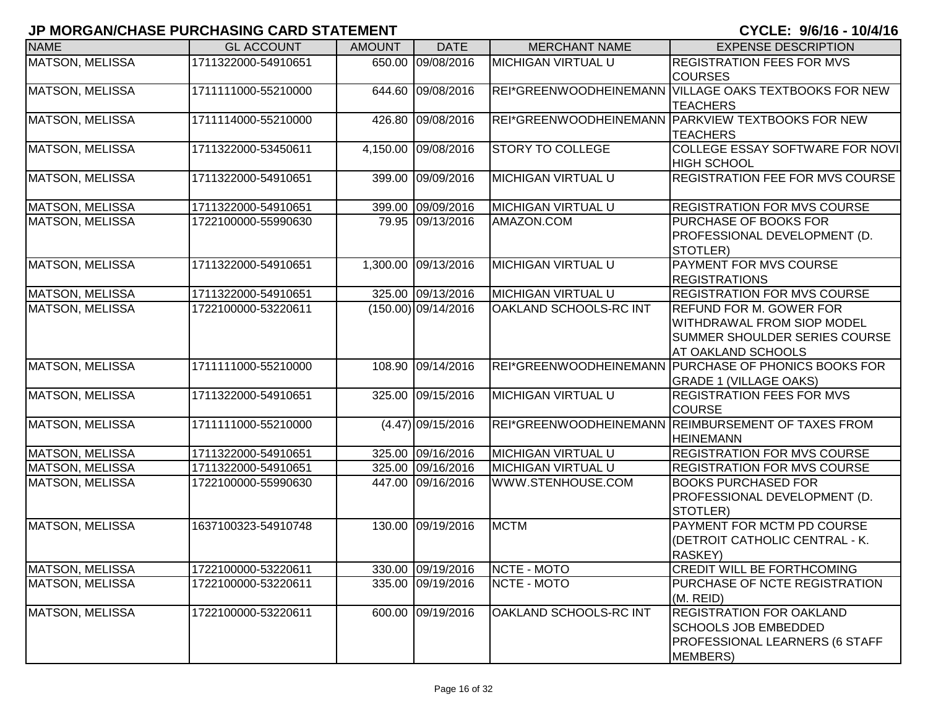| <b>NAME</b>            | <b>GL ACCOUNT</b>   | <b>AMOUNT</b> | <b>DATE</b>           | <b>MERCHANT NAME</b>      | <b>EXPENSE DESCRIPTION</b>                                                                                                 |
|------------------------|---------------------|---------------|-----------------------|---------------------------|----------------------------------------------------------------------------------------------------------------------------|
| MATSON, MELISSA        | 1711322000-54910651 |               | 650.00 09/08/2016     | <b>MICHIGAN VIRTUAL U</b> | <b>REGISTRATION FEES FOR MVS</b><br><b>COURSES</b>                                                                         |
| MATSON, MELISSA        | 1711111000-55210000 |               | 644.60 09/08/2016     |                           | REI*GREENWOODHEINEMANN VILLAGE OAKS TEXTBOOKS FOR NEW<br><b>TEACHERS</b>                                                   |
| MATSON, MELISSA        | 1711114000-55210000 |               | 426.80 09/08/2016     |                           | REI*GREENWOODHEINEMANN PARKVIEW TEXTBOOKS FOR NEW<br><b>TEACHERS</b>                                                       |
| MATSON, MELISSA        | 1711322000-53450611 |               | 4,150.00 09/08/2016   | <b>STORY TO COLLEGE</b>   | COLLEGE ESSAY SOFTWARE FOR NOVI<br><b>HIGH SCHOOL</b>                                                                      |
| <b>MATSON, MELISSA</b> | 1711322000-54910651 |               | 399.00 09/09/2016     | <b>MICHIGAN VIRTUAL U</b> | <b>REGISTRATION FEE FOR MVS COURSE</b>                                                                                     |
| <b>MATSON, MELISSA</b> | 1711322000-54910651 |               | 399.00 09/09/2016     | <b>MICHIGAN VIRTUAL U</b> | <b>REGISTRATION FOR MVS COURSE</b>                                                                                         |
| <b>MATSON, MELISSA</b> | 1722100000-55990630 |               | 79.95 09/13/2016      | AMAZON.COM                | PURCHASE OF BOOKS FOR<br>PROFESSIONAL DEVELOPMENT (D.<br>STOTLER)                                                          |
| <b>MATSON, MELISSA</b> | 1711322000-54910651 |               | 1,300.00 09/13/2016   | <b>MICHIGAN VIRTUAL U</b> | PAYMENT FOR MVS COURSE<br><b>REGISTRATIONS</b>                                                                             |
| <b>MATSON, MELISSA</b> | 1711322000-54910651 |               | 325.00 09/13/2016     | <b>MICHIGAN VIRTUAL U</b> | <b>REGISTRATION FOR MVS COURSE</b>                                                                                         |
| <b>MATSON, MELISSA</b> | 1722100000-53220611 |               | $(150.00)$ 09/14/2016 | OAKLAND SCHOOLS-RC INT    | <b>REFUND FOR M. GOWER FOR</b><br>WITHDRAWAL FROM SIOP MODEL<br><b>SUMMER SHOULDER SERIES COURSE</b><br>AT OAKLAND SCHOOLS |
| <b>MATSON, MELISSA</b> | 1711111000-55210000 |               | 108.90 09/14/2016     |                           | REI*GREENWOODHEINEMANN PURCHASE OF PHONICS BOOKS FOR<br><b>GRADE 1 (VILLAGE OAKS)</b>                                      |
| <b>MATSON, MELISSA</b> | 1711322000-54910651 |               | 325.00 09/15/2016     | <b>MICHIGAN VIRTUAL U</b> | <b>REGISTRATION FEES FOR MVS</b><br><b>COURSE</b>                                                                          |
| MATSON, MELISSA        | 1711111000-55210000 |               | $(4.47)$ 09/15/2016   | REI*GREENWOODHEINEMANN    | <b>REIMBURSEMENT OF TAXES FROM</b><br><b>HEINEMANN</b>                                                                     |
| <b>MATSON, MELISSA</b> | 1711322000-54910651 |               | 325.00 09/16/2016     | <b>MICHIGAN VIRTUAL U</b> | <b>REGISTRATION FOR MVS COURSE</b>                                                                                         |
| MATSON, MELISSA        | 1711322000-54910651 |               | 325.00 09/16/2016     | <b>MICHIGAN VIRTUAL U</b> | <b>REGISTRATION FOR MVS COURSE</b>                                                                                         |
| MATSON, MELISSA        | 1722100000-55990630 |               | 447.00 09/16/2016     | WWW.STENHOUSE.COM         | <b>BOOKS PURCHASED FOR</b><br>PROFESSIONAL DEVELOPMENT (D.<br>STOTLER)                                                     |
| MATSON, MELISSA        | 1637100323-54910748 |               | 130.00 09/19/2016     | <b>MCTM</b>               | PAYMENT FOR MCTM PD COURSE<br>(DETROIT CATHOLIC CENTRAL - K.<br>RASKEY)                                                    |
| MATSON, MELISSA        | 1722100000-53220611 |               | 330.00 09/19/2016     | NCTE - MOTO               | <b>CREDIT WILL BE FORTHCOMING</b>                                                                                          |
| MATSON, MELISSA        | 1722100000-53220611 |               | 335.00 09/19/2016     | NCTE - MOTO               | PURCHASE OF NCTE REGISTRATION<br>(M. REID)                                                                                 |
| MATSON, MELISSA        | 1722100000-53220611 |               | 600.00 09/19/2016     | OAKLAND SCHOOLS-RC INT    | <b>REGISTRATION FOR OAKLAND</b><br><b>SCHOOLS JOB EMBEDDED</b><br>PROFESSIONAL LEARNERS (6 STAFF<br>MEMBERS)               |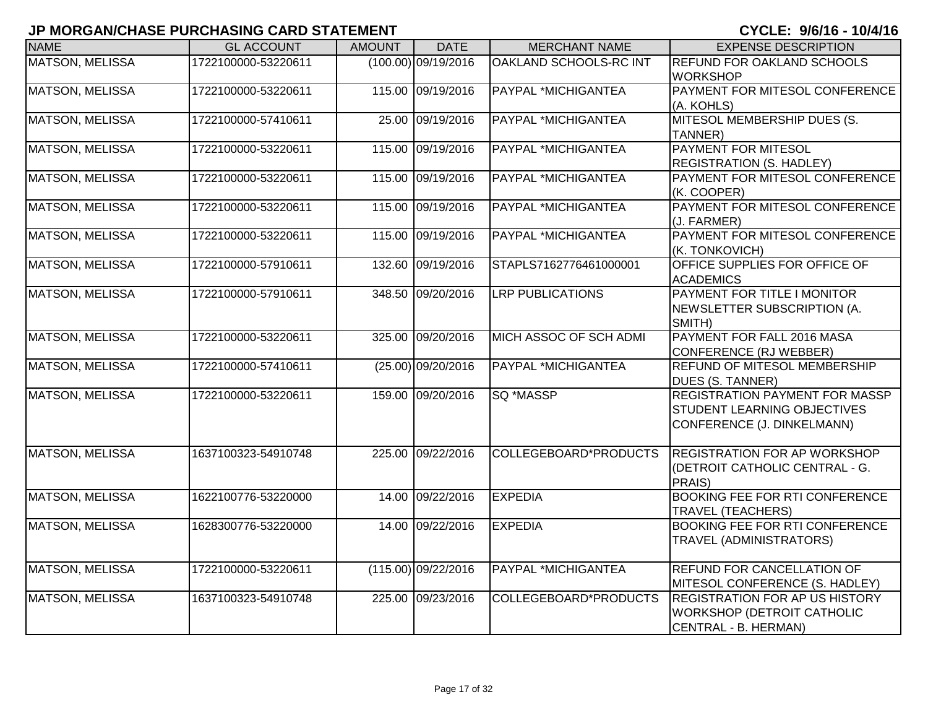| <b>NAME</b>            | <b>GL ACCOUNT</b>   | <b>AMOUNT</b> | <b>DATE</b>           | <b>MERCHANT NAME</b>    | <b>EXPENSE DESCRIPTION</b>                                                                                |
|------------------------|---------------------|---------------|-----------------------|-------------------------|-----------------------------------------------------------------------------------------------------------|
| <b>MATSON, MELISSA</b> | 1722100000-53220611 |               | $(100.00)$ 09/19/2016 | OAKLAND SCHOOLS-RC INT  | REFUND FOR OAKLAND SCHOOLS<br><b>WORKSHOP</b>                                                             |
| <b>MATSON, MELISSA</b> | 1722100000-53220611 |               | 115.00 09/19/2016     | PAYPAL *MICHIGANTEA     | PAYMENT FOR MITESOL CONFERENCE<br>(A. KOHLS)                                                              |
| <b>MATSON, MELISSA</b> | 1722100000-57410611 |               | 25.00 09/19/2016      | PAYPAL *MICHIGANTEA     | MITESOL MEMBERSHIP DUES (S.<br>TANNER)                                                                    |
| <b>MATSON, MELISSA</b> | 1722100000-53220611 |               | 115.00 09/19/2016     | PAYPAL *MICHIGANTEA     | PAYMENT FOR MITESOL<br><b>REGISTRATION (S. HADLEY)</b>                                                    |
| <b>MATSON, MELISSA</b> | 1722100000-53220611 |               | 115.00 09/19/2016     | PAYPAL *MICHIGANTEA     | PAYMENT FOR MITESOL CONFERENCE<br>(K. COOPER)                                                             |
| <b>MATSON, MELISSA</b> | 1722100000-53220611 |               | 115.00 09/19/2016     | PAYPAL *MICHIGANTEA     | PAYMENT FOR MITESOL CONFERENCE<br>(J. FARMER)                                                             |
| <b>MATSON, MELISSA</b> | 1722100000-53220611 |               | 115.00 09/19/2016     | PAYPAL *MICHIGANTEA     | PAYMENT FOR MITESOL CONFERENCE<br>(K. TONKOVICH)                                                          |
| <b>MATSON, MELISSA</b> | 1722100000-57910611 |               | 132.60 09/19/2016     | STAPLS7162776461000001  | OFFICE SUPPLIES FOR OFFICE OF<br><b>ACADEMICS</b>                                                         |
| <b>MATSON, MELISSA</b> | 1722100000-57910611 |               | 348.50 09/20/2016     | <b>LRP PUBLICATIONS</b> | PAYMENT FOR TITLE I MONITOR<br>NEWSLETTER SUBSCRIPTION (A.<br>SMITH)                                      |
| <b>MATSON, MELISSA</b> | 1722100000-53220611 |               | 325.00 09/20/2016     | MICH ASSOC OF SCH ADMI  | PAYMENT FOR FALL 2016 MASA<br>CONFERENCE (RJ WEBBER)                                                      |
| <b>MATSON, MELISSA</b> | 1722100000-57410611 |               | $(25.00)$ 09/20/2016  | PAYPAL *MICHIGANTEA     | <b>REFUND OF MITESOL MEMBERSHIP</b><br>DUES (S. TANNER)                                                   |
| <b>MATSON, MELISSA</b> | 1722100000-53220611 |               | 159.00 09/20/2016     | SQ *MASSP               | <b>REGISTRATION PAYMENT FOR MASSP</b><br><b>STUDENT LEARNING OBJECTIVES</b><br>CONFERENCE (J. DINKELMANN) |
| <b>MATSON, MELISSA</b> | 1637100323-54910748 |               | 225.00 09/22/2016     | COLLEGEBOARD*PRODUCTS   | <b>REGISTRATION FOR AP WORKSHOP</b><br>(DETROIT CATHOLIC CENTRAL - G.<br>PRAIS)                           |
| <b>MATSON, MELISSA</b> | 1622100776-53220000 |               | 14.00 09/22/2016      | <b>EXPEDIA</b>          | <b>BOOKING FEE FOR RTI CONFERENCE</b><br><b>TRAVEL (TEACHERS)</b>                                         |
| <b>MATSON, MELISSA</b> | 1628300776-53220000 |               | 14.00 09/22/2016      | <b>EXPEDIA</b>          | <b>BOOKING FEE FOR RTI CONFERENCE</b><br><b>TRAVEL (ADMINISTRATORS)</b>                                   |
| <b>MATSON, MELISSA</b> | 1722100000-53220611 |               | $(115.00)$ 09/22/2016 | PAYPAL *MICHIGANTEA     | REFUND FOR CANCELLATION OF<br>MITESOL CONFERENCE (S. HADLEY)                                              |
| <b>MATSON, MELISSA</b> | 1637100323-54910748 |               | 225.00 09/23/2016     | COLLEGEBOARD*PRODUCTS   | <b>REGISTRATION FOR AP US HISTORY</b><br>WORKSHOP (DETROIT CATHOLIC<br>CENTRAL - B. HERMAN)               |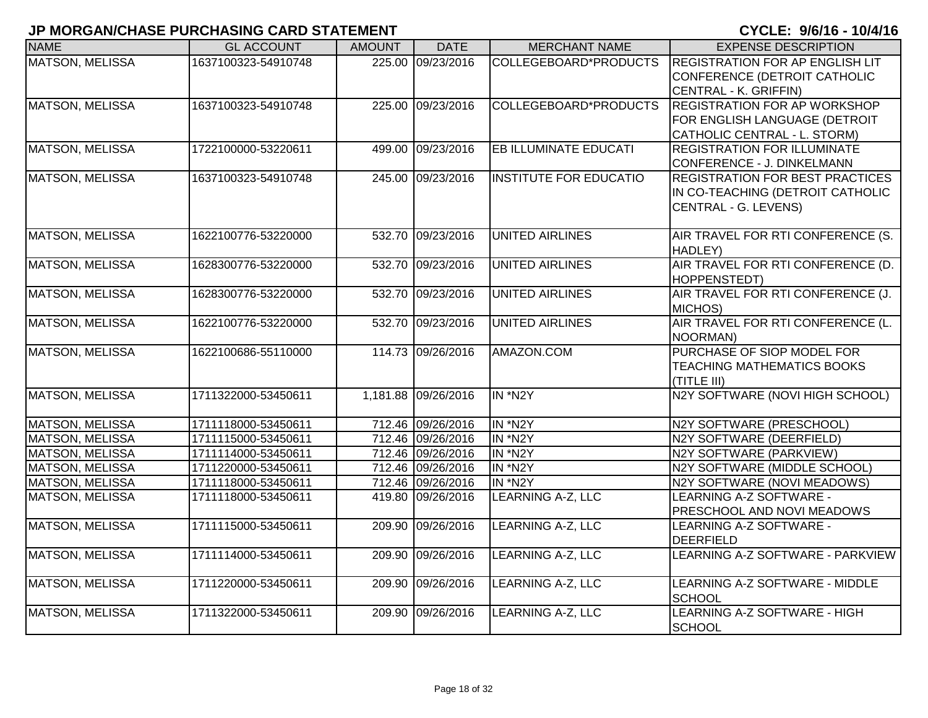| <b>NAME</b>            | <b>GL ACCOUNT</b>   | <b>AMOUNT</b> | <b>DATE</b>         | <b>MERCHANT NAME</b>          | <b>EXPENSE DESCRIPTION</b>             |
|------------------------|---------------------|---------------|---------------------|-------------------------------|----------------------------------------|
|                        |                     |               |                     |                               |                                        |
| <b>MATSON, MELISSA</b> | 1637100323-54910748 | 225.00        | 09/23/2016          | COLLEGEBOARD*PRODUCTS         | <b>REGISTRATION FOR AP ENGLISH LIT</b> |
|                        |                     |               |                     |                               | CONFERENCE (DETROIT CATHOLIC           |
|                        |                     |               |                     |                               | CENTRAL - K. GRIFFIN)                  |
| <b>MATSON, MELISSA</b> | 1637100323-54910748 |               | 225.00 09/23/2016   | COLLEGEBOARD*PRODUCTS         | <b>REGISTRATION FOR AP WORKSHOP</b>    |
|                        |                     |               |                     |                               | FOR ENGLISH LANGUAGE (DETROIT          |
|                        |                     |               |                     |                               | CATHOLIC CENTRAL - L. STORM)           |
| MATSON, MELISSA        | 1722100000-53220611 | 499.00        | 09/23/2016          | <b>EB ILLUMINATE EDUCATI</b>  | <b>REGISTRATION FOR ILLUMINATE</b>     |
|                        |                     |               |                     |                               | CONFERENCE - J. DINKELMANN             |
| <b>MATSON, MELISSA</b> | 1637100323-54910748 |               | 245.00 09/23/2016   | <b>INSTITUTE FOR EDUCATIO</b> | <b>REGISTRATION FOR BEST PRACTICES</b> |
|                        |                     |               |                     |                               | IN CO-TEACHING (DETROIT CATHOLIC       |
|                        |                     |               |                     |                               | CENTRAL - G. LEVENS)                   |
|                        |                     |               |                     |                               |                                        |
| <b>MATSON, MELISSA</b> | 1622100776-53220000 |               | 532.70 09/23/2016   | UNITED AIRLINES               | AIR TRAVEL FOR RTI CONFERENCE (S.      |
|                        |                     |               |                     |                               | HADLEY)                                |
| <b>MATSON, MELISSA</b> | 1628300776-53220000 | 532.70        | 09/23/2016          | <b>UNITED AIRLINES</b>        | AIR TRAVEL FOR RTI CONFERENCE (D.      |
|                        |                     |               |                     |                               | <b>HOPPENSTEDT)</b>                    |
| <b>MATSON, MELISSA</b> | 1628300776-53220000 | 532.70        | 09/23/2016          | <b>UNITED AIRLINES</b>        | AIR TRAVEL FOR RTI CONFERENCE (J.      |
|                        |                     |               |                     |                               | MICHOS)                                |
| <b>MATSON, MELISSA</b> | 1622100776-53220000 | 532.70        | 09/23/2016          | <b>UNITED AIRLINES</b>        | AIR TRAVEL FOR RTI CONFERENCE (L.      |
|                        |                     |               |                     |                               | NOORMAN)                               |
| <b>MATSON, MELISSA</b> | 1622100686-55110000 |               | 114.73 09/26/2016   | AMAZON.COM                    | PURCHASE OF SIOP MODEL FOR             |
|                        |                     |               |                     |                               | <b>TEACHING MATHEMATICS BOOKS</b>      |
|                        |                     |               |                     |                               | (TITLE III)                            |
| <b>MATSON, MELISSA</b> | 1711322000-53450611 |               | 1,181.88 09/26/2016 | IN *N2Y                       | N2Y SOFTWARE (NOVI HIGH SCHOOL)        |
|                        |                     |               |                     |                               |                                        |
| <b>MATSON, MELISSA</b> | 1711118000-53450611 |               | 712.46 09/26/2016   | IN *N2Y                       | N2Y SOFTWARE (PRESCHOOL)               |
| <b>MATSON, MELISSA</b> | 1711115000-53450611 |               | 712.46 09/26/2016   | IN *N2Y                       | N2Y SOFTWARE (DEERFIELD)               |
| MATSON, MELISSA        | 1711114000-53450611 |               | 712.46 09/26/2016   | IN *N2Y                       | N2Y SOFTWARE (PARKVIEW)                |
| MATSON, MELISSA        | 1711220000-53450611 |               | 712.46 09/26/2016   | IN *N2Y                       | N2Y SOFTWARE (MIDDLE SCHOOL)           |
| MATSON, MELISSA        | 1711118000-53450611 |               | 712.46 09/26/2016   | IN *N2Y                       | N2Y SOFTWARE (NOVI MEADOWS)            |
| MATSON, MELISSA        | 1711118000-53450611 |               | 419.80 09/26/2016   | LEARNING A-Z, LLC             | LEARNING A-Z SOFTWARE -                |
|                        |                     |               |                     |                               | PRESCHOOL AND NOVI MEADOWS             |
| <b>MATSON, MELISSA</b> | 1711115000-53450611 | 209.90        | 09/26/2016          | LEARNING A-Z, LLC             | LEARNING A-Z SOFTWARE -                |
|                        |                     |               |                     |                               | <b>DEERFIELD</b>                       |
| <b>MATSON, MELISSA</b> | 1711114000-53450611 | 209.90        | 09/26/2016          | LEARNING A-Z, LLC             | LEARNING A-Z SOFTWARE - PARKVIEW       |
|                        |                     |               |                     |                               |                                        |
| <b>MATSON, MELISSA</b> | 1711220000-53450611 | 209.90        | 09/26/2016          | LEARNING A-Z, LLC             | LEARNING A-Z SOFTWARE - MIDDLE         |
|                        |                     |               |                     |                               | SCHOOL                                 |
| <b>MATSON, MELISSA</b> | 1711322000-53450611 | 209.90        | 09/26/2016          | <b>LEARNING A-Z, LLC</b>      | LEARNING A-Z SOFTWARE - HIGH           |
|                        |                     |               |                     |                               | <b>SCHOOL</b>                          |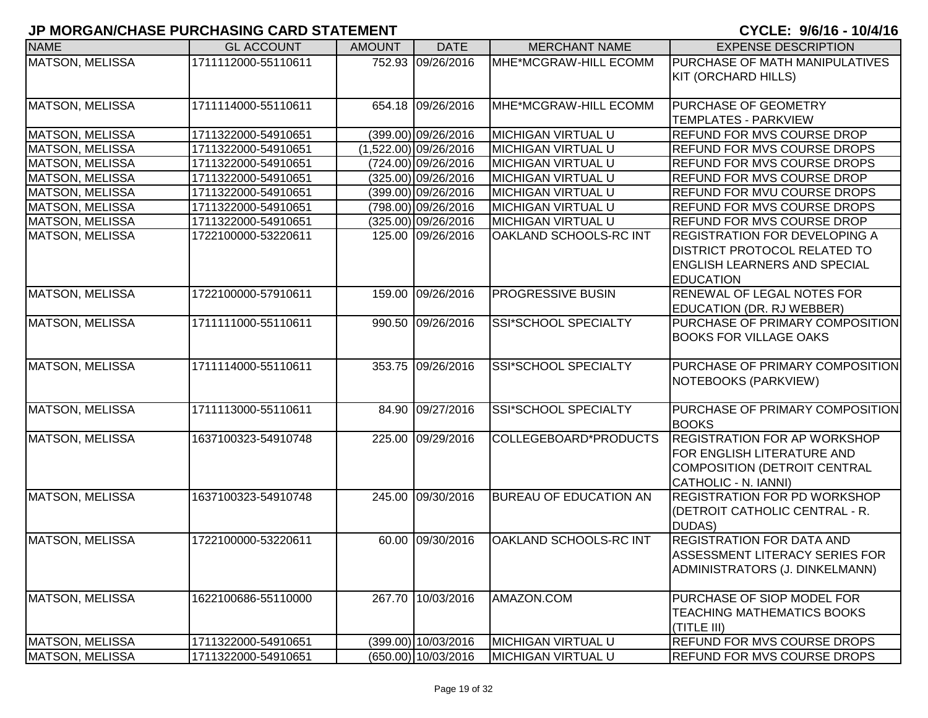| <b>NAME</b>            | <b>GL ACCOUNT</b>   | <b>AMOUNT</b> | <b>DATE</b>             | <b>MERCHANT NAME</b>          | <b>EXPENSE DESCRIPTION</b>           |
|------------------------|---------------------|---------------|-------------------------|-------------------------------|--------------------------------------|
| MATSON, MELISSA        | 1711112000-55110611 |               | 752.93 09/26/2016       | MHE*MCGRAW-HILL ECOMM         | PURCHASE OF MATH MANIPULATIVES       |
|                        |                     |               |                         |                               | KIT (ORCHARD HILLS)                  |
| <b>MATSON, MELISSA</b> | 1711114000-55110611 |               | 654.18 09/26/2016       | MHE*MCGRAW-HILL ECOMM         | <b>PURCHASE OF GEOMETRY</b>          |
|                        |                     |               |                         |                               | <b>TEMPLATES - PARKVIEW</b>          |
| <b>MATSON, MELISSA</b> | 1711322000-54910651 |               | (399.00) 09/26/2016     | <b>MICHIGAN VIRTUAL U</b>     | REFUND FOR MVS COURSE DROP           |
| <b>MATSON, MELISSA</b> | 1711322000-54910651 |               | $(1,522.00)$ 09/26/2016 | <b>MICHIGAN VIRTUAL U</b>     | <b>REFUND FOR MVS COURSE DROPS</b>   |
| <b>MATSON, MELISSA</b> | 1711322000-54910651 |               | (724.00) 09/26/2016     | <b>MICHIGAN VIRTUAL U</b>     | <b>REFUND FOR MVS COURSE DROPS</b>   |
| <b>MATSON, MELISSA</b> | 1711322000-54910651 |               | $(325.00)$ 09/26/2016   | <b>MICHIGAN VIRTUAL U</b>     | <b>REFUND FOR MVS COURSE DROP</b>    |
| <b>MATSON, MELISSA</b> | 1711322000-54910651 |               | (399.00) 09/26/2016     | <b>MICHIGAN VIRTUAL U</b>     | <b>REFUND FOR MVU COURSE DROPS</b>   |
| <b>MATSON, MELISSA</b> | 1711322000-54910651 |               | (798.00) 09/26/2016     | <b>MICHIGAN VIRTUAL U</b>     | <b>REFUND FOR MVS COURSE DROPS</b>   |
| <b>MATSON, MELISSA</b> | 1711322000-54910651 |               | (325.00) 09/26/2016     | <b>MICHIGAN VIRTUAL U</b>     | <b>REFUND FOR MVS COURSE DROP</b>    |
| <b>MATSON, MELISSA</b> | 1722100000-53220611 |               | 125.00 09/26/2016       | OAKLAND SCHOOLS-RC INT        | <b>REGISTRATION FOR DEVELOPING A</b> |
|                        |                     |               |                         |                               | <b>DISTRICT PROTOCOL RELATED TO</b>  |
|                        |                     |               |                         |                               | <b>ENGLISH LEARNERS AND SPECIAL</b>  |
|                        |                     |               |                         |                               | <b>EDUCATION</b>                     |
| <b>MATSON, MELISSA</b> | 1722100000-57910611 |               | 159.00 09/26/2016       | <b>PROGRESSIVE BUSIN</b>      | <b>RENEWAL OF LEGAL NOTES FOR</b>    |
|                        |                     |               |                         |                               | <b>EDUCATION (DR. RJ WEBBER)</b>     |
| <b>MATSON, MELISSA</b> | 1711111000-55110611 |               | 990.50 09/26/2016       | SSI*SCHOOL SPECIALTY          | PURCHASE OF PRIMARY COMPOSITION      |
|                        |                     |               |                         |                               | <b>BOOKS FOR VILLAGE OAKS</b>        |
|                        |                     |               |                         |                               |                                      |
| <b>MATSON, MELISSA</b> | 1711114000-55110611 |               | 353.75 09/26/2016       | <b>SSI*SCHOOL SPECIALTY</b>   | PURCHASE OF PRIMARY COMPOSITION      |
|                        |                     |               |                         |                               | NOTEBOOKS (PARKVIEW)                 |
|                        |                     |               |                         |                               |                                      |
| <b>MATSON, MELISSA</b> | 1711113000-55110611 |               | 84.90 09/27/2016        | SSI*SCHOOL SPECIALTY          | PURCHASE OF PRIMARY COMPOSITION      |
|                        |                     |               |                         |                               | <b>BOOKS</b>                         |
| <b>MATSON, MELISSA</b> | 1637100323-54910748 |               | 225.00 09/29/2016       | COLLEGEBOARD*PRODUCTS         | <b>REGISTRATION FOR AP WORKSHOP</b>  |
|                        |                     |               |                         |                               | FOR ENGLISH LITERATURE AND           |
|                        |                     |               |                         |                               | COMPOSITION (DETROIT CENTRAL         |
|                        |                     |               |                         |                               | CATHOLIC - N. IANNI)                 |
| <b>MATSON, MELISSA</b> | 1637100323-54910748 |               | 245.00 09/30/2016       | <b>BUREAU OF EDUCATION AN</b> | <b>REGISTRATION FOR PD WORKSHOP</b>  |
|                        |                     |               |                         |                               | (DETROIT CATHOLIC CENTRAL - R.       |
|                        |                     |               |                         |                               | DUDAS)                               |
| <b>MATSON, MELISSA</b> | 1722100000-53220611 |               | 60.00 09/30/2016        | OAKLAND SCHOOLS-RC INT        | <b>REGISTRATION FOR DATA AND</b>     |
|                        |                     |               |                         |                               | ASSESSMENT LITERACY SERIES FOR       |
|                        |                     |               |                         |                               | ADMINISTRATORS (J. DINKELMANN)       |
|                        |                     |               |                         |                               |                                      |
| <b>MATSON, MELISSA</b> | 1622100686-55110000 |               | 267.70 10/03/2016       | AMAZON.COM                    | PURCHASE OF SIOP MODEL FOR           |
|                        |                     |               |                         |                               | <b>TEACHING MATHEMATICS BOOKS</b>    |
|                        |                     |               |                         |                               | (TITLE III)                          |
| <b>MATSON, MELISSA</b> | 1711322000-54910651 |               | (399.00) 10/03/2016     | <b>MICHIGAN VIRTUAL U</b>     | <b>REFUND FOR MVS COURSE DROPS</b>   |
| MATSON, MELISSA        | 1711322000-54910651 |               | (650.00) 10/03/2016     | MICHIGAN VIRTUAL U            | <b>REFUND FOR MVS COURSE DROPS</b>   |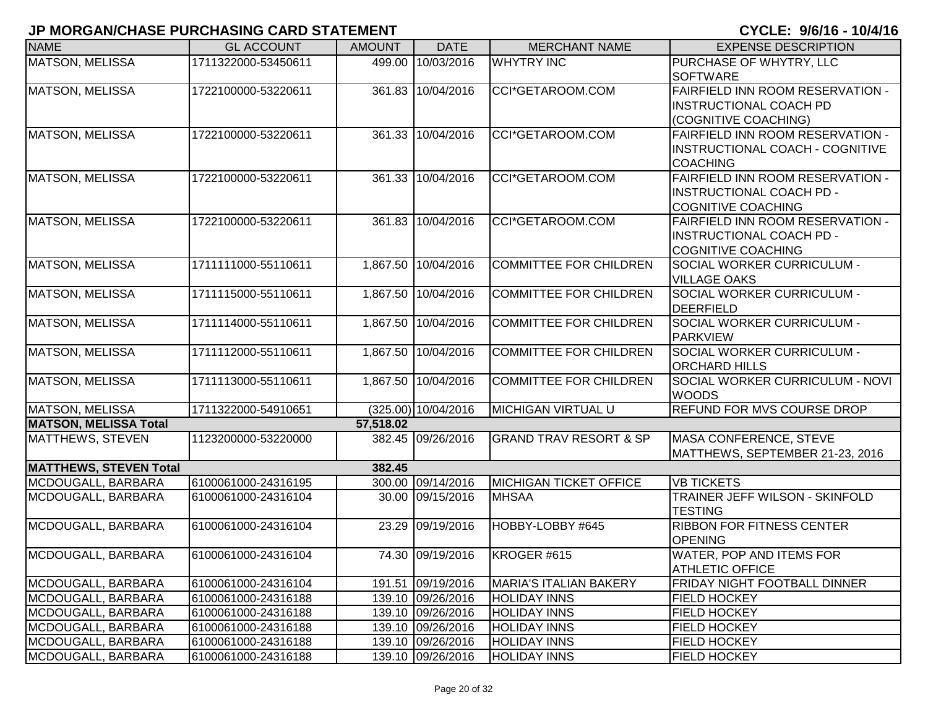| <b>NAME</b>                   | <b>GL ACCOUNT</b>   | <b>AMOUNT</b> | <b>DATE</b>         | <b>MERCHANT NAME</b>              | <b>EXPENSE DESCRIPTION</b>                                                                       |
|-------------------------------|---------------------|---------------|---------------------|-----------------------------------|--------------------------------------------------------------------------------------------------|
| <b>MATSON, MELISSA</b>        | 1711322000-53450611 | 499.00        | 10/03/2016          | <b>WHYTRY INC</b>                 | PURCHASE OF WHYTRY, LLC<br><b>SOFTWARE</b>                                                       |
| MATSON, MELISSA               | 1722100000-53220611 |               | 361.83 10/04/2016   | CCI*GETAROOM.COM                  | FAIRFIELD INN ROOM RESERVATION -<br><b>INSTRUCTIONAL COACH PD</b><br>(COGNITIVE COACHING)        |
| MATSON, MELISSA               | 1722100000-53220611 |               | 361.33 10/04/2016   | CCI*GETAROOM.COM                  | FAIRFIELD INN ROOM RESERVATION -<br>INSTRUCTIONAL COACH - COGNITIVE<br><b>COACHING</b>           |
| <b>MATSON, MELISSA</b>        | 1722100000-53220611 |               | 361.33 10/04/2016   | CCI*GETAROOM.COM                  | FAIRFIELD INN ROOM RESERVATION -<br><b>INSTRUCTIONAL COACH PD -</b><br><b>COGNITIVE COACHING</b> |
| MATSON, MELISSA               | 1722100000-53220611 | 361.83        | 10/04/2016          | CCI*GETAROOM.COM                  | FAIRFIELD INN ROOM RESERVATION -<br><b>INSTRUCTIONAL COACH PD -</b><br><b>COGNITIVE COACHING</b> |
| <b>MATSON, MELISSA</b>        | 1711111000-55110611 | 1,867.50      | 10/04/2016          | <b>COMMITTEE FOR CHILDREN</b>     | SOCIAL WORKER CURRICULUM -<br><b>VILLAGE OAKS</b>                                                |
| <b>MATSON, MELISSA</b>        | 1711115000-55110611 |               | 1,867.50 10/04/2016 | <b>COMMITTEE FOR CHILDREN</b>     | SOCIAL WORKER CURRICULUM -<br><b>DEERFIELD</b>                                                   |
| <b>MATSON, MELISSA</b>        | 1711114000-55110611 |               | 1,867.50 10/04/2016 | <b>COMMITTEE FOR CHILDREN</b>     | SOCIAL WORKER CURRICULUM -<br><b>PARKVIEW</b>                                                    |
| <b>MATSON, MELISSA</b>        | 1711112000-55110611 |               | 1,867.50 10/04/2016 | <b>COMMITTEE FOR CHILDREN</b>     | SOCIAL WORKER CURRICULUM -<br><b>ORCHARD HILLS</b>                                               |
| <b>MATSON, MELISSA</b>        | 1711113000-55110611 |               | 1,867.50 10/04/2016 | <b>COMMITTEE FOR CHILDREN</b>     | <b>SOCIAL WORKER CURRICULUM - NOVI</b><br><b>WOODS</b>                                           |
| MATSON, MELISSA               | 1711322000-54910651 |               | (325.00) 10/04/2016 | <b>MICHIGAN VIRTUAL U</b>         | REFUND FOR MVS COURSE DROP                                                                       |
| <b>MATSON, MELISSA Total</b>  |                     | 57,518.02     |                     |                                   |                                                                                                  |
| MATTHEWS, STEVEN              | 1123200000-53220000 |               | 382.45 09/26/2016   | <b>GRAND TRAV RESORT &amp; SP</b> | <b>MASA CONFERENCE, STEVE</b><br>MATTHEWS, SEPTEMBER 21-23, 2016                                 |
| <b>MATTHEWS, STEVEN Total</b> |                     | 382.45        |                     |                                   |                                                                                                  |
| MCDOUGALL, BARBARA            | 6100061000-24316195 |               | 300.00 09/14/2016   | <b>MICHIGAN TICKET OFFICE</b>     | <b>VB TICKETS</b>                                                                                |
| MCDOUGALL, BARBARA            | 6100061000-24316104 |               | 30.00 09/15/2016    | <b>MHSAA</b>                      | TRAINER JEFF WILSON - SKINFOLD<br><b>TESTING</b>                                                 |
| MCDOUGALL, BARBARA            | 6100061000-24316104 | 23.29         | 09/19/2016          | HOBBY-LOBBY #645                  | <b>RIBBON FOR FITNESS CENTER</b><br><b>OPENING</b>                                               |
| MCDOUGALL, BARBARA            | 6100061000-24316104 |               | 74.30 09/19/2016    | KROGER #615                       | <b>WATER, POP AND ITEMS FOR</b><br><b>ATHLETIC OFFICE</b>                                        |
| MCDOUGALL, BARBARA            | 6100061000-24316104 |               | 191.51 09/19/2016   | <b>MARIA'S ITALIAN BAKERY</b>     | FRIDAY NIGHT FOOTBALL DINNER                                                                     |
| MCDOUGALL, BARBARA            | 6100061000-24316188 |               | 139.10 09/26/2016   | <b>HOLIDAY INNS</b>               | <b>FIELD HOCKEY</b>                                                                              |
| MCDOUGALL, BARBARA            | 6100061000-24316188 |               | 139.10 09/26/2016   | <b>HOLIDAY INNS</b>               | <b>FIELD HOCKEY</b>                                                                              |
| MCDOUGALL, BARBARA            | 6100061000-24316188 |               | 139.10 09/26/2016   | <b>HOLIDAY INNS</b>               | <b>FIELD HOCKEY</b>                                                                              |
| MCDOUGALL, BARBARA            | 6100061000-24316188 |               | 139.10 09/26/2016   | <b>HOLIDAY INNS</b>               | <b>FIELD HOCKEY</b>                                                                              |
| MCDOUGALL, BARBARA            | 6100061000-24316188 |               | 139.10 09/26/2016   | <b>HOLIDAY INNS</b>               | <b>FIELD HOCKEY</b>                                                                              |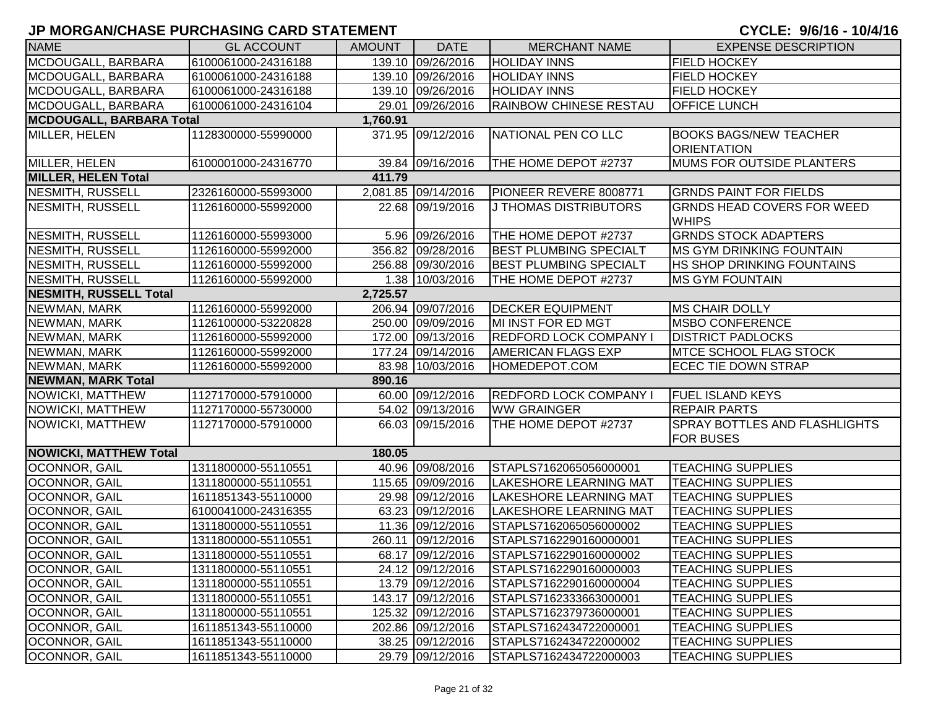| <b>NAME</b>                                 | <b>GL ACCOUNT</b>   | <b>AMOUNT</b> | <b>DATE</b>         | <b>MERCHANT NAME</b>          | <b>EXPENSE DESCRIPTION</b>        |  |  |
|---------------------------------------------|---------------------|---------------|---------------------|-------------------------------|-----------------------------------|--|--|
| MCDOUGALL, BARBARA                          | 6100061000-24316188 |               | 139.10 09/26/2016   | <b>HOLIDAY INNS</b>           | <b>FIELD HOCKEY</b>               |  |  |
| MCDOUGALL, BARBARA                          | 6100061000-24316188 |               | 139.10 09/26/2016   | <b>HOLIDAY INNS</b>           | <b>FIELD HOCKEY</b>               |  |  |
| MCDOUGALL, BARBARA                          | 6100061000-24316188 |               | 139.10 09/26/2016   | <b>HOLIDAY INNS</b>           | <b>FIELD HOCKEY</b>               |  |  |
| MCDOUGALL, BARBARA                          | 6100061000-24316104 |               | 29.01 09/26/2016    | RAINBOW CHINESE RESTAU        | <b>OFFICE LUNCH</b>               |  |  |
| <b>MCDOUGALL, BARBARA Total</b><br>1,760.91 |                     |               |                     |                               |                                   |  |  |
| MILLER, HELEN                               | 1128300000-55990000 |               | 371.95 09/12/2016   | NATIONAL PEN CO LLC           | <b>BOOKS BAGS/NEW TEACHER</b>     |  |  |
|                                             |                     |               |                     |                               | <b>ORIENTATION</b>                |  |  |
| MILLER, HELEN                               | 6100001000-24316770 |               | 39.84 09/16/2016    | THE HOME DEPOT #2737          | MUMS FOR OUTSIDE PLANTERS         |  |  |
| <b>MILLER, HELEN Total</b>                  |                     | 411.79        |                     |                               |                                   |  |  |
| NESMITH, RUSSELL                            | 2326160000-55993000 |               | 2,081.85 09/14/2016 | PIONEER REVERE 8008771        | <b>GRNDS PAINT FOR FIELDS</b>     |  |  |
| <b>NESMITH, RUSSELL</b>                     | 1126160000-55992000 |               | 22.68 09/19/2016    | <b>J THOMAS DISTRIBUTORS</b>  | <b>GRNDS HEAD COVERS FOR WEED</b> |  |  |
|                                             |                     |               |                     |                               | <b>WHIPS</b>                      |  |  |
| NESMITH, RUSSELL                            | 1126160000-55993000 |               | 5.96 09/26/2016     | THE HOME DEPOT #2737          | <b>GRNDS STOCK ADAPTERS</b>       |  |  |
| NESMITH, RUSSELL                            | 1126160000-55992000 |               | 356.82 09/28/2016   | <b>BEST PLUMBING SPECIALT</b> | <b>MS GYM DRINKING FOUNTAIN</b>   |  |  |
| NESMITH, RUSSELL                            | 1126160000-55992000 |               | 256.88 09/30/2016   | <b>BEST PLUMBING SPECIALT</b> | <b>HS SHOP DRINKING FOUNTAINS</b> |  |  |
| NESMITH, RUSSELL                            | 1126160000-55992000 |               | 1.38 10/03/2016     | THE HOME DEPOT #2737          | <b>MS GYM FOUNTAIN</b>            |  |  |
| <b>NESMITH, RUSSELL Total</b>               |                     | 2,725.57      |                     |                               |                                   |  |  |
| NEWMAN, MARK                                | 1126160000-55992000 |               | 206.94 09/07/2016   | <b>DECKER EQUIPMENT</b>       | <b>MS CHAIR DOLLY</b>             |  |  |
| NEWMAN, MARK                                | 1126100000-53220828 |               | 250.00 09/09/2016   | MI INST FOR ED MGT            | <b>MSBO CONFERENCE</b>            |  |  |
| NEWMAN, MARK                                | 1126160000-55992000 |               | 172.00 09/13/2016   | <b>REDFORD LOCK COMPANY I</b> | <b>DISTRICT PADLOCKS</b>          |  |  |
| NEWMAN, MARK                                | 1126160000-55992000 |               | 177.24 09/14/2016   | <b>AMERICAN FLAGS EXP</b>     | MTCE SCHOOL FLAG STOCK            |  |  |
| NEWMAN, MARK                                | 1126160000-55992000 |               | 83.98 10/03/2016    | HOMEDEPOT.COM                 | <b>ECEC TIE DOWN STRAP</b>        |  |  |
| <b>NEWMAN, MARK Total</b>                   |                     | 890.16        |                     |                               |                                   |  |  |
| NOWICKI, MATTHEW                            | 1127170000-57910000 |               | 60.00 09/12/2016    | <b>REDFORD LOCK COMPANY I</b> | <b>FUEL ISLAND KEYS</b>           |  |  |
| NOWICKI, MATTHEW                            | 1127170000-55730000 |               | 54.02 09/13/2016    | <b>WW GRAINGER</b>            | <b>REPAIR PARTS</b>               |  |  |
| NOWICKI, MATTHEW                            | 1127170000-57910000 |               | 66.03 09/15/2016    | THE HOME DEPOT #2737          | SPRAY BOTTLES AND FLASHLIGHTS     |  |  |
|                                             |                     |               |                     |                               | FOR BUSES                         |  |  |
| <b>NOWICKI, MATTHEW Total</b>               |                     | 180.05        |                     |                               |                                   |  |  |
| OCONNOR, GAIL                               | 1311800000-55110551 |               | 40.96 09/08/2016    | STAPLS7162065056000001        | <b>TEACHING SUPPLIES</b>          |  |  |
| OCONNOR, GAIL                               | 1311800000-55110551 |               | 115.65 09/09/2016   | <b>LAKESHORE LEARNING MAT</b> | <b>TEACHING SUPPLIES</b>          |  |  |
| OCONNOR, GAIL                               | 1611851343-55110000 |               | 29.98 09/12/2016    | <b>LAKESHORE LEARNING MAT</b> | <b>TEACHING SUPPLIES</b>          |  |  |
| OCONNOR, GAIL                               | 6100041000-24316355 |               | 63.23 09/12/2016    | <b>LAKESHORE LEARNING MAT</b> | <b>TEACHING SUPPLIES</b>          |  |  |
| <b>OCONNOR, GAIL</b>                        | 1311800000-55110551 |               | 11.36 09/12/2016    | STAPLS7162065056000002        | <b>TEACHING SUPPLIES</b>          |  |  |
| <b>OCONNOR, GAIL</b>                        | 1311800000-55110551 |               | 260.11 09/12/2016   | STAPLS7162290160000001        | <b>TEACHING SUPPLIES</b>          |  |  |
| <b>OCONNOR, GAIL</b>                        | 1311800000-55110551 |               | 68.17 09/12/2016    | STAPLS7162290160000002        | <b>TEACHING SUPPLIES</b>          |  |  |
| <b>OCONNOR, GAIL</b>                        | 1311800000-55110551 |               | 24.12 09/12/2016    | STAPLS7162290160000003        | <b>TEACHING SUPPLIES</b>          |  |  |
| <b>OCONNOR, GAIL</b>                        | 1311800000-55110551 |               | 13.79 09/12/2016    | STAPLS7162290160000004        | <b>TEACHING SUPPLIES</b>          |  |  |
| OCONNOR, GAIL                               | 1311800000-55110551 |               | 143.17 09/12/2016   | STAPLS7162333663000001        | <b>TEACHING SUPPLIES</b>          |  |  |
| OCONNOR, GAIL                               | 1311800000-55110551 |               | 125.32 09/12/2016   | STAPLS7162379736000001        | <b>TEACHING SUPPLIES</b>          |  |  |
| OCONNOR, GAIL                               | 1611851343-55110000 |               | 202.86 09/12/2016   | STAPLS7162434722000001        | <b>TEACHING SUPPLIES</b>          |  |  |
| <b>OCONNOR, GAIL</b>                        | 1611851343-55110000 |               | 38.25 09/12/2016    | STAPLS7162434722000002        | <b>TEACHING SUPPLIES</b>          |  |  |
| <b>OCONNOR, GAIL</b>                        | 1611851343-55110000 |               | 29.79 09/12/2016    | STAPLS7162434722000003        | <b>TEACHING SUPPLIES</b>          |  |  |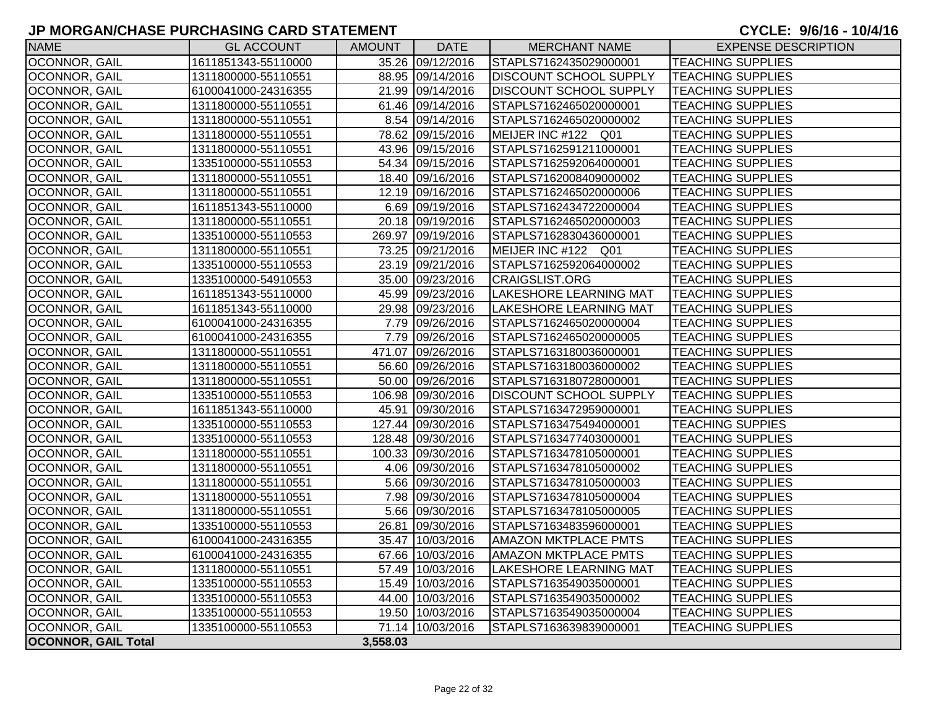| <b>NAME</b>                | <b>GL ACCOUNT</b>   | AMOUNT   | <b>DATE</b>       | <b>MERCHANT NAME</b>          | <b>EXPENSE DESCRIPTION</b> |
|----------------------------|---------------------|----------|-------------------|-------------------------------|----------------------------|
| OCONNOR, GAIL              | 1611851343-55110000 |          | 35.26 09/12/2016  | STAPLS7162435029000001        | <b>TEACHING SUPPLIES</b>   |
| <b>OCONNOR, GAIL</b>       | 1311800000-55110551 |          | 88.95 09/14/2016  | <b>DISCOUNT SCHOOL SUPPLY</b> | <b>TEACHING SUPPLIES</b>   |
| OCONNOR, GAIL              | 6100041000-24316355 |          | 21.99 09/14/2016  | <b>DISCOUNT SCHOOL SUPPLY</b> | <b>TEACHING SUPPLIES</b>   |
| OCONNOR, GAIL              | 1311800000-55110551 |          | 61.46 09/14/2016  | STAPLS7162465020000001        | <b>TEACHING SUPPLIES</b>   |
| OCONNOR, GAIL              | 1311800000-55110551 |          | 8.54 09/14/2016   | STAPLS7162465020000002        | <b>TEACHING SUPPLIES</b>   |
| OCONNOR, GAIL              | 1311800000-55110551 |          | 78.62 09/15/2016  | MEIJER INC #122 Q01           | <b>TEACHING SUPPLIES</b>   |
| OCONNOR, GAIL              | 1311800000-55110551 |          | 43.96 09/15/2016  | STAPLS7162591211000001        | <b>TEACHING SUPPLIES</b>   |
| OCONNOR, GAIL              | 1335100000-55110553 |          | 54.34 09/15/2016  | STAPLS7162592064000001        | <b>TEACHING SUPPLIES</b>   |
| OCONNOR, GAIL              | 1311800000-55110551 |          | 18.40 09/16/2016  | STAPLS7162008409000002        | <b>TEACHING SUPPLIES</b>   |
| OCONNOR, GAIL              | 1311800000-55110551 |          | 12.19 09/16/2016  | STAPLS7162465020000006        | <b>TEACHING SUPPLIES</b>   |
| <b>OCONNOR, GAIL</b>       | 1611851343-55110000 |          | 6.69 09/19/2016   | STAPLS7162434722000004        | <b>TEACHING SUPPLIES</b>   |
| OCONNOR, GAIL              | 1311800000-55110551 |          | 20.18 09/19/2016  | STAPLS7162465020000003        | <b>TEACHING SUPPLIES</b>   |
| OCONNOR, GAIL              | 1335100000-55110553 |          | 269.97 09/19/2016 | STAPLS7162830436000001        | <b>TEACHING SUPPLIES</b>   |
| OCONNOR, GAIL              | 1311800000-55110551 |          | 73.25 09/21/2016  | MEIJER INC #122 Q01           | <b>TEACHING SUPPLIES</b>   |
| OCONNOR, GAIL              | 1335100000-55110553 |          | 23.19 09/21/2016  | STAPLS7162592064000002        | <b>TEACHING SUPPLIES</b>   |
| OCONNOR, GAIL              | 1335100000-54910553 |          | 35.00 09/23/2016  | <b>CRAIGSLIST.ORG</b>         | <b>TEACHING SUPPLIES</b>   |
| OCONNOR, GAIL              | 1611851343-55110000 |          | 45.99 09/23/2016  | <b>LAKESHORE LEARNING MAT</b> | <b>TEACHING SUPPLIES</b>   |
| OCONNOR, GAIL              | 1611851343-55110000 |          | 29.98 09/23/2016  | <b>LAKESHORE LEARNING MAT</b> | <b>TEACHING SUPPLIES</b>   |
| OCONNOR, GAIL              | 6100041000-24316355 |          | 7.79 09/26/2016   | STAPLS7162465020000004        | <b>TEACHING SUPPLIES</b>   |
| OCONNOR, GAIL              | 6100041000-24316355 |          | 7.79 09/26/2016   | STAPLS7162465020000005        | <b>TEACHING SUPPLIES</b>   |
| OCONNOR, GAIL              | 1311800000-55110551 |          | 471.07 09/26/2016 | STAPLS7163180036000001        | <b>TEACHING SUPPLIES</b>   |
| OCONNOR, GAIL              | 1311800000-55110551 |          | 56.60 09/26/2016  | STAPLS7163180036000002        | <b>TEACHING SUPPLIES</b>   |
| OCONNOR, GAIL              | 1311800000-55110551 |          | 50.00 09/26/2016  | STAPLS7163180728000001        | <b>TEACHING SUPPLIES</b>   |
| OCONNOR, GAIL              | 1335100000-55110553 |          | 106.98 09/30/2016 | DISCOUNT SCHOOL SUPPLY        | <b>TEACHING SUPPLIES</b>   |
| OCONNOR, GAIL              | 1611851343-55110000 |          | 45.91 09/30/2016  | STAPLS7163472959000001        | <b>TEACHING SUPPLIES</b>   |
| OCONNOR, GAIL              | 1335100000-55110553 |          | 127.44 09/30/2016 | STAPLS7163475494000001        | <b>TEACHING SUPPIES</b>    |
| OCONNOR, GAIL              | 1335100000-55110553 |          | 128.48 09/30/2016 | STAPLS7163477403000001        | <b>TEACHING SUPPLIES</b>   |
| OCONNOR, GAIL              | 1311800000-55110551 |          | 100.33 09/30/2016 | STAPLS7163478105000001        | <b>TEACHING SUPPLIES</b>   |
| OCONNOR, GAIL              | 1311800000-55110551 |          | 4.06 09/30/2016   | STAPLS7163478105000002        | <b>TEACHING SUPPLIES</b>   |
| OCONNOR, GAIL              | 1311800000-55110551 |          | 5.66 09/30/2016   | STAPLS7163478105000003        | <b>TEACHING SUPPLIES</b>   |
| OCONNOR, GAIL              | 1311800000-55110551 |          | 7.98 09/30/2016   | STAPLS7163478105000004        | <b>TEACHING SUPPLIES</b>   |
| OCONNOR, GAIL              | 1311800000-55110551 |          | 5.66 09/30/2016   | STAPLS7163478105000005        | <b>TEACHING SUPPLIES</b>   |
| OCONNOR, GAIL              | 1335100000-55110553 |          | 26.81 09/30/2016  | STAPLS7163483596000001        | <b>TEACHING SUPPLIES</b>   |
| OCONNOR, GAIL              | 6100041000-24316355 |          | 35.47 10/03/2016  | <b>AMAZON MKTPLACE PMTS</b>   | <b>TEACHING SUPPLIES</b>   |
| OCONNOR, GAIL              | 6100041000-24316355 |          | 67.66 10/03/2016  | <b>AMAZON MKTPLACE PMTS</b>   | <b>TEACHING SUPPLIES</b>   |
| OCONNOR, GAIL              | 1311800000-55110551 |          | 57.49 10/03/2016  | <b>LAKESHORE LEARNING MAT</b> | <b>TEACHING SUPPLIES</b>   |
| OCONNOR, GAIL              | 1335100000-55110553 |          | 15.49 10/03/2016  | STAPLS7163549035000001        | <b>TEACHING SUPPLIES</b>   |
| OCONNOR, GAIL              | 1335100000-55110553 |          | 44.00 10/03/2016  | STAPLS7163549035000002        | <b>TEACHING SUPPLIES</b>   |
| OCONNOR, GAIL              | 1335100000-55110553 |          | 19.50 10/03/2016  | STAPLS7163549035000004        | <b>TEACHING SUPPLIES</b>   |
| OCONNOR, GAIL              | 1335100000-55110553 |          | 71.14 10/03/2016  | STAPLS7163639839000001        | <b>TEACHING SUPPLIES</b>   |
| <b>OCONNOR, GAIL Total</b> |                     | 3,558.03 |                   |                               |                            |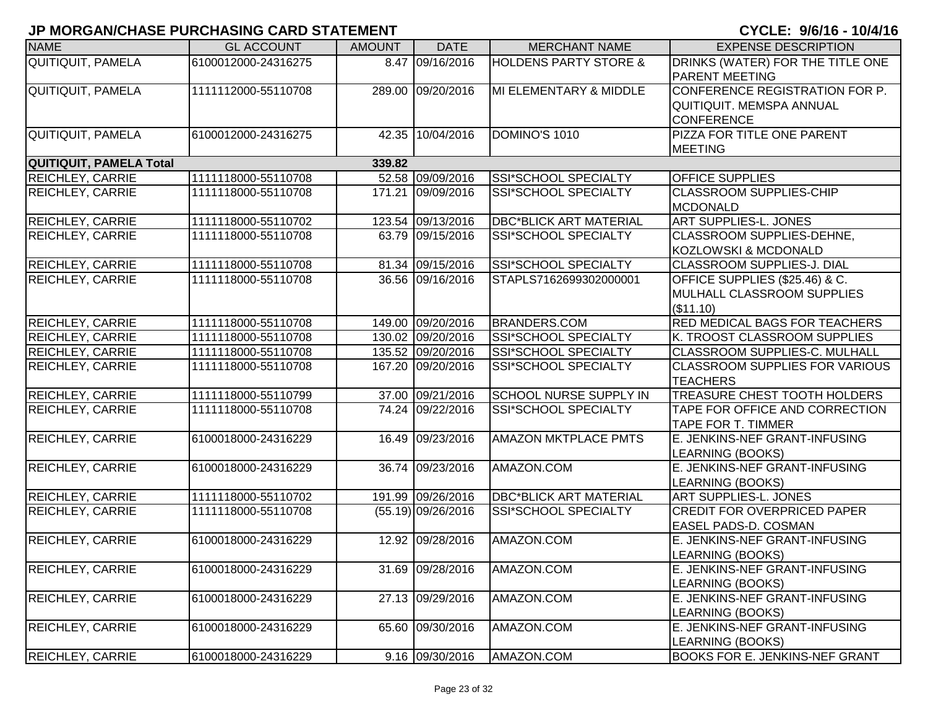| <b>NAME</b>                    | <b>GL ACCOUNT</b>   | <b>AMOUNT</b> | <b>DATE</b>          | <b>MERCHANT NAME</b>             | <b>EXPENSE DESCRIPTION</b>                                                             |
|--------------------------------|---------------------|---------------|----------------------|----------------------------------|----------------------------------------------------------------------------------------|
| QUITIQUIT, PAMELA              | 6100012000-24316275 |               | 8.47 09/16/2016      | <b>HOLDENS PARTY STORE &amp;</b> | DRINKS (WATER) FOR THE TITLE ONE<br><b>PARENT MEETING</b>                              |
| QUITIQUIT, PAMELA              | 1111112000-55110708 |               | 289.00 09/20/2016    | MI ELEMENTARY & MIDDLE           | CONFERENCE REGISTRATION FOR P.<br><b>QUITIQUIT. MEMSPA ANNUAL</b><br><b>CONFERENCE</b> |
| QUITIQUIT, PAMELA              | 6100012000-24316275 |               | 42.35 10/04/2016     | DOMINO'S 1010                    | PIZZA FOR TITLE ONE PARENT<br><b>MEETING</b>                                           |
| <b>QUITIQUIT, PAMELA Total</b> |                     | 339.82        |                      |                                  |                                                                                        |
| REICHLEY, CARRIE               | 1111118000-55110708 |               | 52.58 09/09/2016     | SSI*SCHOOL SPECIALTY             | <b>OFFICE SUPPLIES</b>                                                                 |
| REICHLEY, CARRIE               | 1111118000-55110708 |               | 171.21 09/09/2016    | SSI*SCHOOL SPECIALTY             | <b>CLASSROOM SUPPLIES-CHIP</b><br><b>MCDONALD</b>                                      |
| <b>REICHLEY, CARRIE</b>        | 1111118000-55110702 |               | 123.54 09/13/2016    | <b>DBC*BLICK ART MATERIAL</b>    | <b>ART SUPPLIES-L. JONES</b>                                                           |
| REICHLEY, CARRIE               | 1111118000-55110708 |               | 63.79 09/15/2016     | SSI*SCHOOL SPECIALTY             | CLASSROOM SUPPLIES-DEHNE,<br><b>KOZLOWSKI &amp; MCDONALD</b>                           |
| <b>REICHLEY, CARRIE</b>        | 1111118000-55110708 |               | 81.34 09/15/2016     | SSI*SCHOOL SPECIALTY             | <b>CLASSROOM SUPPLIES-J. DIAL</b>                                                      |
| <b>REICHLEY, CARRIE</b>        | 1111118000-55110708 |               | 36.56 09/16/2016     | STAPLS7162699302000001           | OFFICE SUPPLIES (\$25.46) & C.<br>MULHALL CLASSROOM SUPPLIES<br>(\$11.10)              |
| <b>REICHLEY, CARRIE</b>        | 1111118000-55110708 |               | 149.00 09/20/2016    | <b>BRANDERS.COM</b>              | RED MEDICAL BAGS FOR TEACHERS                                                          |
| <b>REICHLEY, CARRIE</b>        | 1111118000-55110708 |               | 130.02 09/20/2016    | SSI*SCHOOL SPECIALTY             | K. TROOST CLASSROOM SUPPLIES                                                           |
| REICHLEY, CARRIE               | 1111118000-55110708 |               | 135.52 09/20/2016    | SSI*SCHOOL SPECIALTY             | CLASSROOM SUPPLIES-C. MULHALL                                                          |
| REICHLEY, CARRIE               | 1111118000-55110708 |               | 167.20 09/20/2016    | SSI*SCHOOL SPECIALTY             | <b>CLASSROOM SUPPLIES FOR VARIOUS</b><br><b>TEACHERS</b>                               |
| <b>REICHLEY, CARRIE</b>        | 1111118000-55110799 |               | 37.00 09/21/2016     | <b>SCHOOL NURSE SUPPLY IN</b>    | <b>TREASURE CHEST TOOTH HOLDERS</b>                                                    |
| REICHLEY, CARRIE               | 1111118000-55110708 |               | 74.24 09/22/2016     | SSI*SCHOOL SPECIALTY             | TAPE FOR OFFICE AND CORRECTION<br><b>TAPE FOR T. TIMMER</b>                            |
| <b>REICHLEY, CARRIE</b>        | 6100018000-24316229 |               | 16.49 09/23/2016     | <b>AMAZON MKTPLACE PMTS</b>      | E. JENKINS-NEF GRANT-INFUSING<br>LEARNING (BOOKS)                                      |
| <b>REICHLEY, CARRIE</b>        | 6100018000-24316229 |               | 36.74 09/23/2016     | AMAZON.COM                       | E. JENKINS-NEF GRANT-INFUSING<br>LEARNING (BOOKS)                                      |
| REICHLEY, CARRIE               | 1111118000-55110702 |               | 191.99 09/26/2016    | <b>DBC*BLICK ART MATERIAL</b>    | <b>ART SUPPLIES-L. JONES</b>                                                           |
| REICHLEY, CARRIE               | 1111118000-55110708 |               | $(55.19)$ 09/26/2016 | SSI*SCHOOL SPECIALTY             | <b>CREDIT FOR OVERPRICED PAPER</b><br>EASEL PADS-D. COSMAN                             |
| <b>REICHLEY, CARRIE</b>        | 6100018000-24316229 |               | 12.92 09/28/2016     | AMAZON.COM                       | E. JENKINS-NEF GRANT-INFUSING<br>LEARNING (BOOKS)                                      |
| <b>REICHLEY, CARRIE</b>        | 6100018000-24316229 |               | 31.69 09/28/2016     | AMAZON.COM                       | E. JENKINS-NEF GRANT-INFUSING<br>LEARNING (BOOKS)                                      |
| <b>REICHLEY, CARRIE</b>        | 6100018000-24316229 |               | 27.13 09/29/2016     | AMAZON.COM                       | E. JENKINS-NEF GRANT-INFUSING<br>LEARNING (BOOKS)                                      |
| <b>REICHLEY, CARRIE</b>        | 6100018000-24316229 |               | 65.60 09/30/2016     | AMAZON.COM                       | E. JENKINS-NEF GRANT-INFUSING<br>LEARNING (BOOKS)                                      |
| <b>REICHLEY, CARRIE</b>        | 6100018000-24316229 |               | 9.16 09/30/2016      | AMAZON.COM                       | BOOKS FOR E. JENKINS-NEF GRANT                                                         |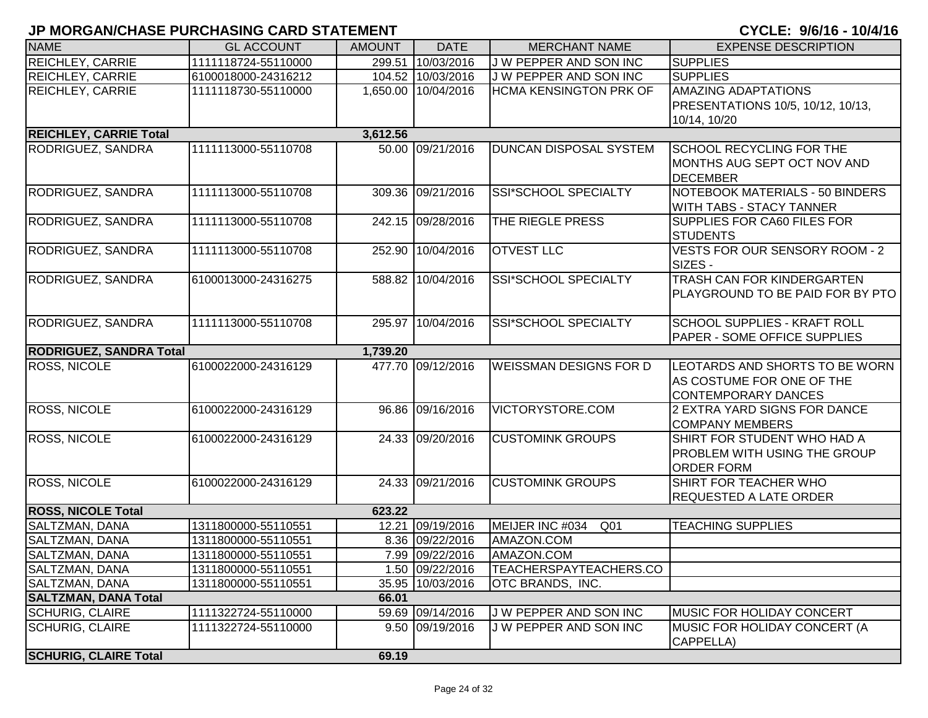| <b>NAME</b>                    | <b>GL ACCOUNT</b>   | <b>AMOUNT</b> | <b>DATE</b>         | <b>MERCHANT NAME</b>               | <b>EXPENSE DESCRIPTION</b>                                                                |
|--------------------------------|---------------------|---------------|---------------------|------------------------------------|-------------------------------------------------------------------------------------------|
| REICHLEY, CARRIE               | 1111118724-55110000 |               | 299.51 10/03/2016   | J W PEPPER AND SON INC             | <b>SUPPLIES</b>                                                                           |
| <b>REICHLEY, CARRIE</b>        | 6100018000-24316212 |               | 104.52 10/03/2016   | J W PEPPER AND SON INC             | <b>SUPPLIES</b>                                                                           |
| <b>REICHLEY, CARRIE</b>        | 1111118730-55110000 |               | 1,650.00 10/04/2016 | <b>HCMA KENSINGTON PRK OF</b>      | <b>AMAZING ADAPTATIONS</b><br>PRESENTATIONS 10/5, 10/12, 10/13,<br>10/14, 10/20           |
| <b>REICHLEY, CARRIE Total</b>  |                     | 3,612.56      |                     |                                    |                                                                                           |
| <b>RODRIGUEZ, SANDRA</b>       | 1111113000-55110708 |               | 50.00 09/21/2016    | DUNCAN DISPOSAL SYSTEM             | <b>SCHOOL RECYCLING FOR THE</b><br>MONTHS AUG SEPT OCT NOV AND<br><b>DECEMBER</b>         |
| RODRIGUEZ, SANDRA              | 1111113000-55110708 |               | 309.36 09/21/2016   | <b>SSI*SCHOOL SPECIALTY</b>        | NOTEBOOK MATERIALS - 50 BINDERS<br>WITH TABS - STACY TANNER                               |
| RODRIGUEZ, SANDRA              | 1111113000-55110708 |               | 242.15 09/28/2016   | THE RIEGLE PRESS                   | SUPPLIES FOR CA60 FILES FOR<br><b>STUDENTS</b>                                            |
| RODRIGUEZ, SANDRA              | 1111113000-55110708 | 252.90        | 10/04/2016          | <b>OTVEST LLC</b>                  | <b>VESTS FOR OUR SENSORY ROOM - 2</b><br>SIZES -                                          |
| RODRIGUEZ, SANDRA              | 6100013000-24316275 |               | 588.82 10/04/2016   | SSI*SCHOOL SPECIALTY               | <b>TRASH CAN FOR KINDERGARTEN</b><br>PLAYGROUND TO BE PAID FOR BY PTO                     |
| RODRIGUEZ, SANDRA              | 1111113000-55110708 |               | 295.97 10/04/2016   | SSI*SCHOOL SPECIALTY               | <b>SCHOOL SUPPLIES - KRAFT ROLL</b><br>PAPER - SOME OFFICE SUPPLIES                       |
| <b>RODRIGUEZ, SANDRA Total</b> |                     | 1,739.20      |                     |                                    |                                                                                           |
| <b>ROSS, NICOLE</b>            | 6100022000-24316129 |               | 477.70 09/12/2016   | <b>WEISSMAN DESIGNS FOR D</b>      | LEOTARDS AND SHORTS TO BE WORN<br>AS COSTUME FOR ONE OF THE<br><b>CONTEMPORARY DANCES</b> |
| <b>ROSS, NICOLE</b>            | 6100022000-24316129 |               | 96.86 09/16/2016    | VICTORYSTORE.COM                   | 2 EXTRA YARD SIGNS FOR DANCE<br><b>COMPANY MEMBERS</b>                                    |
| ROSS, NICOLE                   | 6100022000-24316129 |               | 24.33 09/20/2016    | <b>CUSTOMINK GROUPS</b>            | SHIRT FOR STUDENT WHO HAD A<br>PROBLEM WITH USING THE GROUP<br><b>ORDER FORM</b>          |
| ROSS, NICOLE                   | 6100022000-24316129 |               | 24.33 09/21/2016    | <b>CUSTOMINK GROUPS</b>            | SHIRT FOR TEACHER WHO<br><b>REQUESTED A LATE ORDER</b>                                    |
| <b>ROSS, NICOLE Total</b>      |                     | 623.22        |                     |                                    |                                                                                           |
| SALTZMAN, DANA                 | 1311800000-55110551 |               | 12.21 09/19/2016    | MEIJER INC #034<br>Q <sub>01</sub> | <b>TEACHING SUPPLIES</b>                                                                  |
| SALTZMAN, DANA                 | 1311800000-55110551 |               | 8.36 09/22/2016     | AMAZON.COM                         |                                                                                           |
| <b>SALTZMAN, DANA</b>          | 1311800000-55110551 |               | 7.99 09/22/2016     | AMAZON.COM                         |                                                                                           |
| SALTZMAN, DANA                 | 1311800000-55110551 |               | 1.50 09/22/2016     | TEACHERSPAYTEACHERS.CO             |                                                                                           |
| <b>SALTZMAN, DANA</b>          | 1311800000-55110551 |               | 35.95 10/03/2016    | OTC BRANDS, INC.                   |                                                                                           |
| <b>SALTZMAN, DANA Total</b>    |                     | 66.01         |                     |                                    |                                                                                           |
| <b>SCHURIG, CLAIRE</b>         | 1111322724-55110000 |               | 59.69 09/14/2016    | J W PEPPER AND SON INC             | MUSIC FOR HOLIDAY CONCERT                                                                 |
| <b>SCHURIG, CLAIRE</b>         | 1111322724-55110000 |               | 9.50 09/19/2016     | J W PEPPER AND SON INC             | <b>IMUSIC FOR HOLIDAY CONCERT (A</b><br>CAPPELLA)                                         |
| <b>SCHURIG, CLAIRE Total</b>   |                     | 69.19         |                     |                                    |                                                                                           |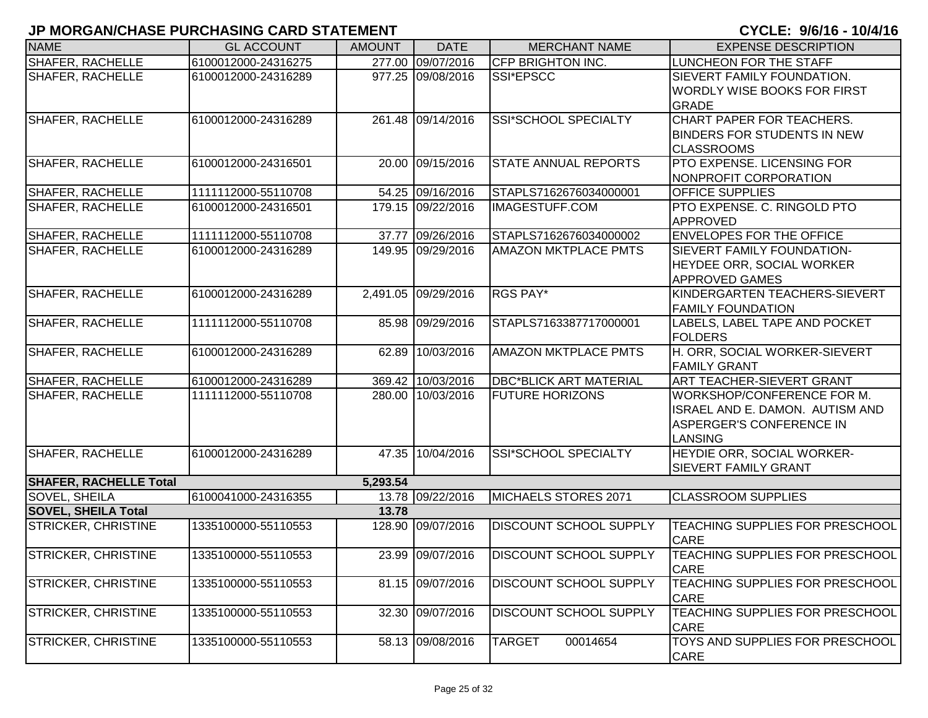|                               |                     |               |                     |                               | <b></b>                                                                                                     |
|-------------------------------|---------------------|---------------|---------------------|-------------------------------|-------------------------------------------------------------------------------------------------------------|
| <b>NAME</b>                   | <b>GL ACCOUNT</b>   | <b>AMOUNT</b> | <b>DATE</b>         | <b>MERCHANT NAME</b>          | <b>EXPENSE DESCRIPTION</b>                                                                                  |
| SHAFER, RACHELLE              | 6100012000-24316275 |               | 277.00 09/07/2016   | <b>CFP BRIGHTON INC.</b>      | LUNCHEON FOR THE STAFF                                                                                      |
| <b>SHAFER, RACHELLE</b>       | 6100012000-24316289 |               | 977.25 09/08/2016   | SSI*EPSCC                     | SIEVERT FAMILY FOUNDATION.<br>WORDLY WISE BOOKS FOR FIRST<br><b>GRADE</b>                                   |
| <b>SHAFER, RACHELLE</b>       | 6100012000-24316289 |               | 261.48 09/14/2016   | <b>SSI*SCHOOL SPECIALTY</b>   | CHART PAPER FOR TEACHERS.<br><b>BINDERS FOR STUDENTS IN NEW</b><br><b>CLASSROOMS</b>                        |
| <b>SHAFER, RACHELLE</b>       | 6100012000-24316501 |               | 20.00 09/15/2016    | <b>STATE ANNUAL REPORTS</b>   | PTO EXPENSE. LICENSING FOR<br>NONPROFIT CORPORATION                                                         |
| <b>SHAFER, RACHELLE</b>       | 1111112000-55110708 |               | 54.25 09/16/2016    | STAPLS7162676034000001        | <b>OFFICE SUPPLIES</b>                                                                                      |
| <b>SHAFER, RACHELLE</b>       | 6100012000-24316501 |               | 179.15 09/22/2016   | <b>IMAGESTUFF.COM</b>         | PTO EXPENSE. C. RINGOLD PTO<br><b>APPROVED</b>                                                              |
| <b>SHAFER, RACHELLE</b>       | 1111112000-55110708 |               | 37.77 09/26/2016    | STAPLS7162676034000002        | <b>ENVELOPES FOR THE OFFICE</b>                                                                             |
| <b>SHAFER, RACHELLE</b>       | 6100012000-24316289 |               | 149.95 09/29/2016   | AMAZON MKTPLACE PMTS          | SIEVERT FAMILY FOUNDATION-<br><b>HEYDEE ORR, SOCIAL WORKER</b><br><b>APPROVED GAMES</b>                     |
| <b>SHAFER, RACHELLE</b>       | 6100012000-24316289 |               | 2,491.05 09/29/2016 | RGS PAY*                      | KINDERGARTEN TEACHERS-SIEVERT<br><b>FAMILY FOUNDATION</b>                                                   |
| <b>SHAFER, RACHELLE</b>       | 1111112000-55110708 |               | 85.98 09/29/2016    | STAPLS7163387717000001        | LABELS, LABEL TAPE AND POCKET<br><b>FOLDERS</b>                                                             |
| <b>SHAFER, RACHELLE</b>       | 6100012000-24316289 | 62.89         | 10/03/2016          | AMAZON MKTPLACE PMTS          | H. ORR, SOCIAL WORKER-SIEVERT<br><b>FAMILY GRANT</b>                                                        |
| SHAFER, RACHELLE              | 6100012000-24316289 |               | 369.42 10/03/2016   | <b>DBC*BLICK ART MATERIAL</b> | ART TEACHER-SIEVERT GRANT                                                                                   |
| <b>SHAFER, RACHELLE</b>       | 1111112000-55110708 |               | 280.00 10/03/2016   | <b>FUTURE HORIZONS</b>        | WORKSHOP/CONFERENCE FOR M.<br>ISRAEL AND E. DAMON. AUTISM AND<br>ASPERGER'S CONFERENCE IN<br><b>LANSING</b> |
| <b>SHAFER, RACHELLE</b>       | 6100012000-24316289 |               | 47.35 10/04/2016    | SSI*SCHOOL SPECIALTY          | HEYDIE ORR, SOCIAL WORKER-<br><b>SIEVERT FAMILY GRANT</b>                                                   |
| <b>SHAFER, RACHELLE Total</b> |                     | 5,293.54      |                     |                               |                                                                                                             |
| <b>SOVEL, SHEILA</b>          | 6100041000-24316355 |               | 13.78 09/22/2016    | MICHAELS STORES 2071          | <b>CLASSROOM SUPPLIES</b>                                                                                   |
| <b>SOVEL, SHEILA Total</b>    |                     | 13.78         |                     |                               |                                                                                                             |
| <b>STRICKER, CHRISTINE</b>    | 1335100000-55110553 | 128.90        | 09/07/2016          | DISCOUNT SCHOOL SUPPLY        | <b>TEACHING SUPPLIES FOR PRESCHOOL</b><br><b>CARE</b>                                                       |
| <b>STRICKER, CHRISTINE</b>    | 1335100000-55110553 |               | 23.99 09/07/2016    | <b>DISCOUNT SCHOOL SUPPLY</b> | TEACHING SUPPLIES FOR PRESCHOOL<br><b>CARE</b>                                                              |
| <b>STRICKER, CHRISTINE</b>    | 1335100000-55110553 |               | 81.15 09/07/2016    | DISCOUNT SCHOOL SUPPLY        | TEACHING SUPPLIES FOR PRESCHOOL<br><b>CARE</b>                                                              |
| <b>STRICKER, CHRISTINE</b>    | 1335100000-55110553 | 32.30         | 09/07/2016          | DISCOUNT SCHOOL SUPPLY        | TEACHING SUPPLIES FOR PRESCHOOL<br><b>CARE</b>                                                              |
| <b>STRICKER, CHRISTINE</b>    | 1335100000-55110553 |               | 58.13 09/08/2016    | <b>TARGET</b><br>00014654     | TOYS AND SUPPLIES FOR PRESCHOOL<br><b>CARE</b>                                                              |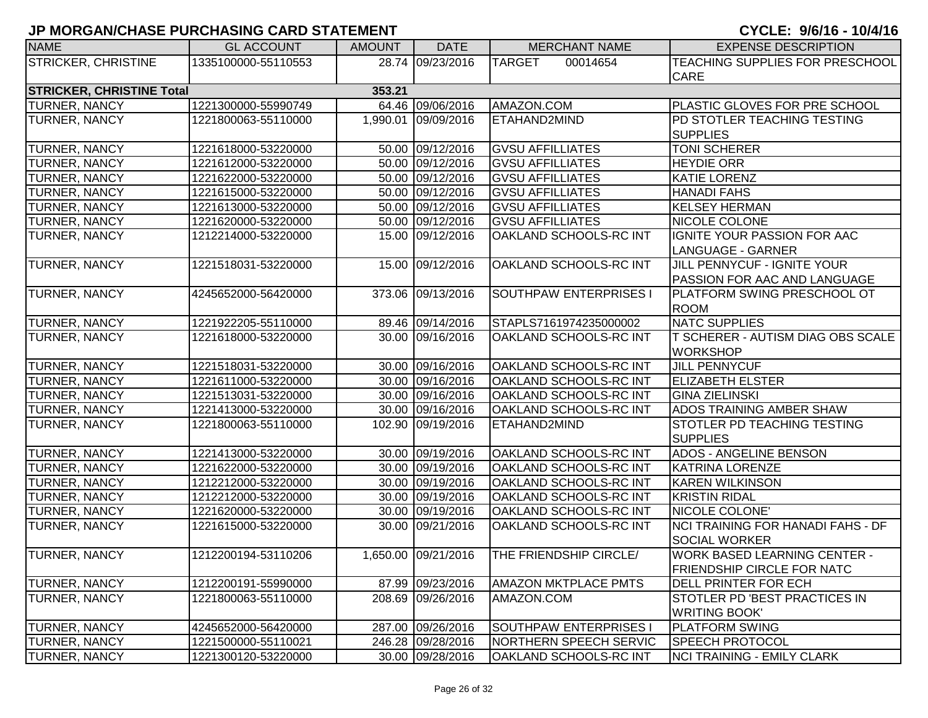| <b>NAME</b>                      | <b>GL ACCOUNT</b>   | <b>AMOUNT</b> | <b>DATE</b>         | <b>MERCHANT NAME</b>          | <b>EXPENSE DESCRIPTION</b>          |
|----------------------------------|---------------------|---------------|---------------------|-------------------------------|-------------------------------------|
| <b>STRICKER, CHRISTINE</b>       | 1335100000-55110553 |               | 28.74 09/23/2016    | <b>TARGET</b><br>00014654     | TEACHING SUPPLIES FOR PRESCHOOL     |
|                                  |                     |               |                     |                               | <b>CARE</b>                         |
| <b>STRICKER, CHRISTINE Total</b> |                     | 353.21        |                     |                               |                                     |
| <b>TURNER, NANCY</b>             | 1221300000-55990749 |               | 64.46 09/06/2016    | AMAZON.COM                    | PLASTIC GLOVES FOR PRE SCHOOL       |
| <b>TURNER, NANCY</b>             | 1221800063-55110000 |               | 1,990.01 09/09/2016 | ETAHAND2MIND                  | PD STOTLER TEACHING TESTING         |
|                                  |                     |               |                     |                               | <b>SUPPLIES</b>                     |
| TURNER, NANCY                    | 1221618000-53220000 |               | 50.00 09/12/2016    | <b>GVSU AFFILLIATES</b>       | <b>TONI SCHERER</b>                 |
| <b>TURNER, NANCY</b>             | 1221612000-53220000 |               | 50.00 09/12/2016    | <b>GVSU AFFILLIATES</b>       | <b>HEYDIE ORR</b>                   |
| <b>TURNER, NANCY</b>             | 1221622000-53220000 |               | 50.00 09/12/2016    | <b>GVSU AFFILLIATES</b>       | <b>KATIE LORENZ</b>                 |
| <b>TURNER, NANCY</b>             | 1221615000-53220000 |               | 50.00 09/12/2016    | <b>GVSU AFFILLIATES</b>       | <b>HANADI FAHS</b>                  |
| <b>TURNER, NANCY</b>             | 1221613000-53220000 |               | 50.00 09/12/2016    | <b>GVSU AFFILLIATES</b>       | <b>KELSEY HERMAN</b>                |
| <b>TURNER, NANCY</b>             | 1221620000-53220000 |               | 50.00 09/12/2016    | <b>GVSU AFFILLIATES</b>       | NICOLE COLONE                       |
| <b>TURNER, NANCY</b>             | 1212214000-53220000 |               | 15.00 09/12/2016    | OAKLAND SCHOOLS-RC INT        | IGNITE YOUR PASSION FOR AAC         |
|                                  |                     |               |                     |                               | <b>LANGUAGE - GARNER</b>            |
| TURNER, NANCY                    | 1221518031-53220000 |               | 15.00 09/12/2016    | OAKLAND SCHOOLS-RC INT        | JILL PENNYCUF - IGNITE YOUR         |
|                                  |                     |               |                     |                               | <b>PASSION FOR AAC AND LANGUAGE</b> |
| <b>TURNER, NANCY</b>             | 4245652000-56420000 |               | 373.06 09/13/2016   | <b>SOUTHPAW ENTERPRISES I</b> | PLATFORM SWING PRESCHOOL OT         |
|                                  |                     |               |                     |                               | <b>ROOM</b>                         |
| <b>TURNER, NANCY</b>             | 1221922205-55110000 |               | 89.46 09/14/2016    | STAPLS7161974235000002        | <b>NATC SUPPLIES</b>                |
| <b>TURNER, NANCY</b>             | 1221618000-53220000 |               | 30.00 09/16/2016    | OAKLAND SCHOOLS-RC INT        | T SCHERER - AUTISM DIAG OBS SCALE   |
|                                  |                     |               |                     |                               | <b>WORKSHOP</b>                     |
| <b>TURNER, NANCY</b>             | 1221518031-53220000 |               | 30.00 09/16/2016    | OAKLAND SCHOOLS-RC INT        | <b>JILL PENNYCUF</b>                |
| <b>TURNER, NANCY</b>             | 1221611000-53220000 |               | 30.00 09/16/2016    | OAKLAND SCHOOLS-RC INT        | <b>ELIZABETH ELSTER</b>             |
| <b>TURNER, NANCY</b>             | 1221513031-53220000 |               | 30.00 09/16/2016    | OAKLAND SCHOOLS-RC INT        | <b>GINA ZIELINSKI</b>               |
| <b>TURNER, NANCY</b>             | 1221413000-53220000 |               | 30.00 09/16/2016    | OAKLAND SCHOOLS-RC INT        | ADOS TRAINING AMBER SHAW            |
| <b>TURNER, NANCY</b>             | 1221800063-55110000 |               | 102.90 09/19/2016   | ETAHAND2MIND                  | <b>STOTLER PD TEACHING TESTING</b>  |
|                                  |                     |               |                     |                               | <b>SUPPLIES</b>                     |
| <b>TURNER, NANCY</b>             | 1221413000-53220000 |               | 30.00 09/19/2016    | OAKLAND SCHOOLS-RC INT        | <b>ADOS - ANGELINE BENSON</b>       |
| <b>TURNER, NANCY</b>             | 1221622000-53220000 |               | 30.00 09/19/2016    | OAKLAND SCHOOLS-RC INT        | KATRINA LORENZE                     |
| <b>TURNER, NANCY</b>             | 1212212000-53220000 |               | 30.00 09/19/2016    | OAKLAND SCHOOLS-RC INT        | <b>KAREN WILKINSON</b>              |
| <b>TURNER, NANCY</b>             | 1212212000-53220000 |               | 30.00 09/19/2016    | OAKLAND SCHOOLS-RC INT        | <b>KRISTIN RIDAL</b>                |
| <b>TURNER, NANCY</b>             | 1221620000-53220000 |               | 30.00 09/19/2016    | OAKLAND SCHOOLS-RC INT        | NICOLE COLONE'                      |
| <b>TURNER, NANCY</b>             | 1221615000-53220000 |               | 30.00 09/21/2016    | OAKLAND SCHOOLS-RC INT        | NCI TRAINING FOR HANADI FAHS - DF   |
|                                  |                     |               |                     |                               | <b>SOCIAL WORKER</b>                |
| TURNER, NANCY                    | 1212200194-53110206 |               | 1,650.00 09/21/2016 | THE FRIENDSHIP CIRCLE/        | <b>WORK BASED LEARNING CENTER -</b> |
|                                  |                     |               |                     |                               | FRIENDSHIP CIRCLE FOR NATC          |
| <b>TURNER, NANCY</b>             | 1212200191-55990000 |               | 87.99 09/23/2016    | <b>AMAZON MKTPLACE PMTS</b>   | <b>DELL PRINTER FOR ECH</b>         |
| <b>TURNER, NANCY</b>             | 1221800063-55110000 |               | 208.69 09/26/2016   | AMAZON.COM                    | STOTLER PD 'BEST PRACTICES IN       |
|                                  |                     |               |                     |                               | <b>WRITING BOOK'</b>                |
| <b>TURNER, NANCY</b>             | 4245652000-56420000 |               | 287.00 09/26/2016   | SOUTHPAW ENTERPRISES I        | <b>PLATFORM SWING</b>               |
| <b>TURNER, NANCY</b>             | 1221500000-55110021 |               | 246.28 09/28/2016   | <b>NORTHERN SPEECH SERVIC</b> | <b>SPEECH PROTOCOL</b>              |
| <b>TURNER, NANCY</b>             | 1221300120-53220000 |               | 30.00 09/28/2016    | <b>OAKLAND SCHOOLS-RC INT</b> | <b>NCI TRAINING - EMILY CLARK</b>   |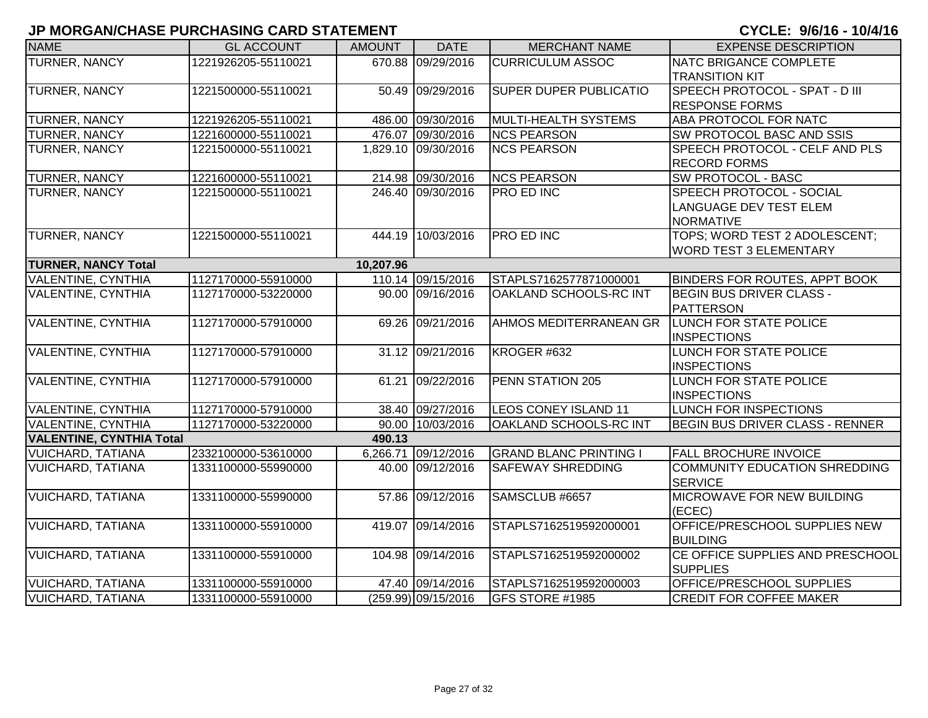| <b>NAME</b>                     | <b>GL ACCOUNT</b>   | <b>AMOUNT</b> | <b>DATE</b>         | <b>MERCHANT NAME</b>          | <b>EXPENSE DESCRIPTION</b>                            |
|---------------------------------|---------------------|---------------|---------------------|-------------------------------|-------------------------------------------------------|
| <b>TURNER, NANCY</b>            | 1221926205-55110021 |               | 670.88 09/29/2016   | <b>CURRICULUM ASSOC</b>       | NATC BRIGANCE COMPLETE                                |
|                                 |                     |               |                     |                               | <b>TRANSITION KIT</b>                                 |
| <b>TURNER, NANCY</b>            | 1221500000-55110021 |               | 50.49 09/29/2016    | <b>SUPER DUPER PUBLICATIO</b> | SPEECH PROTOCOL - SPAT - D III                        |
|                                 |                     |               |                     |                               | <b>RESPONSE FORMS</b>                                 |
| <b>TURNER, NANCY</b>            | 1221926205-55110021 |               | 486.00 09/30/2016   | MULTI-HEALTH SYSTEMS          | ABA PROTOCOL FOR NATC                                 |
| <b>TURNER, NANCY</b>            | 1221600000-55110021 |               | 476.07 09/30/2016   | <b>NCS PEARSON</b>            | SW PROTOCOL BASC AND SSIS                             |
| <b>TURNER, NANCY</b>            | 1221500000-55110021 |               | 1,829.10 09/30/2016 | <b>NCS PEARSON</b>            | SPEECH PROTOCOL - CELF AND PLS<br><b>RECORD FORMS</b> |
| <b>TURNER, NANCY</b>            | 1221600000-55110021 |               | 214.98 09/30/2016   | <b>NCS PEARSON</b>            | <b>SW PROTOCOL - BASC</b>                             |
| <b>TURNER, NANCY</b>            | 1221500000-55110021 |               | 246.40 09/30/2016   | <b>PRO ED INC</b>             | SPEECH PROTOCOL - SOCIAL                              |
|                                 |                     |               |                     |                               | <b>LANGUAGE DEV TEST ELEM</b>                         |
|                                 |                     |               |                     |                               | <b>NORMATIVE</b>                                      |
| <b>TURNER, NANCY</b>            | 1221500000-55110021 |               | 444.19 10/03/2016   | <b>PRO ED INC</b>             | TOPS; WORD TEST 2 ADOLESCENT;                         |
|                                 |                     |               |                     |                               | <b>WORD TEST 3 ELEMENTARY</b>                         |
| <b>TURNER, NANCY Total</b>      |                     | 10,207.96     |                     |                               |                                                       |
| VALENTINE, CYNTHIA              | 1127170000-55910000 |               | 110.14 09/15/2016   | STAPLS7162577871000001        | <b>BINDERS FOR ROUTES, APPT BOOK</b>                  |
| VALENTINE, CYNTHIA              | 1127170000-53220000 |               | 90.00 09/16/2016    | OAKLAND SCHOOLS-RC INT        | <b>BEGIN BUS DRIVER CLASS -</b>                       |
|                                 |                     |               |                     |                               | <b>PATTERSON</b>                                      |
| <b>VALENTINE, CYNTHIA</b>       | 1127170000-57910000 |               | 69.26 09/21/2016    | AHMOS MEDITERRANEAN GR        | <b>LUNCH FOR STATE POLICE</b>                         |
|                                 |                     |               |                     |                               | <b>INSPECTIONS</b>                                    |
| <b>VALENTINE, CYNTHIA</b>       | 1127170000-57910000 |               | 31.12 09/21/2016    | KROGER #632                   | <b>LUNCH FOR STATE POLICE</b>                         |
|                                 |                     |               |                     |                               | <b>INSPECTIONS</b>                                    |
| <b>VALENTINE, CYNTHIA</b>       | 1127170000-57910000 |               | 61.21 09/22/2016    | <b>PENN STATION 205</b>       | <b>LUNCH FOR STATE POLICE</b>                         |
|                                 |                     |               |                     |                               | <b>INSPECTIONS</b>                                    |
| <b>VALENTINE, CYNTHIA</b>       | 1127170000-57910000 |               | 38.40 09/27/2016    | <b>LEOS CONEY ISLAND 11</b>   | <b>LUNCH FOR INSPECTIONS</b>                          |
| <b>VALENTINE, CYNTHIA</b>       | 1127170000-53220000 |               | 90.00 10/03/2016    | OAKLAND SCHOOLS-RC INT        | <b>BEGIN BUS DRIVER CLASS - RENNER</b>                |
| <b>VALENTINE, CYNTHIA Total</b> |                     | 490.13        |                     |                               |                                                       |
| <b>VUICHARD, TATIANA</b>        | 2332100000-53610000 |               | 6,266.71 09/12/2016 | <b>GRAND BLANC PRINTING I</b> | <b>FALL BROCHURE INVOICE</b>                          |
| <b>VUICHARD, TATIANA</b>        | 1331100000-55990000 |               | 40.00 09/12/2016    | <b>SAFEWAY SHREDDING</b>      | COMMUNITY EDUCATION SHREDDING<br><b>SERVICE</b>       |
| <b>VUICHARD, TATIANA</b>        | 1331100000-55990000 |               | 57.86 09/12/2016    | SAMSCLUB #6657                | MICROWAVE FOR NEW BUILDING                            |
|                                 |                     |               |                     |                               | (ECEC)                                                |
| <b>VUICHARD, TATIANA</b>        | 1331100000-55910000 |               | 419.07 09/14/2016   | STAPLS7162519592000001        | OFFICE/PRESCHOOL SUPPLIES NEW                         |
|                                 |                     |               |                     |                               | <b>BUILDING</b>                                       |
| <b>VUICHARD, TATIANA</b>        | 1331100000-55910000 |               | 104.98 09/14/2016   | STAPLS7162519592000002        | CE OFFICE SUPPLIES AND PRESCHOOL                      |
|                                 |                     |               |                     |                               | <b>SUPPLIES</b>                                       |
| <b>VUICHARD, TATIANA</b>        | 1331100000-55910000 |               | 47.40 09/14/2016    | STAPLS7162519592000003        | OFFICE/PRESCHOOL SUPPLIES                             |
| <b>VUICHARD, TATIANA</b>        | 1331100000-55910000 |               | (259.99) 09/15/2016 | GFS STORE #1985               | <b>CREDIT FOR COFFEE MAKER</b>                        |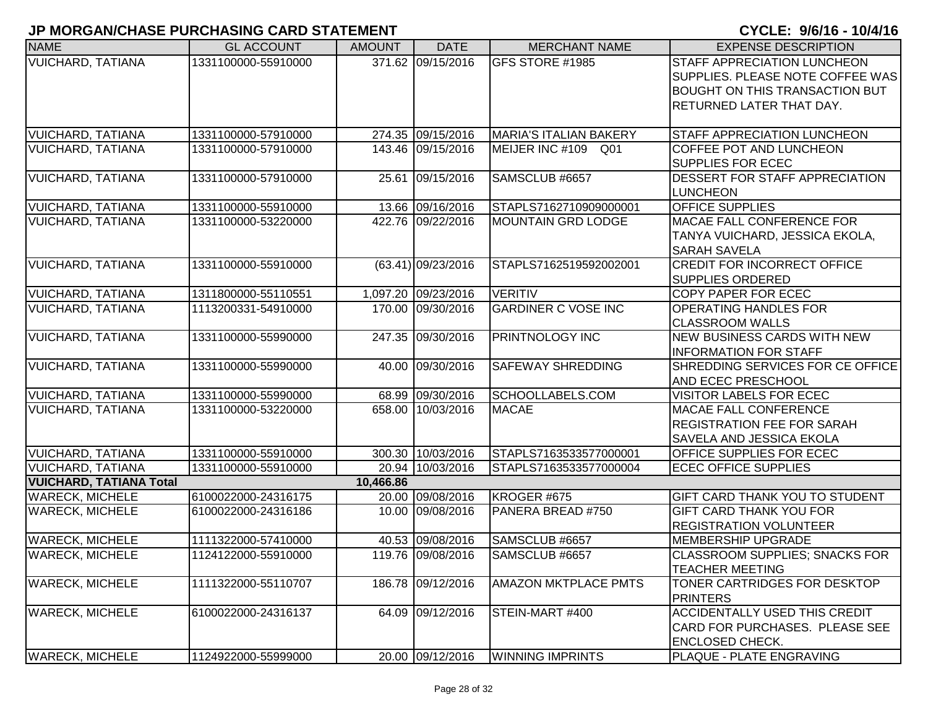| <b>NAME</b>                    | <b>GL ACCOUNT</b>   | <b>AMOUNT</b> | <b>DATE</b>          | <b>MERCHANT NAME</b>          | <b>EXPENSE DESCRIPTION</b>                        |
|--------------------------------|---------------------|---------------|----------------------|-------------------------------|---------------------------------------------------|
| <b>VUICHARD, TATIANA</b>       | 1331100000-55910000 |               | 371.62 09/15/2016    | GFS STORE #1985               | STAFF APPRECIATION LUNCHEON                       |
|                                |                     |               |                      |                               | SUPPLIES. PLEASE NOTE COFFEE WAS                  |
|                                |                     |               |                      |                               | <b>BOUGHT ON THIS TRANSACTION BUT</b>             |
|                                |                     |               |                      |                               | RETURNED LATER THAT DAY.                          |
| <b>VUICHARD, TATIANA</b>       | 1331100000-57910000 |               | 274.35 09/15/2016    | <b>MARIA'S ITALIAN BAKERY</b> | <b>STAFF APPRECIATION LUNCHEON</b>                |
| <b>VUICHARD, TATIANA</b>       | 1331100000-57910000 |               | 143.46 09/15/2016    | MEIJER INC #109<br>Q01        | COFFEE POT AND LUNCHEON                           |
|                                |                     |               |                      |                               | SUPPLIES FOR ECEC                                 |
| <b>VUICHARD, TATIANA</b>       | 1331100000-57910000 | 25.61         | 09/15/2016           | SAMSCLUB #6657                | DESSERT FOR STAFF APPRECIATION<br><b>LUNCHEON</b> |
| <b>VUICHARD, TATIANA</b>       | 1331100000-55910000 |               | 13.66 09/16/2016     | STAPLS7162710909000001        | <b>OFFICE SUPPLIES</b>                            |
| <b>VUICHARD, TATIANA</b>       | 1331100000-53220000 |               | 422.76 09/22/2016    | <b>MOUNTAIN GRD LODGE</b>     | <b>MACAE FALL CONFERENCE FOR</b>                  |
|                                |                     |               |                      |                               | TANYA VUICHARD, JESSICA EKOLA,                    |
|                                |                     |               |                      |                               | <b>SARAH SAVELA</b>                               |
| <b>VUICHARD, TATIANA</b>       | 1331100000-55910000 |               | $(63.41)$ 09/23/2016 | STAPLS7162519592002001        | <b>CREDIT FOR INCORRECT OFFICE</b>                |
|                                |                     |               |                      |                               | <b>SUPPLIES ORDERED</b>                           |
| <b>VUICHARD, TATIANA</b>       | 1311800000-55110551 |               | 1,097.20 09/23/2016  | <b>VERITIV</b>                | <b>COPY PAPER FOR ECEC</b>                        |
| <b>VUICHARD, TATIANA</b>       | 1113200331-54910000 |               | 170.00 09/30/2016    | <b>GARDINER C VOSE INC</b>    | <b>OPERATING HANDLES FOR</b>                      |
|                                |                     |               |                      |                               | <b>CLASSROOM WALLS</b>                            |
| <b>VUICHARD, TATIANA</b>       | 1331100000-55990000 |               | 247.35 09/30/2016    | PRINTNOLOGY INC               | NEW BUSINESS CARDS WITH NEW                       |
|                                |                     |               |                      |                               | <b>INFORMATION FOR STAFF</b>                      |
| <b>VUICHARD, TATIANA</b>       | 1331100000-55990000 |               | 40.00 09/30/2016     | <b>SAFEWAY SHREDDING</b>      | SHREDDING SERVICES FOR CE OFFICE                  |
|                                |                     |               |                      |                               | AND ECEC PRESCHOOL                                |
| <b>VUICHARD, TATIANA</b>       | 1331100000-55990000 |               | 68.99 09/30/2016     | SCHOOLLABELS.COM              | <b>VISITOR LABELS FOR ECEC</b>                    |
| <b>VUICHARD, TATIANA</b>       | 1331100000-53220000 |               | 658.00 10/03/2016    | <b>MACAE</b>                  | <b>MACAE FALL CONFERENCE</b>                      |
|                                |                     |               |                      |                               | <b>REGISTRATION FEE FOR SARAH</b>                 |
|                                |                     |               |                      |                               | <b>SAVELA AND JESSICA EKOLA</b>                   |
| <b>VUICHARD, TATIANA</b>       | 1331100000-55910000 |               | 300.30 10/03/2016    | STAPLS7163533577000001        | <b>OFFICE SUPPLIES FOR ECEC</b>                   |
| <b>VUICHARD, TATIANA</b>       | 1331100000-55910000 |               | 20.94 10/03/2016     | STAPLS7163533577000004        | <b>ECEC OFFICE SUPPLIES</b>                       |
| <b>VUICHARD, TATIANA Total</b> |                     | 10,466.86     |                      |                               |                                                   |
| <b>WARECK, MICHELE</b>         | 6100022000-24316175 |               | 20.00 09/08/2016     | KROGER #675                   | <b>GIFT CARD THANK YOU TO STUDENT</b>             |
| <b>WARECK, MICHELE</b>         | 6100022000-24316186 |               | 10.00 09/08/2016     | PANERA BREAD #750             | <b>GIFT CARD THANK YOU FOR</b>                    |
|                                |                     |               |                      |                               | <b>REGISTRATION VOLUNTEER</b>                     |
| <b>WARECK, MICHELE</b>         | 1111322000-57410000 |               | 40.53 09/08/2016     | SAMSCLUB #6657                | MEMBERSHIP UPGRADE                                |
| <b>WARECK, MICHELE</b>         | 1124122000-55910000 |               | 119.76 09/08/2016    | SAMSCLUB #6657                | <b>CLASSROOM SUPPLIES: SNACKS FOR</b>             |
|                                |                     |               |                      |                               | <b>TEACHER MEETING</b>                            |
| <b>WARECK, MICHELE</b>         | 1111322000-55110707 |               | 186.78 09/12/2016    | AMAZON MKTPLACE PMTS          | TONER CARTRIDGES FOR DESKTOP                      |
|                                |                     |               |                      |                               | <b>PRINTERS</b>                                   |
| <b>WARECK, MICHELE</b>         | 6100022000-24316137 |               | 64.09 09/12/2016     | STEIN-MART #400               | <b>ACCIDENTALLY USED THIS CREDIT</b>              |
|                                |                     |               |                      |                               | CARD FOR PURCHASES. PLEASE SEE                    |
|                                |                     |               |                      |                               | <b>ENCLOSED CHECK.</b>                            |
| <b>WARECK, MICHELE</b>         | 1124922000-55999000 |               | 20.00 09/12/2016     | <b>WINNING IMPRINTS</b>       | <b>PLAQUE - PLATE ENGRAVING</b>                   |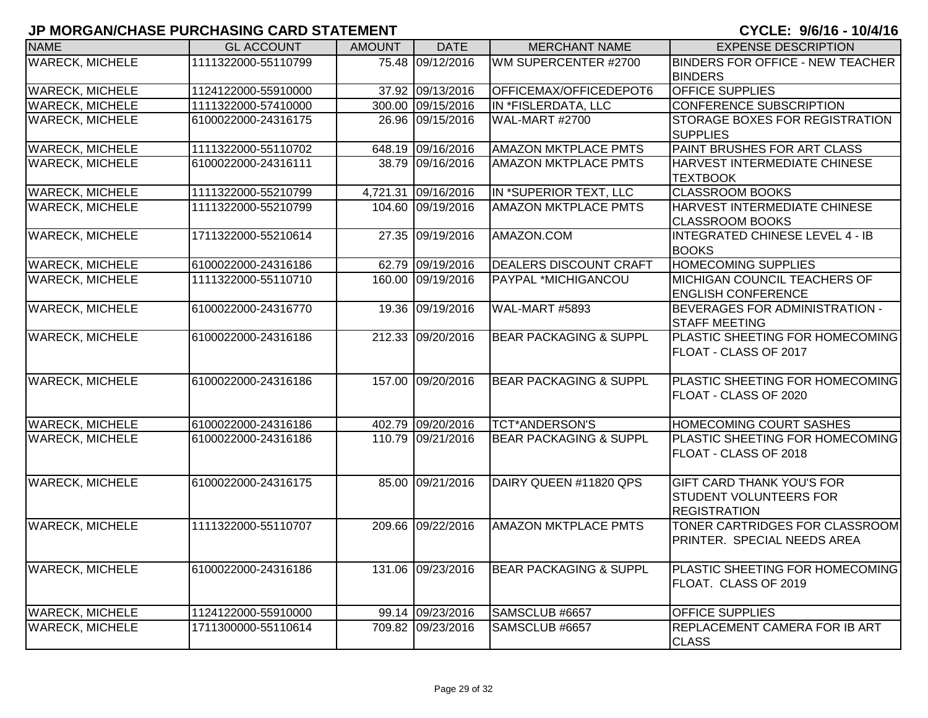| <b>NAME</b>            | <b>GL ACCOUNT</b>   | <b>AMOUNT</b> | <b>DATE</b>         | <b>MERCHANT NAME</b>              | <b>EXPENSE DESCRIPTION</b>                                                               |
|------------------------|---------------------|---------------|---------------------|-----------------------------------|------------------------------------------------------------------------------------------|
| <b>WARECK, MICHELE</b> | 1111322000-55110799 |               | 75.48 09/12/2016    | WM SUPERCENTER #2700              | <b>BINDERS FOR OFFICE - NEW TEACHER</b>                                                  |
|                        |                     |               |                     |                                   | <b>BINDERS</b>                                                                           |
| <b>WARECK, MICHELE</b> | 1124122000-55910000 |               | 37.92 09/13/2016    | OFFICEMAX/OFFICEDEPOT6            | <b>OFFICE SUPPLIES</b>                                                                   |
| <b>WARECK, MICHELE</b> | 1111322000-57410000 |               | 300.00 09/15/2016   | IN *FISLERDATA, LLC               | <b>CONFERENCE SUBSCRIPTION</b>                                                           |
| <b>WARECK, MICHELE</b> | 6100022000-24316175 |               | 26.96 09/15/2016    | WAL-MART #2700                    | <b>STORAGE BOXES FOR REGISTRATION</b><br><b>SUPPLIES</b>                                 |
| <b>WARECK, MICHELE</b> | 1111322000-55110702 |               | 648.19 09/16/2016   | <b>AMAZON MKTPLACE PMTS</b>       | PAINT BRUSHES FOR ART CLASS                                                              |
| <b>WARECK, MICHELE</b> | 6100022000-24316111 |               | 38.79 09/16/2016    | <b>AMAZON MKTPLACE PMTS</b>       | <b>HARVEST INTERMEDIATE CHINESE</b><br><b>TEXTBOOK</b>                                   |
| <b>WARECK, MICHELE</b> | 1111322000-55210799 |               | 4,721.31 09/16/2016 | IN *SUPERIOR TEXT, LLC            | <b>CLASSROOM BOOKS</b>                                                                   |
| <b>WARECK, MICHELE</b> | 1111322000-55210799 |               | 104.60 09/19/2016   | <b>AMAZON MKTPLACE PMTS</b>       | HARVEST INTERMEDIATE CHINESE<br><b>CLASSROOM BOOKS</b>                                   |
| <b>WARECK, MICHELE</b> | 1711322000-55210614 |               | 27.35 09/19/2016    | AMAZON.COM                        | INTEGRATED CHINESE LEVEL 4 - IB<br><b>BOOKS</b>                                          |
| <b>WARECK, MICHELE</b> | 6100022000-24316186 |               | 62.79 09/19/2016    | <b>DEALERS DISCOUNT CRAFT</b>     | <b>HOMECOMING SUPPLIES</b>                                                               |
| <b>WARECK, MICHELE</b> | 1111322000-55110710 |               | 160.00 09/19/2016   | <b>PAYPAL *MICHIGANCOU</b>        | <b>MICHIGAN COUNCIL TEACHERS OF</b><br><b>ENGLISH CONFERENCE</b>                         |
| <b>WARECK, MICHELE</b> | 6100022000-24316770 |               | 19.36 09/19/2016    | WAL-MART #5893                    | <b>BEVERAGES FOR ADMINISTRATION -</b><br><b>STAFF MEETING</b>                            |
| <b>WARECK, MICHELE</b> | 6100022000-24316186 |               | 212.33 09/20/2016   | <b>BEAR PACKAGING &amp; SUPPL</b> | <b>PLASTIC SHEETING FOR HOMECOMING</b><br>FLOAT - CLASS OF 2017                          |
| <b>WARECK, MICHELE</b> | 6100022000-24316186 |               | 157.00 09/20/2016   | <b>BEAR PACKAGING &amp; SUPPL</b> | PLASTIC SHEETING FOR HOMECOMING<br>FLOAT - CLASS OF 2020                                 |
| <b>WARECK, MICHELE</b> | 6100022000-24316186 |               | 402.79 09/20/2016   | <b>TCT*ANDERSON'S</b>             | <b>HOMECOMING COURT SASHES</b>                                                           |
| <b>WARECK, MICHELE</b> | 6100022000-24316186 |               | 110.79 09/21/2016   | <b>BEAR PACKAGING &amp; SUPPL</b> | PLASTIC SHEETING FOR HOMECOMING<br>FLOAT - CLASS OF 2018                                 |
| <b>WARECK, MICHELE</b> | 6100022000-24316175 |               | 85.00 09/21/2016    | DAIRY QUEEN #11820 QPS            | <b>GIFT CARD THANK YOU'S FOR</b><br><b>STUDENT VOLUNTEERS FOR</b><br><b>REGISTRATION</b> |
| <b>WARECK, MICHELE</b> | 1111322000-55110707 |               | 209.66 09/22/2016   | <b>AMAZON MKTPLACE PMTS</b>       | TONER CARTRIDGES FOR CLASSROOM<br>PRINTER. SPECIAL NEEDS AREA                            |
| <b>WARECK, MICHELE</b> | 6100022000-24316186 |               | 131.06 09/23/2016   | <b>BEAR PACKAGING &amp; SUPPL</b> | <b>PLASTIC SHEETING FOR HOMECOMING</b><br>FLOAT. CLASS OF 2019                           |
| <b>WARECK, MICHELE</b> | 1124122000-55910000 |               | 99.14 09/23/2016    | SAMSCLUB #6657                    | <b>OFFICE SUPPLIES</b>                                                                   |
| <b>WARECK, MICHELE</b> | 1711300000-55110614 |               | 709.82 09/23/2016   | SAMSCLUB #6657                    | REPLACEMENT CAMERA FOR IB ART<br><b>CLASS</b>                                            |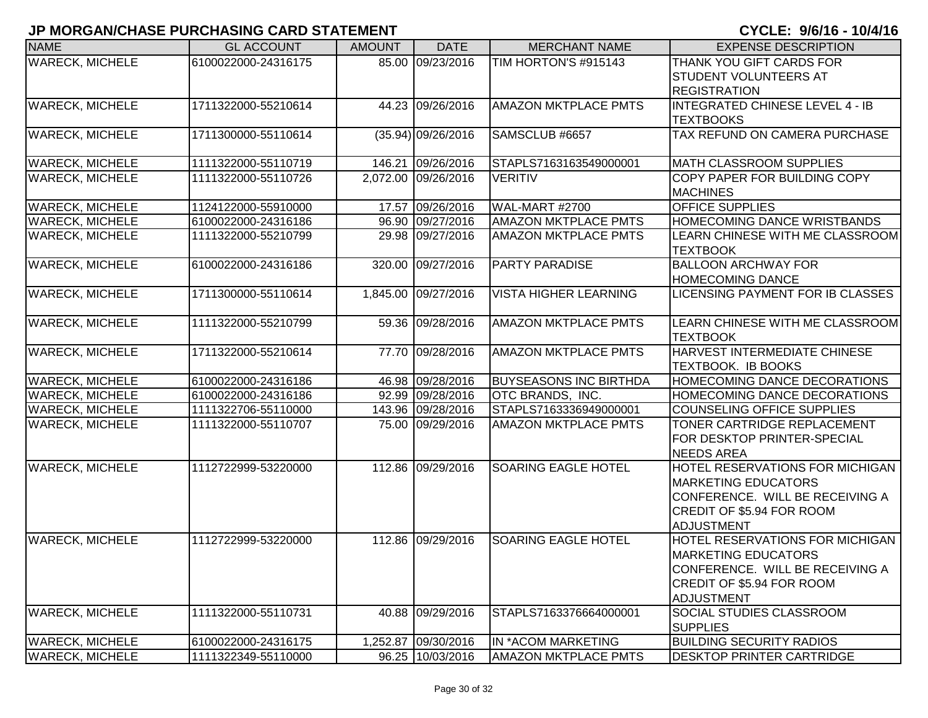| <b>NAME</b>            | <b>GL ACCOUNT</b>   | <b>AMOUNT</b> | <b>DATE</b>          | <b>MERCHANT NAME</b>          | <b>EXPENSE DESCRIPTION</b>                             |
|------------------------|---------------------|---------------|----------------------|-------------------------------|--------------------------------------------------------|
| <b>WARECK, MICHELE</b> | 6100022000-24316175 |               | 85.00 09/23/2016     | TIM HORTON'S #915143          | THANK YOU GIFT CARDS FOR                               |
|                        |                     |               |                      |                               | <b>STUDENT VOLUNTEERS AT</b>                           |
|                        |                     |               |                      |                               | <b>REGISTRATION</b>                                    |
| <b>WARECK, MICHELE</b> | 1711322000-55210614 |               | 44.23 09/26/2016     | <b>AMAZON MKTPLACE PMTS</b>   | INTEGRATED CHINESE LEVEL 4 - IB                        |
| <b>WARECK, MICHELE</b> | 1711300000-55110614 |               |                      | SAMSCLUB #6657                | <b>TEXTBOOKS</b><br>TAX REFUND ON CAMERA PURCHASE      |
|                        |                     |               | $(35.94)$ 09/26/2016 |                               |                                                        |
| <b>WARECK, MICHELE</b> | 1111322000-55110719 |               | 146.21 09/26/2016    | STAPLS7163163549000001        | MATH CLASSROOM SUPPLIES                                |
| <b>WARECK, MICHELE</b> | 1111322000-55110726 |               | 2,072.00 09/26/2016  | <b>VERITIV</b>                | <b>COPY PAPER FOR BUILDING COPY</b><br><b>MACHINES</b> |
| <b>WARECK, MICHELE</b> | 1124122000-55910000 |               | 17.57 09/26/2016     | WAL-MART #2700                | <b>OFFICE SUPPLIES</b>                                 |
| <b>WARECK, MICHELE</b> | 6100022000-24316186 |               | 96.90 09/27/2016     | <b>AMAZON MKTPLACE PMTS</b>   | <b>HOMECOMING DANCE WRISTBANDS</b>                     |
| <b>WARECK, MICHELE</b> | 1111322000-55210799 |               | 29.98 09/27/2016     | <b>AMAZON MKTPLACE PMTS</b>   | LEARN CHINESE WITH ME CLASSROOM                        |
|                        |                     |               |                      |                               | <b>TEXTBOOK</b>                                        |
| <b>WARECK, MICHELE</b> | 6100022000-24316186 |               | 320.00 09/27/2016    | <b>PARTY PARADISE</b>         | <b>BALLOON ARCHWAY FOR</b>                             |
|                        |                     |               |                      |                               | <b>HOMECOMING DANCE</b>                                |
| <b>WARECK, MICHELE</b> | 1711300000-55110614 |               | 1,845.00 09/27/2016  | <b>VISTA HIGHER LEARNING</b>  | LICENSING PAYMENT FOR IB CLASSES                       |
| <b>WARECK, MICHELE</b> | 1111322000-55210799 |               | 59.36 09/28/2016     | <b>AMAZON MKTPLACE PMTS</b>   | LEARN CHINESE WITH ME CLASSROOM                        |
|                        |                     |               |                      |                               | <b>TEXTBOOK</b>                                        |
| <b>WARECK, MICHELE</b> | 1711322000-55210614 |               | 77.70 09/28/2016     | <b>AMAZON MKTPLACE PMTS</b>   | <b>HARVEST INTERMEDIATE CHINESE</b>                    |
|                        |                     |               |                      |                               | <b>TEXTBOOK. IB BOOKS</b>                              |
| <b>WARECK, MICHELE</b> | 6100022000-24316186 |               | 46.98 09/28/2016     | <b>BUYSEASONS INC BIRTHDA</b> | <b>HOMECOMING DANCE DECORATIONS</b>                    |
| <b>WARECK, MICHELE</b> | 6100022000-24316186 |               | 92.99 09/28/2016     | OTC BRANDS, INC.              | <b>HOMECOMING DANCE DECORATIONS</b>                    |
| <b>WARECK, MICHELE</b> | 1111322706-55110000 |               | 143.96 09/28/2016    | STAPLS7163336949000001        | <b>COUNSELING OFFICE SUPPLIES</b>                      |
| <b>WARECK, MICHELE</b> | 1111322000-55110707 |               | 75.00 09/29/2016     | <b>AMAZON MKTPLACE PMTS</b>   | TONER CARTRIDGE REPLACEMENT                            |
|                        |                     |               |                      |                               | FOR DESKTOP PRINTER-SPECIAL                            |
|                        |                     |               |                      |                               | NEEDS AREA                                             |
| <b>WARECK, MICHELE</b> | 1112722999-53220000 |               | 112.86 09/29/2016    | <b>SOARING EAGLE HOTEL</b>    | <b>HOTEL RESERVATIONS FOR MICHIGAN</b>                 |
|                        |                     |               |                      |                               | <b>MARKETING EDUCATORS</b>                             |
|                        |                     |               |                      |                               | CONFERENCE. WILL BE RECEIVING A                        |
|                        |                     |               |                      |                               | <b>CREDIT OF \$5.94 FOR ROOM</b>                       |
|                        |                     |               |                      |                               | <b>ADJUSTMENT</b>                                      |
| <b>WARECK, MICHELE</b> | 1112722999-53220000 |               | 112.86 09/29/2016    | <b>SOARING EAGLE HOTEL</b>    | <b>HOTEL RESERVATIONS FOR MICHIGAN</b>                 |
|                        |                     |               |                      |                               | <b>MARKETING EDUCATORS</b>                             |
|                        |                     |               |                      |                               | CONFERENCE. WILL BE RECEIVING A                        |
|                        |                     |               |                      |                               | <b>CREDIT OF \$5.94 FOR ROOM</b>                       |
|                        |                     |               |                      |                               | <b>ADJUSTMENT</b>                                      |
| <b>WARECK, MICHELE</b> | 1111322000-55110731 |               | 40.88 09/29/2016     | STAPLS7163376664000001        | <b>SOCIAL STUDIES CLASSROOM</b>                        |
|                        |                     |               | 1,252.87 09/30/2016  | IN *ACOM MARKETING            | <b>SUPPLIES</b><br><b>BUILDING SECURITY RADIOS</b>     |
| <b>WARECK, MICHELE</b> | 6100022000-24316175 |               |                      |                               |                                                        |
| <b>WARECK, MICHELE</b> | 1111322349-55110000 |               | 96.25 10/03/2016     | <b>AMAZON MKTPLACE PMTS</b>   | <b>DESKTOP PRINTER CARTRIDGE</b>                       |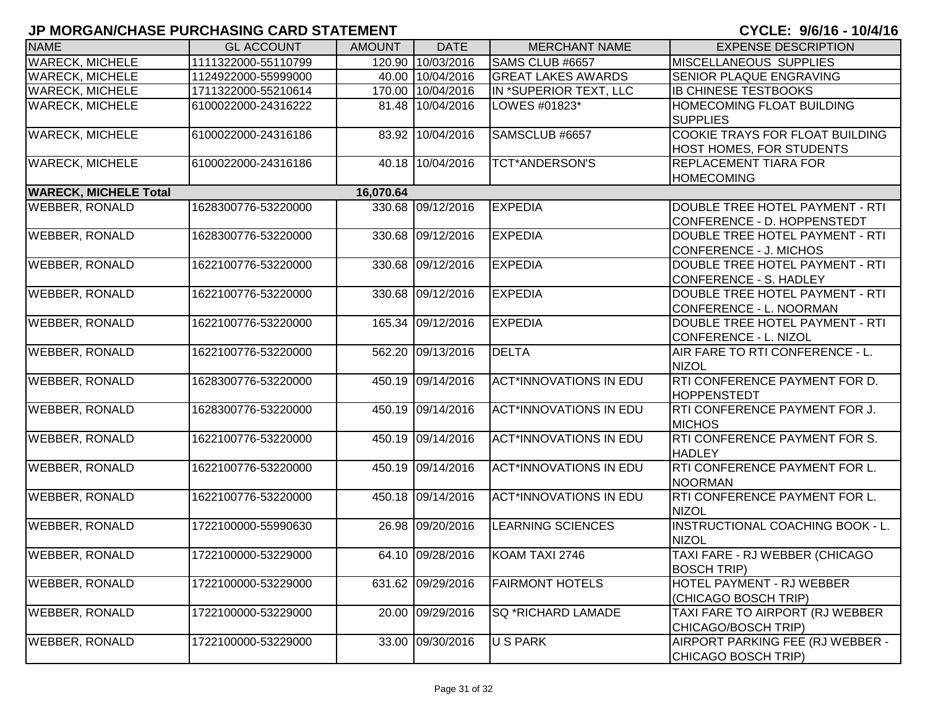| <b>NAME</b>                  | <b>GL ACCOUNT</b>   | <b>AMOUNT</b> | <b>DATE</b>       | <b>MERCHANT NAME</b>          | <b>EXPENSE DESCRIPTION</b>             |
|------------------------------|---------------------|---------------|-------------------|-------------------------------|----------------------------------------|
| <b>WARECK, MICHELE</b>       | 1111322000-55110799 |               | 120.90 10/03/2016 | SAMS CLUB #6657               | MISCELLANEOUS SUPPLIES                 |
| <b>WARECK, MICHELE</b>       | 1124922000-55999000 |               | 40.00 10/04/2016  | <b>GREAT LAKES AWARDS</b>     | SENIOR PLAQUE ENGRAVING                |
| <b>WARECK, MICHELE</b>       | 1711322000-55210614 |               | 170.00 10/04/2016 | IN *SUPERIOR TEXT, LLC        | <b>IB CHINESE TESTBOOKS</b>            |
| <b>WARECK, MICHELE</b>       | 6100022000-24316222 |               | 81.48 10/04/2016  | LOWES #01823*                 | HOMECOMING FLOAT BUILDING              |
|                              |                     |               |                   |                               | <b>SUPPLIES</b>                        |
| <b>WARECK, MICHELE</b>       | 6100022000-24316186 | 83.92         | 10/04/2016        | SAMSCLUB #6657                | COOKIE TRAYS FOR FLOAT BUILDING        |
|                              |                     |               |                   |                               | HOST HOMES, FOR STUDENTS               |
| <b>WARECK, MICHELE</b>       | 6100022000-24316186 |               | 40.18 10/04/2016  | <b>TCT*ANDERSON'S</b>         | REPLACEMENT TIARA FOR                  |
|                              |                     |               |                   |                               | <b>HOMECOMING</b>                      |
| <b>WARECK, MICHELE Total</b> |                     | 16,070.64     |                   |                               |                                        |
| <b>WEBBER, RONALD</b>        | 1628300776-53220000 |               | 330.68 09/12/2016 | <b>EXPEDIA</b>                | <b>DOUBLE TREE HOTEL PAYMENT - RTI</b> |
|                              |                     |               |                   |                               | CONFERENCE - D. HOPPENSTEDT            |
| <b>WEBBER, RONALD</b>        | 1628300776-53220000 |               | 330.68 09/12/2016 | <b>EXPEDIA</b>                | DOUBLE TREE HOTEL PAYMENT - RTI        |
|                              |                     |               |                   |                               | <b>CONFERENCE - J. MICHOS</b>          |
| <b>WEBBER, RONALD</b>        | 1622100776-53220000 | 330.68        | 09/12/2016        | <b>EXPEDIA</b>                | DOUBLE TREE HOTEL PAYMENT - RTI        |
|                              |                     |               |                   |                               | CONFERENCE - S. HADLEY                 |
| <b>WEBBER, RONALD</b>        | 1622100776-53220000 | 330.68        | 09/12/2016        | <b>EXPEDIA</b>                | DOUBLE TREE HOTEL PAYMENT - RTI        |
|                              |                     |               |                   |                               | CONFERENCE - L. NOORMAN                |
| <b>WEBBER, RONALD</b>        | 1622100776-53220000 |               | 165.34 09/12/2016 | <b>EXPEDIA</b>                | DOUBLE TREE HOTEL PAYMENT - RTI        |
|                              |                     |               |                   |                               | CONFERENCE - L. NIZOL                  |
| <b>WEBBER, RONALD</b>        | 1622100776-53220000 |               | 562.20 09/13/2016 | <b>DELTA</b>                  | AIR FARE TO RTI CONFERENCE - L.        |
|                              |                     |               |                   |                               | <b>NIZOL</b>                           |
| <b>WEBBER, RONALD</b>        | 1628300776-53220000 |               | 450.19 09/14/2016 | <b>ACT*INNOVATIONS IN EDU</b> | RTI CONFERENCE PAYMENT FOR D.          |
|                              |                     |               |                   |                               | <b>HOPPENSTEDT</b>                     |
| <b>WEBBER, RONALD</b>        | 1628300776-53220000 | 450.19        | 09/14/2016        | <b>ACT*INNOVATIONS IN EDU</b> | RTI CONFERENCE PAYMENT FOR J.          |
|                              |                     |               |                   |                               | <b>MICHOS</b>                          |
| <b>WEBBER, RONALD</b>        | 1622100776-53220000 |               | 450.19 09/14/2016 | <b>ACT*INNOVATIONS IN EDU</b> | RTI CONFERENCE PAYMENT FOR S.          |
|                              |                     |               |                   |                               | <b>HADLEY</b>                          |
| <b>WEBBER, RONALD</b>        | 1622100776-53220000 |               | 450.19 09/14/2016 | <b>ACT*INNOVATIONS IN EDU</b> | <b>RTI CONFERENCE PAYMENT FOR L.</b>   |
|                              |                     |               |                   |                               | <b>NOORMAN</b>                         |
| <b>WEBBER, RONALD</b>        | 1622100776-53220000 |               | 450.18 09/14/2016 | <b>ACT*INNOVATIONS IN EDU</b> | RTI CONFERENCE PAYMENT FOR L.          |
|                              |                     |               |                   |                               | <b>NIZOL</b>                           |
| <b>WEBBER, RONALD</b>        | 1722100000-55990630 |               | 26.98 09/20/2016  | <b>LEARNING SCIENCES</b>      | INSTRUCTIONAL COACHING BOOK - L.       |
|                              |                     |               |                   |                               | <b>NIZOL</b>                           |
| <b>WEBBER, RONALD</b>        | 1722100000-53229000 |               | 64.10 09/28/2016  | KOAM TAXI 2746                | TAXI FARE - RJ WEBBER (CHICAGO         |
|                              |                     |               |                   |                               | <b>BOSCH TRIP)</b>                     |
| <b>WEBBER, RONALD</b>        | 1722100000-53229000 |               | 631.62 09/29/2016 | <b>FAIRMONT HOTELS</b>        | HOTEL PAYMENT - RJ WEBBER              |
|                              |                     |               |                   |                               | (CHICAGO BOSCH TRIP)                   |
| <b>WEBBER, RONALD</b>        | 1722100000-53229000 |               | 20.00 09/29/2016  | SQ *RICHARD LAMADE            | TAXI FARE TO AIRPORT (RJ WEBBER        |
|                              |                     |               |                   |                               | CHICAGO/BOSCH TRIP)                    |
| <b>WEBBER, RONALD</b>        | 1722100000-53229000 | 33.00         | 09/30/2016        | <b>USPARK</b>                 | AIRPORT PARKING FEE (RJ WEBBER -       |
|                              |                     |               |                   |                               | CHICAGO BOSCH TRIP)                    |